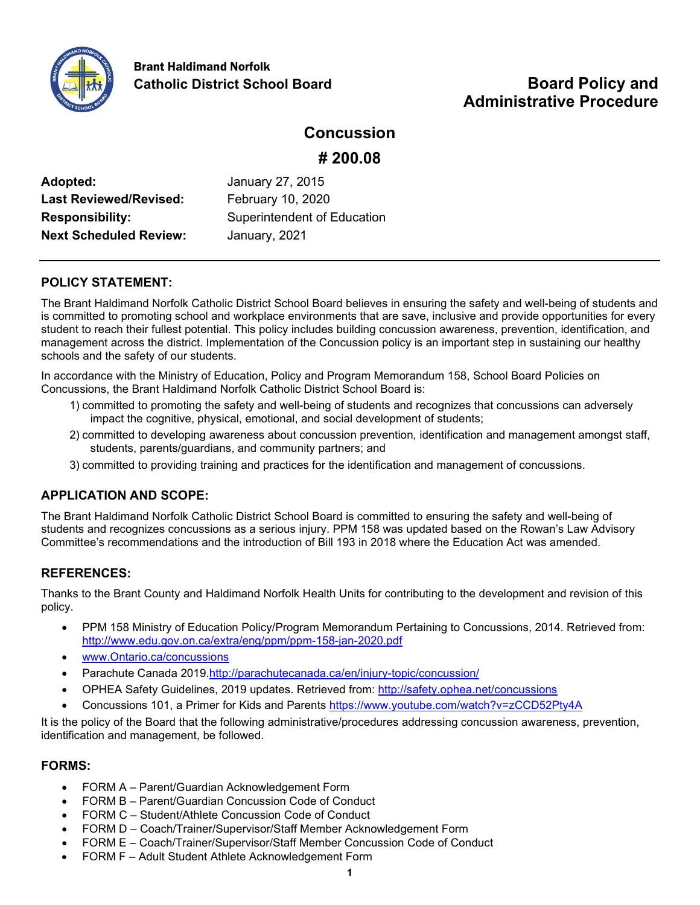

# **Administrative Procedure**

## **Concussion**

**# 200.08**

**Adopted:** January 27, 2015 Last Reviewed/Revised: February 10, 2020 **Next Scheduled Review:** January, 2021

**Responsibility:** Superintendent of Education

## **POLICY STATEMENT:**

The Brant Haldimand Norfolk Catholic District School Board believes in ensuring the safety and well-being of students and is committed to promoting school and workplace environments that are save, inclusive and provide opportunities for every student to reach their fullest potential. This policy includes building concussion awareness, prevention, identification, and management across the district. Implementation of the Concussion policy is an important step in sustaining our healthy schools and the safety of our students.

In accordance with the Ministry of Education, Policy and Program Memorandum 158, School Board Policies on Concussions, the Brant Haldimand Norfolk Catholic District School Board is:

- 1) committed to promoting the safety and well-being of students and recognizes that concussions can adversely impact the cognitive, physical, emotional, and social development of students;
- 2) committed to developing awareness about concussion prevention, identification and management amongst staff, students, parents/guardians, and community partners; and
- 3) committed to providing training and practices for the identification and management of concussions.

## **APPLICATION AND SCOPE:**

The Brant Haldimand Norfolk Catholic District School Board is committed to ensuring the safety and well-being of students and recognizes concussions as a serious injury. PPM 158 was updated based on the Rowan's Law Advisory Committee's recommendations and the introduction of Bill 193 in 2018 where the Education Act was amended.

## **REFERENCES:**

Thanks to the Brant County and Haldimand Norfolk Health Units for contributing to the development and revision of this policy.

- PPM 158 Ministry of Education Policy/Program Memorandum Pertaining to Concussions, 2014. Retrieved from: <http://www.edu.gov.on.ca/extra/eng/ppm/ppm-158-jan-2020.pdf>
- [www.Ontario.ca/concussions](http://www.ontario.ca/concussions)
- Parachute Canada 2019[.http://parachutecanada.ca/en/injury-topic/concussion/](http://parachutecanada.ca/en/injury-topic/concussion/)
- OPHEA Safety Guidelines, 2019 updates. Retrieved from:<http://safety.ophea.net/concussions>
- Concussions 101, a Primer for Kids and Parents<https://www.youtube.com/watch?v=zCCD52Pty4A>

It is the policy of the Board that the following administrative/procedures addressing concussion awareness, prevention, identification and management, be followed.

## **FORMS:**

- FORM A Parent/Guardian Acknowledgement Form
- FORM B Parent/Guardian Concussion Code of Conduct
- FORM C Student/Athlete Concussion Code of Conduct
- FORM D Coach/Trainer/Supervisor/Staff Member Acknowledgement Form
- FORM E Coach/Trainer/Supervisor/Staff Member Concussion Code of Conduct
- FORM F Adult Student Athlete Acknowledgement Form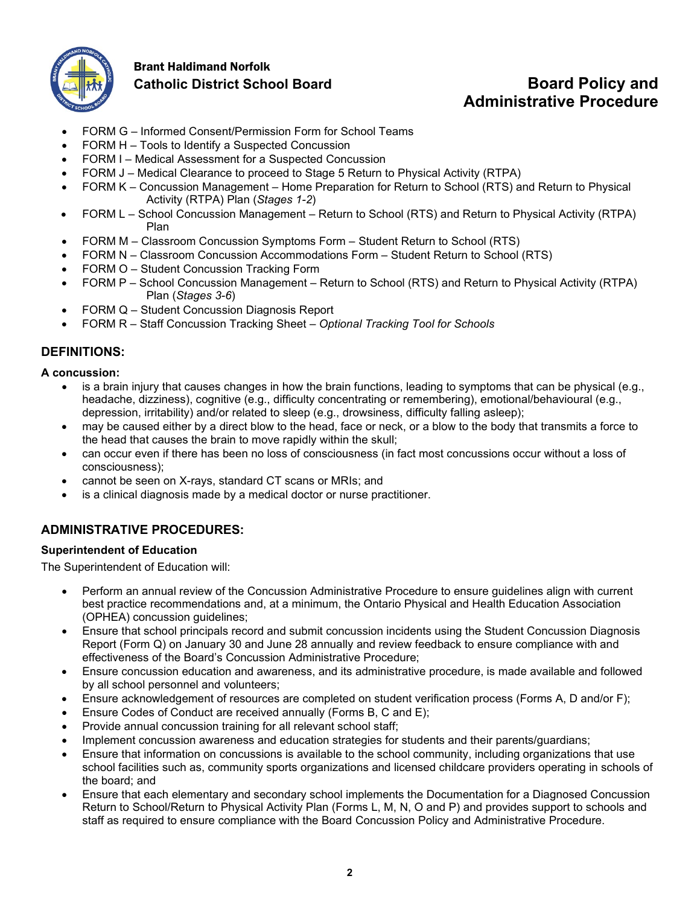

## Brant Haldimand Norfolk **Catholic District School Board Board Policy and**

# **Administrative Procedure**

- FORM G Informed Consent/Permission Form for School Teams
- FORM H Tools to Identify a Suspected Concussion
- FORM I Medical Assessment for a Suspected Concussion
- FORM J Medical Clearance to proceed to Stage 5 Return to Physical Activity (RTPA)
- FORM K Concussion Management Home Preparation for Return to School (RTS) and Return to Physical Activity (RTPA) Plan (*Stages 1-2*)
- FORM L School Concussion Management Return to School (RTS) and Return to Physical Activity (RTPA) Plan
- FORM M Classroom Concussion Symptoms Form Student Return to School (RTS)
- FORM N Classroom Concussion Accommodations Form Student Return to School (RTS)
- FORM O Student Concussion Tracking Form
- FORM P School Concussion Management Return to School (RTS) and Return to Physical Activity (RTPA) Plan (*Stages 3-6*)
- FORM Q Student Concussion Diagnosis Report
- FORM R Staff Concussion Tracking Sheet *Optional Tracking Tool for Schools*

## **DEFINITIONS:**

**A concussion:**

- is a brain injury that causes changes in how the brain functions, leading to symptoms that can be physical (e.g., headache, dizziness), cognitive (e.g., difficulty concentrating or remembering), emotional/behavioural (e.g., depression, irritability) and/or related to sleep (e.g., drowsiness, difficulty falling asleep);
- may be caused either by a direct blow to the head, face or neck, or a blow to the body that transmits a force to the head that causes the brain to move rapidly within the skull;
- can occur even if there has been no loss of consciousness (in fact most concussions occur without a loss of consciousness);
- cannot be seen on X-rays, standard CT scans or MRIs; and
- is a clinical diagnosis made by a medical doctor or nurse practitioner.

## **ADMINISTRATIVE PROCEDURES:**

## **Superintendent of Education**

The Superintendent of Education will:

- Perform an annual review of the Concussion Administrative Procedure to ensure guidelines align with current best practice recommendations and, at a minimum, the Ontario Physical and Health Education Association (OPHEA) concussion guidelines;
- Ensure that school principals record and submit concussion incidents using the Student Concussion Diagnosis Report (Form Q) on January 30 and June 28 annually and review feedback to ensure compliance with and effectiveness of the Board's Concussion Administrative Procedure;
- Ensure concussion education and awareness, and its administrative procedure, is made available and followed by all school personnel and volunteers;
- Ensure acknowledgement of resources are completed on student verification process (Forms A, D and/or F);
- Ensure Codes of Conduct are received annually (Forms B, C and E);
- Provide annual concussion training for all relevant school staff;
- Implement concussion awareness and education strategies for students and their parents/guardians;
- Ensure that information on concussions is available to the school community, including organizations that use school facilities such as, community sports organizations and licensed childcare providers operating in schools of the board; and
- Ensure that each elementary and secondary school implements the Documentation for a Diagnosed Concussion Return to School/Return to Physical Activity Plan (Forms L, M, N, O and P) and provides support to schools and staff as required to ensure compliance with the Board Concussion Policy and Administrative Procedure.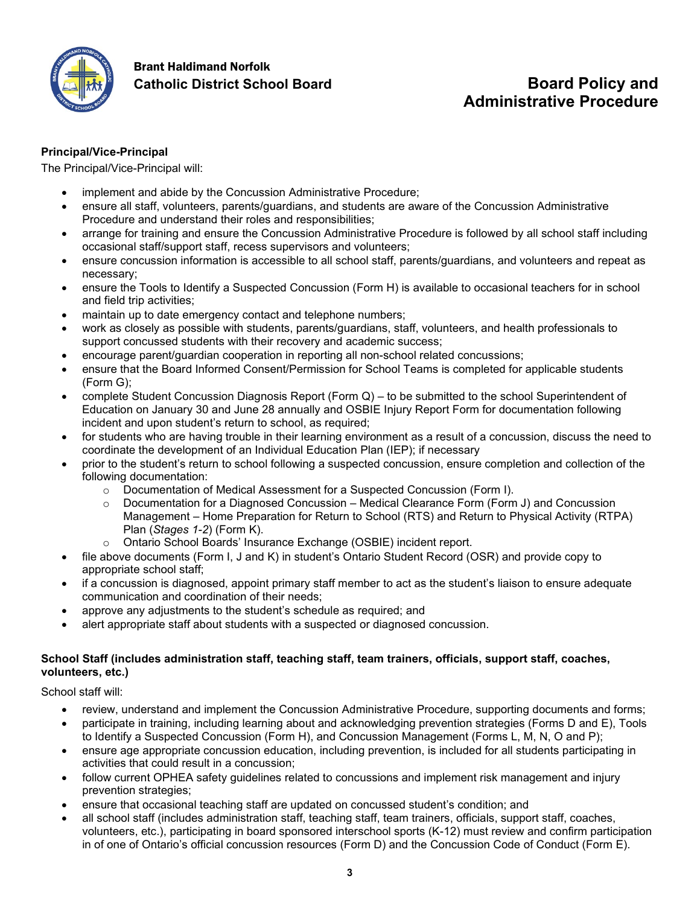

# Brant Haldimand Norfolk

## **Catholic District School Board Board Policy and Administrative Procedure**

## **Principal/Vice-Principal**

The Principal/Vice-Principal will:

- implement and abide by the Concussion Administrative Procedure;
- ensure all staff, volunteers, parents/guardians, and students are aware of the Concussion Administrative Procedure and understand their roles and responsibilities;
- arrange for training and ensure the Concussion Administrative Procedure is followed by all school staff including occasional staff/support staff, recess supervisors and volunteers;
- ensure concussion information is accessible to all school staff, parents/guardians, and volunteers and repeat as necessary;
- ensure the Tools to Identify a Suspected Concussion (Form H) is available to occasional teachers for in school and field trip activities;
- maintain up to date emergency contact and telephone numbers;
- work as closely as possible with students, parents/guardians, staff, volunteers, and health professionals to support concussed students with their recovery and academic success;
- encourage parent/guardian cooperation in reporting all non-school related concussions;
- ensure that the Board Informed Consent/Permission for School Teams is completed for applicable students (Form G);
- complete Student Concussion Diagnosis Report (Form Q) to be submitted to the school Superintendent of Education on January 30 and June 28 annually and OSBIE Injury Report Form for documentation following incident and upon student's return to school, as required;
- for students who are having trouble in their learning environment as a result of a concussion, discuss the need to coordinate the development of an Individual Education Plan (IEP); if necessary
- prior to the student's return to school following a suspected concussion, ensure completion and collection of the following documentation:
	- o Documentation of Medical Assessment for a Suspected Concussion (Form I).
	- $\circ$  Documentation for a Diagnosed Concussion Medical Clearance Form (Form J) and Concussion Management – Home Preparation for Return to School (RTS) and Return to Physical Activity (RTPA) Plan (*Stages 1-2*) (Form K).
	- o Ontario School Boards' Insurance Exchange (OSBIE) incident report.
- file above documents (Form I, J and K) in student's Ontario Student Record (OSR) and provide copy to appropriate school staff;
- if a concussion is diagnosed, appoint primary staff member to act as the student's liaison to ensure adequate communication and coordination of their needs;
- approve any adjustments to the student's schedule as required; and
- alert appropriate staff about students with a suspected or diagnosed concussion.

## **School Staff (includes administration staff, teaching staff, team trainers, officials, support staff, coaches, volunteers, etc.)**

School staff will:

- review, understand and implement the Concussion Administrative Procedure, supporting documents and forms;
- participate in training, including learning about and acknowledging prevention strategies (Forms D and E), Tools to Identify a Suspected Concussion (Form H), and Concussion Management (Forms L, M, N, O and P);
- ensure age appropriate concussion education, including prevention, is included for all students participating in activities that could result in a concussion;
- follow current OPHEA safety guidelines related to concussions and implement risk management and injury prevention strategies;
- ensure that occasional teaching staff are updated on concussed student's condition; and
- all school staff (includes administration staff, teaching staff, team trainers, officials, support staff, coaches, volunteers, etc.), participating in board sponsored interschool sports (K-12) must review and confirm participation in of one of Ontario's official concussion resources (Form D) and the Concussion Code of Conduct (Form E).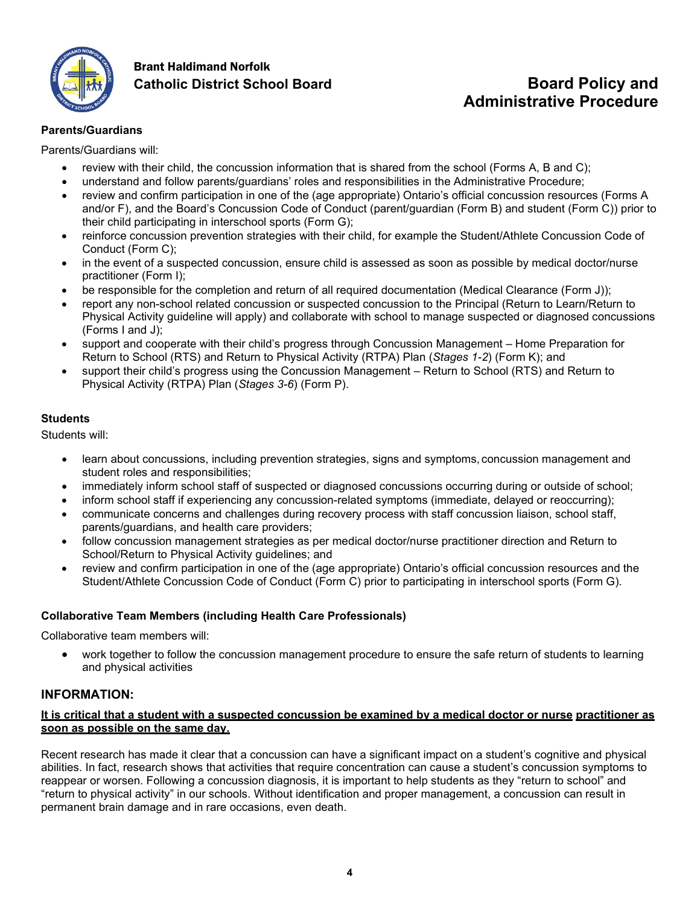

## Brant Haldimand Norfolk **Catholic District School Board Board Policy and**

# **Administrative Procedure**

## **Parents/Guardians**

Parents/Guardians will:

- review with their child, the concussion information that is shared from the school (Forms A, B and C);
- understand and follow parents/guardians' roles and responsibilities in the Administrative Procedure;
- review and confirm participation in one of the (age appropriate) Ontario's official concussion resources (Forms A and/or F), and the Board's Concussion Code of Conduct (parent/guardian (Form B) and student (Form C)) prior to their child participating in interschool sports (Form G);
- reinforce concussion prevention strategies with their child, for example the Student/Athlete Concussion Code of Conduct (Form C);
- in the event of a suspected concussion, ensure child is assessed as soon as possible by medical doctor/nurse practitioner (Form I);
- be responsible for the completion and return of all required documentation (Medical Clearance (Form J));
- report any non-school related concussion or suspected concussion to the Principal (Return to Learn/Return to Physical Activity guideline will apply) and collaborate with school to manage suspected or diagnosed concussions (Forms I and J);
- support and cooperate with their child's progress through Concussion Management Home Preparation for Return to School (RTS) and Return to Physical Activity (RTPA) Plan (*Stages 1-2*) (Form K); and
- support their child's progress using the Concussion Management Return to School (RTS) and Return to Physical Activity (RTPA) Plan (*Stages 3-6*) (Form P).

## **Students**

Students will:

- learn about concussions, including prevention strategies, signs and symptoms, concussion management and student roles and responsibilities;
- immediately inform school staff of suspected or diagnosed concussions occurring during or outside of school;
- inform school staff if experiencing any concussion-related symptoms (immediate, delayed or reoccurring);
- communicate concerns and challenges during recovery process with staff concussion liaison, school staff, parents/guardians, and health care providers;
- follow concussion management strategies as per medical doctor/nurse practitioner direction and Return to School/Return to Physical Activity guidelines; and
- review and confirm participation in one of the (age appropriate) Ontario's official concussion resources and the Student/Athlete Concussion Code of Conduct (Form C) prior to participating in interschool sports (Form G).

## **Collaborative Team Members (including Health Care Professionals)**

Collaborative team members will:

• work together to follow the concussion management procedure to ensure the safe return of students to learning and physical activities

## **INFORMATION:**

## **It is critical that a student with a suspected concussion be examined by a medical doctor or nurse practitioner as soon as possible on the same day.**

Recent research has made it clear that a concussion can have a significant impact on a student's cognitive and physical abilities. In fact, research shows that activities that require concentration can cause a student's concussion symptoms to reappear or worsen. Following a concussion diagnosis, it is important to help students as they "return to school" and "return to physical activity" in our schools. Without identification and proper management, a concussion can result in permanent brain damage and in rare occasions, even death.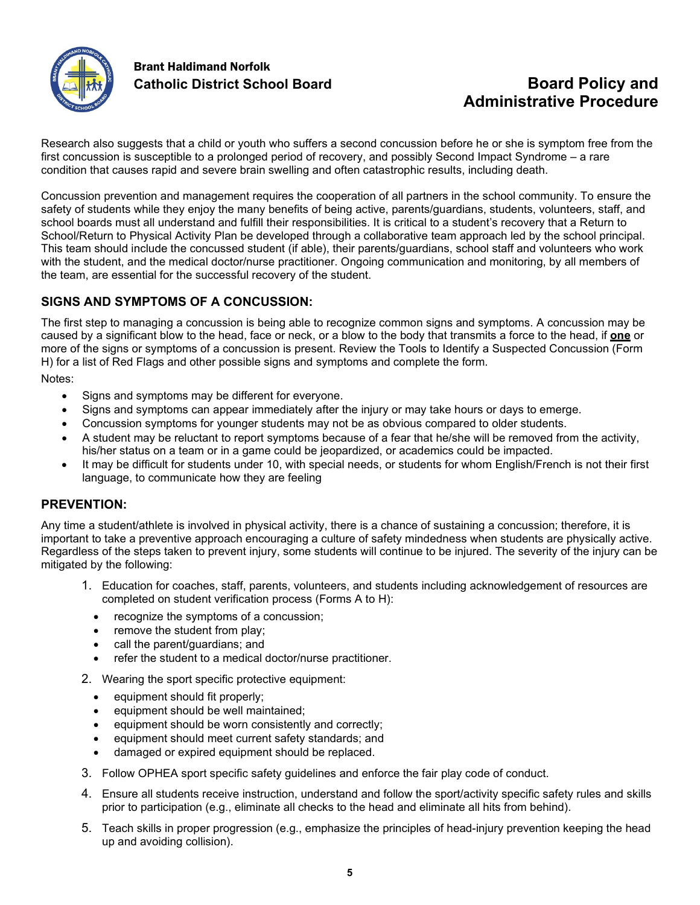

## Brant Haldimand Norfolk

## **Catholic District School Board Board Policy and Administrative Procedure**

Research also suggests that a child or youth who suffers a second concussion before he or she is symptom free from the first concussion is susceptible to a prolonged period of recovery, and possibly Second Impact Syndrome – a rare condition that causes rapid and severe brain swelling and often catastrophic results, including death.

Concussion prevention and management requires the cooperation of all partners in the school community. To ensure the safety of students while they enjoy the many benefits of being active, parents/guardians, students, volunteers, staff, and school boards must all understand and fulfill their responsibilities. It is critical to a student's recovery that a Return to School/Return to Physical Activity Plan be developed through a collaborative team approach led by the school principal. This team should include the concussed student (if able), their parents/guardians, school staff and volunteers who work with the student, and the medical doctor/nurse practitioner. Ongoing communication and monitoring, by all members of the team, are essential for the successful recovery of the student.

## **SIGNS AND SYMPTOMS OF A CONCUSSION:**

The first step to managing a concussion is being able to recognize common signs and symptoms. A concussion may be caused by a significant blow to the head, face or neck, or a blow to the body that transmits a force to the head, if **one** or more of the signs or symptoms of a concussion is present. Review the Tools to Identify a Suspected Concussion (Form H) for a list of Red Flags and other possible signs and symptoms and complete the form.

Notes:

- Signs and symptoms may be different for everyone.
- Signs and symptoms can appear immediately after the injury or may take hours or days to emerge.
- Concussion symptoms for younger students may not be as obvious compared to older students.
- A student may be reluctant to report symptoms because of a fear that he/she will be removed from the activity, his/her status on a team or in a game could be jeopardized, or academics could be impacted.
- It may be difficult for students under 10, with special needs, or students for whom English/French is not their first language, to communicate how they are feeling

## **PREVENTION:**

Any time a student/athlete is involved in physical activity, there is a chance of sustaining a concussion; therefore, it is important to take a preventive approach encouraging a culture of safety mindedness when students are physically active. Regardless of the steps taken to prevent injury, some students will continue to be injured. The severity of the injury can be mitigated by the following:

- 1. Education for coaches, staff, parents, volunteers, and students including acknowledgement of resources are completed on student verification process (Forms A to H):
	- recognize the symptoms of a concussion;
	- remove the student from play:
	- call the parent/guardians; and
	- refer the student to a medical doctor/nurse practitioner.

2. Wearing the sport specific protective equipment:

- equipment should fit properly;
- equipment should be well maintained;
- equipment should be worn consistently and correctly;
- equipment should meet current safety standards; and
- damaged or expired equipment should be replaced.
- 3. Follow OPHEA sport specific safety guidelines and enforce the fair play code of conduct.
- 4. Ensure all students receive instruction, understand and follow the sport/activity specific safety rules and skills prior to participation (e.g., eliminate all checks to the head and eliminate all hits from behind).
- 5. Teach skills in proper progression (e.g., emphasize the principles of head-injury prevention keeping the head up and avoiding collision).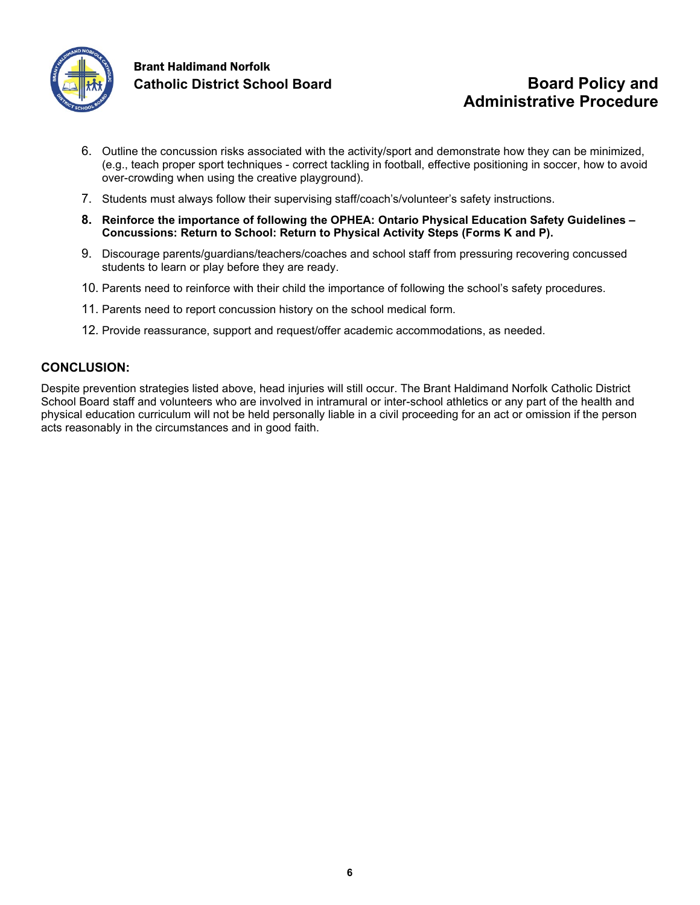

## Brant Haldimand Norfolk **Catholic District School Board Board Policy and**

# **Administrative Procedure**

- 6. Outline the concussion risks associated with the activity/sport and demonstrate how they can be minimized, (e.g., teach proper sport techniques - correct tackling in football, effective positioning in soccer, how to avoid over-crowding when using the creative playground).
- 7. Students must always follow their supervising staff/coach's/volunteer's safety instructions.
- **8. Reinforce the importance of following the OPHEA: Ontario Physical Education Safety Guidelines – Concussions: Return to School: Return to Physical Activity Steps (Forms K and P).**
- 9. Discourage parents/guardians/teachers/coaches and school staff from pressuring recovering concussed students to learn or play before they are ready.
- 10. Parents need to reinforce with their child the importance of following the school's safety procedures.
- 11. Parents need to report concussion history on the school medical form.
- 12. Provide reassurance, support and request/offer academic accommodations, as needed.

## **CONCLUSION:**

Despite prevention strategies listed above, head injuries will still occur. The Brant Haldimand Norfolk Catholic District School Board staff and volunteers who are involved in intramural or inter-school athletics or any part of the health and physical education curriculum will not be held personally liable in a civil proceeding for an act or omission if the person acts reasonably in the circumstances and in good faith.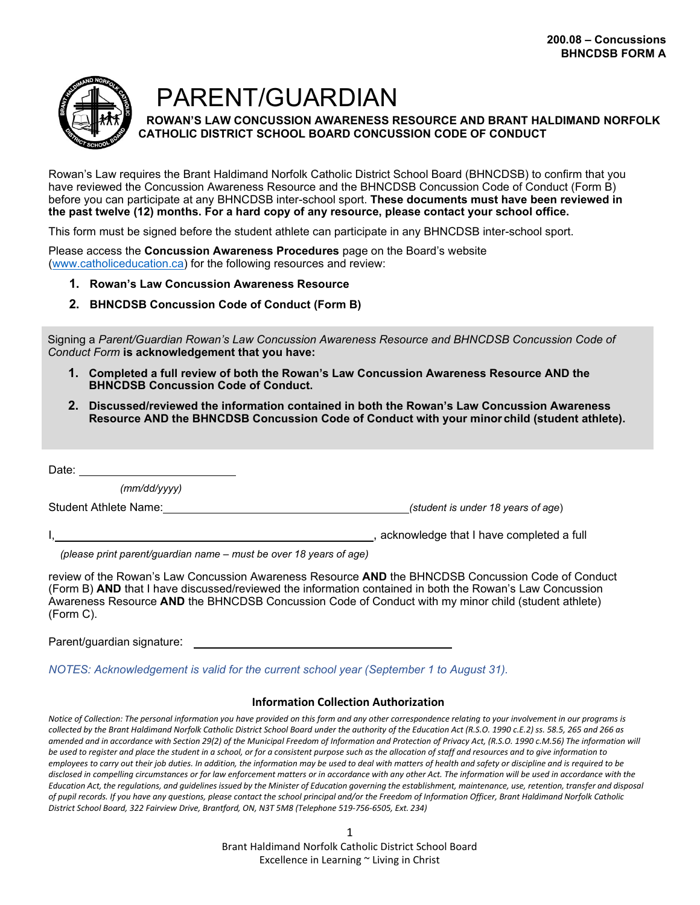

PARENT/GUARDIAN

**ROWAN'S LAW CONCUSSION AWARENESS RESOURCE AND BRANT HALDIMAND NORFOLK CATHOLIC DISTRICT SCHOOL BOARD CONCUSSION CODE OF CONDUCT**

Rowan's Law requires the Brant Haldimand Norfolk Catholic District School Board (BHNCDSB) to confirm that you have reviewed the Concussion Awareness Resource and the BHNCDSB Concussion Code of Conduct (Form B) before you can participate at any BHNCDSB inter-school sport. **These documents must have been reviewed in the past twelve (12) months. For a hard copy of any resource, please contact your school office.**

This form must be signed before the student athlete can participate in any BHNCDSB inter-school sport.

Please access the **Concussion Awareness Procedures** page on the Board's website [\(www.catholiceducation.ca\)](http://www.catholiceducation.ca/) for the following resources and review:

- **1. Rowan's Law Concussion Awareness Resource**
- **2. BHNCDSB Concussion Code of Conduct (Form B)**

Signing a *Parent/Guardian Rowan's Law Concussion Awareness Resource and BHNCDSB Concussion Code of Conduct Form* **is acknowledgement that you have:**

- **1. Completed a full review of both the Rowan's Law Concussion Awareness Resource AND the BHNCDSB Concussion Code of Conduct.**
- **2. Discussed/reviewed the information contained in both the Rowan's Law Concussion Awareness Resource AND the BHNCDSB Concussion Code of Conduct with your minor child (student athlete).**

Date:

*(mm/dd/yyyy)*

Student Athlete Name: *(student is under 18 years of age*)

I,  $\qquad \qquad$  acknowledge that I have completed a full

*(please print parent/guardian name – must be over 18 years of age)*

review of the Rowan's Law Concussion Awareness Resource **AND** the BHNCDSB Concussion Code of Conduct (Form B) **AND** that I have discussed/reviewed the information contained in both the Rowan's Law Concussion Awareness Resource **AND** the BHNCDSB Concussion Code of Conduct with my minor child (student athlete) (Form C).

Parent/guardian signature:

*NOTES: Acknowledgement is valid for the current school year (September 1 to August 31).*

#### **Information Collection Authorization**

*Notice of Collection: The personal information you have provided on this form and any other correspondence relating to your involvement in our programs is collected by the Brant Haldimand Norfolk Catholic District School Board under the authority of the Education Act (R.S.O. 1990 c.E.2) ss. 58.5, 265 and 266 as amended and in accordance with Section 29(2) of the Municipal Freedom of Information and Protection of Privacy Act, (R.S.O. 1990 c.M.56) The information will be used to register and place the student in a school, or for a consistent purpose such as the allocation of staff and resources and to give information to employees to carry out their job duties. In addition, the information may be used to deal with matters of health and safety or discipline and is required to be disclosed in compelling circumstances or for law enforcement matters or in accordance with any other Act. The information will be used in accordance with the*  Education Act, the regulations, and quidelines issued by the Minister of Education governing the establishment, maintenance, use, retention, transfer and disposal *of pupil records. If you have any questions, please contact the school principal and/or the Freedom of Information Officer, Brant Haldimand Norfolk Catholic District School Board, 322 Fairview Drive, Brantford, ON, N3T 5M8 (Telephone 519-756-6505, Ext. 234)*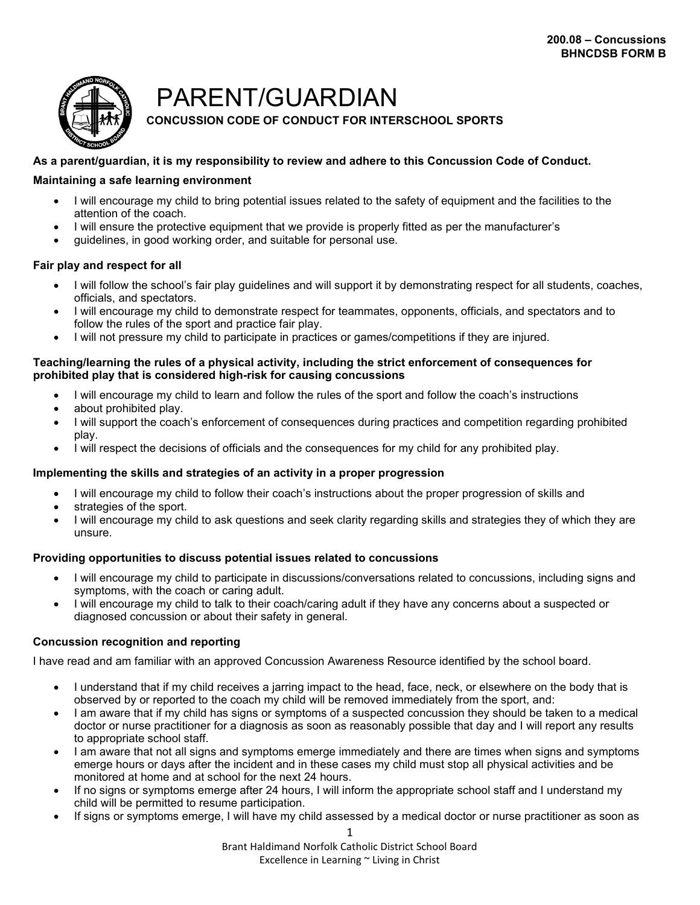

## PARENT/GUARDIAN

## **CONCUSSION CODE OF CONDUCT FOR INTERSCHOOL SPORTS**

## **As a parent/guardian, it is my responsibility to review and adhere to this Concussion Code of Conduct.**

#### **Maintaining a safe learning environment**

- I will encourage my child to bring potential issues related to the safety of equipment and the facilities to the attention of the coach.
- I will ensure the protective equipment that we provide is properly fitted as per the manufacturer's
- guidelines, in good working order, and suitable for personal use.

## **Fair play and respect for all**

- I will follow the school's fair play guidelines and will support it by demonstrating respect for all students, coaches, officials, and spectators.
- I will encourage my child to demonstrate respect for teammates, opponents, officials, and spectators and to follow the rules of the sport and practice fair play.
- I will not pressure my child to participate in practices or games/competitions if they are injured.

#### **Teaching/learning the rules of a physical activity, including the strict enforcement of consequences for prohibited play that is considered high-risk for causing concussions**

- I will encourage my child to learn and follow the rules of the sport and follow the coach's instructions
- about prohibited play.
- I will support the coach's enforcement of consequences during practices and competition regarding prohibited play.
- I will respect the decisions of officials and the consequences for my child for any prohibited play.

#### **Implementing the skills and strategies of an activity in a proper progression**

- I will encourage my child to follow their coach's instructions about the proper progression of skills and
- strategies of the sport.
- I will encourage my child to ask questions and seek clarity regarding skills and strategies they of which they are unsure.

## **Providing opportunities to discuss potential issues related to concussions**

- I will encourage my child to participate in discussions/conversations related to concussions, including signs and symptoms, with the coach or caring adult.
- I will encourage my child to talk to their coach/caring adult if they have any concerns about a suspected or diagnosed concussion or about their safety in general.

## **Concussion recognition and reporting**

I have read and am familiar with an approved Concussion Awareness Resource identified by the school board.

- I understand that if my child receives a jarring impact to the head, face, neck, or elsewhere on the body that is observed by or reported to the coach my child will be removed immediately from the sport, and:
- I am aware that if my child has signs or symptoms of a suspected concussion they should be taken to a medical doctor or nurse practitioner for a diagnosis as soon as reasonably possible that day and I will report any results to appropriate school staff.
- I am aware that not all signs and symptoms emerge immediately and there are times when signs and symptoms emerge hours or days after the incident and in these cases my child must stop all physical activities and be monitored at home and at school for the next 24 hours.
- If no signs or symptoms emerge after 24 hours, I will inform the appropriate school staff and I understand my child will be permitted to resume participation.
- If signs or symptoms emerge, I will have my child assessed by a medical doctor or nurse practitioner as soon as

1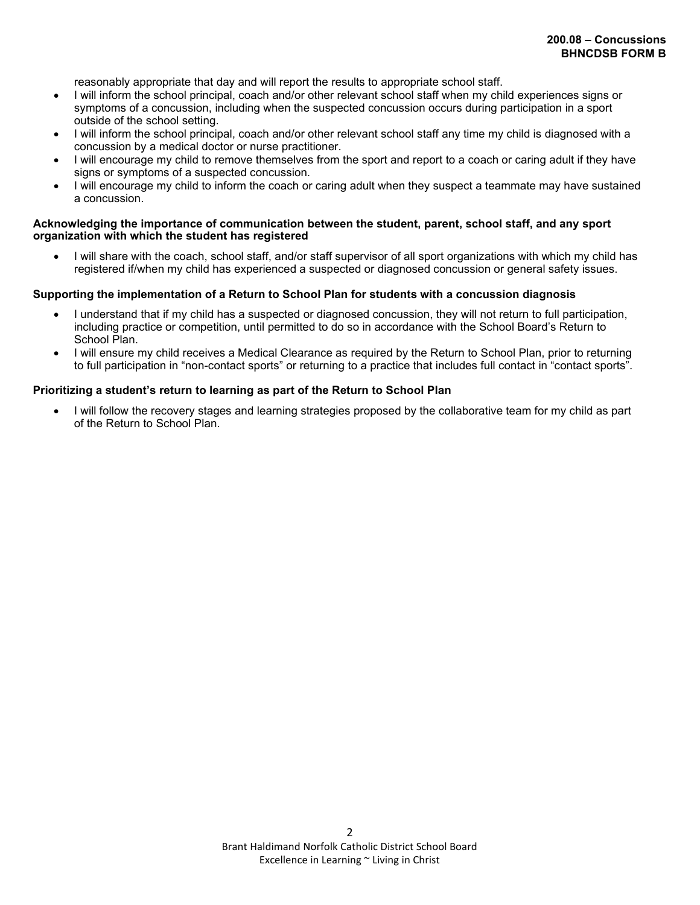reasonably appropriate that day and will report the results to appropriate school staff.

- I will inform the school principal, coach and/or other relevant school staff when my child experiences signs or symptoms of a concussion, including when the suspected concussion occurs during participation in a sport outside of the school setting.
- I will inform the school principal, coach and/or other relevant school staff any time my child is diagnosed with a concussion by a medical doctor or nurse practitioner.
- I will encourage my child to remove themselves from the sport and report to a coach or caring adult if they have signs or symptoms of a suspected concussion.
- I will encourage my child to inform the coach or caring adult when they suspect a teammate may have sustained a concussion.

#### **Acknowledging the importance of communication between the student, parent, school staff, and any sport organization with which the student has registered**

• I will share with the coach, school staff, and/or staff supervisor of all sport organizations with which my child has registered if/when my child has experienced a suspected or diagnosed concussion or general safety issues.

#### **Supporting the implementation of a Return to School Plan for students with a concussion diagnosis**

- I understand that if my child has a suspected or diagnosed concussion, they will not return to full participation, including practice or competition, until permitted to do so in accordance with the School Board's Return to School Plan.
- I will ensure my child receives a Medical Clearance as required by the Return to School Plan, prior to returning to full participation in "non-contact sports" or returning to a practice that includes full contact in "contact sports".

#### **Prioritizing a student's return to learning as part of the Return to School Plan**

• I will follow the recovery stages and learning strategies proposed by the collaborative team for my child as part of the Return to School Plan.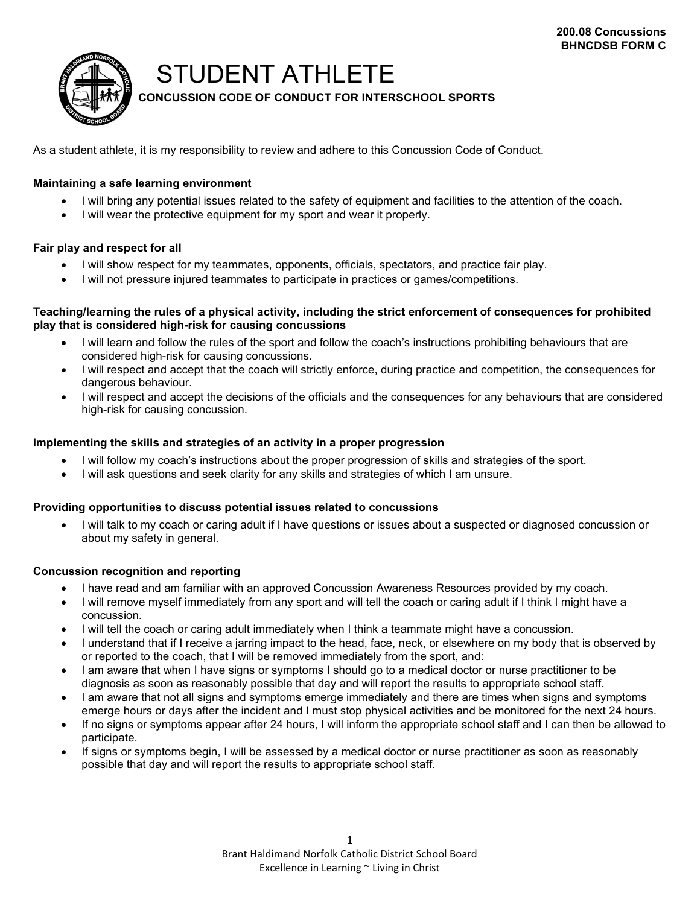

## STUDENT ATHLETE

**CONCUSSION CODE OF CONDUCT FOR INTERSCHOOL SPORTS**

As a student athlete, it is my responsibility to review and adhere to this Concussion Code of Conduct.

## **Maintaining a safe learning environment**

- I will bring any potential issues related to the safety of equipment and facilities to the attention of the coach.
- I will wear the protective equipment for my sport and wear it properly.

## **Fair play and respect for all**

- I will show respect for my teammates, opponents, officials, spectators, and practice fair play.
- I will not pressure injured teammates to participate in practices or games/competitions.

#### **Teaching/learning the rules of a physical activity, including the strict enforcement of consequences for prohibited play that is considered high-risk for causing concussions**

- I will learn and follow the rules of the sport and follow the coach's instructions prohibiting behaviours that are considered high-risk for causing concussions.
- I will respect and accept that the coach will strictly enforce, during practice and competition, the consequences for dangerous behaviour.
- I will respect and accept the decisions of the officials and the consequences for any behaviours that are considered high-risk for causing concussion.

#### **Implementing the skills and strategies of an activity in a proper progression**

- I will follow my coach's instructions about the proper progression of skills and strategies of the sport.
- I will ask questions and seek clarity for any skills and strategies of which I am unsure.

## **Providing opportunities to discuss potential issues related to concussions**

• I will talk to my coach or caring adult if I have questions or issues about a suspected or diagnosed concussion or about my safety in general.

## **Concussion recognition and reporting**

- I have read and am familiar with an approved Concussion Awareness Resources provided by my coach.
- I will remove myself immediately from any sport and will tell the coach or caring adult if I think I might have a concussion.
- I will tell the coach or caring adult immediately when I think a teammate might have a concussion.
- I understand that if I receive a jarring impact to the head, face, neck, or elsewhere on my body that is observed by or reported to the coach, that I will be removed immediately from the sport, and:
- I am aware that when I have signs or symptoms I should go to a medical doctor or nurse practitioner to be diagnosis as soon as reasonably possible that day and will report the results to appropriate school staff.
- I am aware that not all signs and symptoms emerge immediately and there are times when signs and symptoms emerge hours or days after the incident and I must stop physical activities and be monitored for the next 24 hours.
- If no signs or symptoms appear after 24 hours, I will inform the appropriate school staff and I can then be allowed to participate.
- If signs or symptoms begin, I will be assessed by a medical doctor or nurse practitioner as soon as reasonably possible that day and will report the results to appropriate school staff.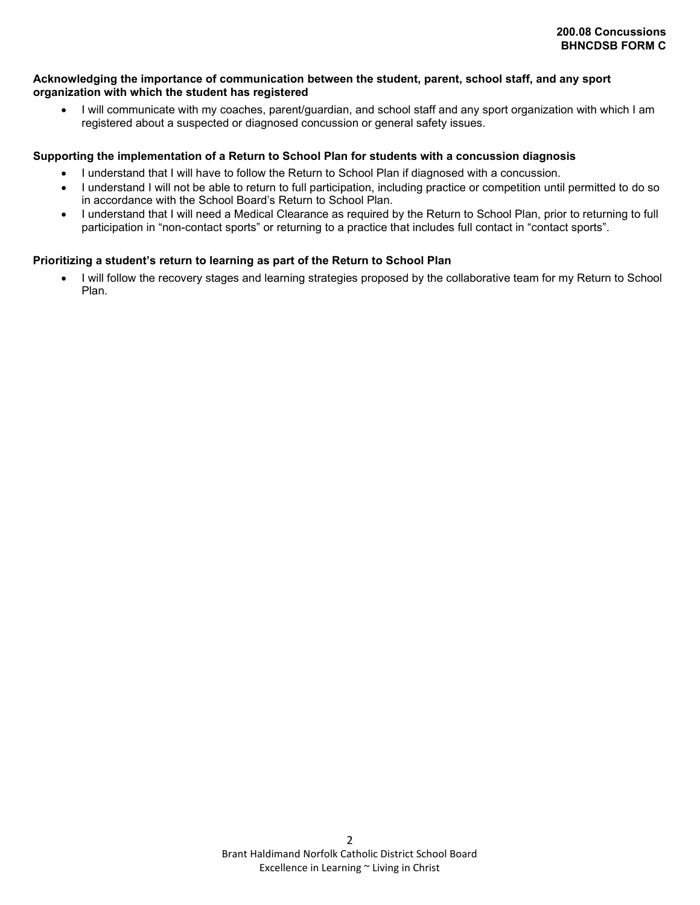#### **Acknowledging the importance of communication between the student, parent, school staff, and any sport organization with which the student has registered**

• I will communicate with my coaches, parent/guardian, and school staff and any sport organization with which I am registered about a suspected or diagnosed concussion or general safety issues.

#### **Supporting the implementation of a Return to School Plan for students with a concussion diagnosis**

- I understand that I will have to follow the Return to School Plan if diagnosed with a concussion.
- I understand I will not be able to return to full participation, including practice or competition until permitted to do so in accordance with the School Board's Return to School Plan.
- I understand that I will need a Medical Clearance as required by the Return to School Plan, prior to returning to full participation in "non-contact sports" or returning to a practice that includes full contact in "contact sports".

#### **Prioritizing a student's return to learning as part of the Return to School Plan**

• I will follow the recovery stages and learning strategies proposed by the collaborative team for my Return to School Plan.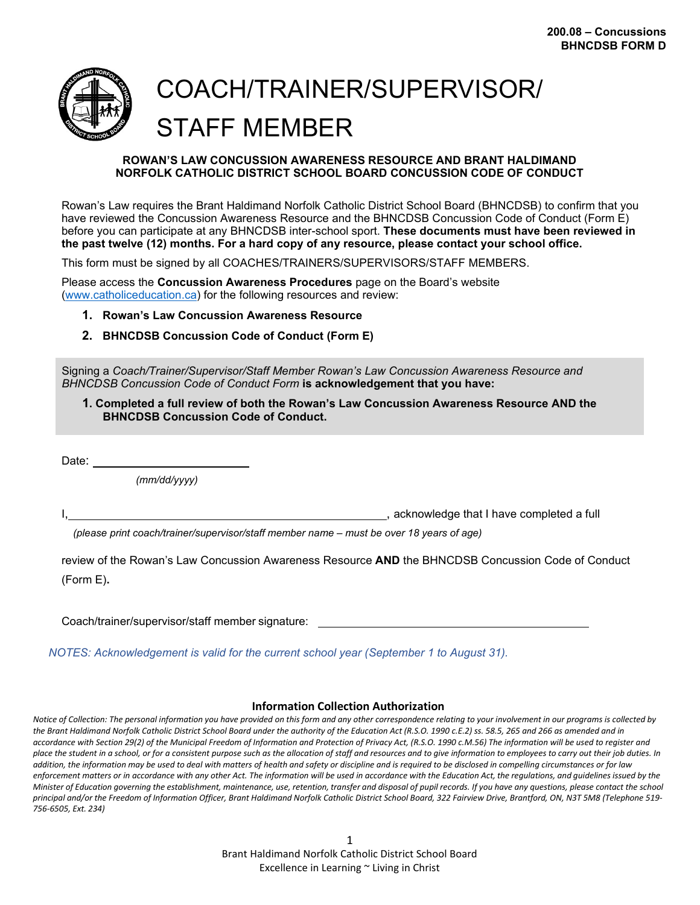

# COACH/TRAINER/SUPERVISOR/ STAFF MEMBER

#### **ROWAN'S LAW CONCUSSION AWARENESS RESOURCE AND BRANT HALDIMAND NORFOLK CATHOLIC DISTRICT SCHOOL BOARD CONCUSSION CODE OF CONDUCT**

Rowan's Law requires the Brant Haldimand Norfolk Catholic District School Board (BHNCDSB) to confirm that you have reviewed the Concussion Awareness Resource and the BHNCDSB Concussion Code of Conduct (Form E) before you can participate at any BHNCDSB inter-school sport. **These documents must have been reviewed in the past twelve (12) months. For a hard copy of any resource, please contact your school office.**

This form must be signed by all COACHES/TRAINERS/SUPERVISORS/STAFF MEMBERS.

Please access the **Concussion Awareness Procedures** page on the Board's website [\(www.catholiceducation.ca\)](http://www.catholiceducation.ca/) for the following resources and review:

- **1. Rowan's Law Concussion Awareness Resource**
- **2. BHNCDSB Concussion Code of Conduct (Form E)**

Signing a *Coach/Trainer/Supervisor/Staff Member Rowan's Law Concussion Awareness Resource and BHNCDSB Concussion Code of Conduct Form* **is acknowledgement that you have:**

**1. Completed a full review of both the Rowan's Law Concussion Awareness Resource AND the BHNCDSB Concussion Code of Conduct.**

Date:

*(mm/dd/yyyy)*

I, acknowledge that I have completed a full

*(please print coach/trainer/supervisor/staff member name – must be over 18 years of age)*

review of the Rowan's Law Concussion Awareness Resource **AND** the BHNCDSB Concussion Code of Conduct (Form E)**.**

Coach/trainer/supervisor/staff member signature:

*NOTES: Acknowledgement is valid for the current school year (September 1 to August 31).*

#### **Information Collection Authorization**

*Notice of Collection: The personal information you have provided on this form and any other correspondence relating to your involvement in our programs is collected by the Brant Haldimand Norfolk Catholic District School Board under the authority of the Education Act (R.S.O. 1990 c.E.2) ss. 58.5, 265 and 266 as amended and in accordance with Section 29(2) of the Municipal Freedom of Information and Protection of Privacy Act, (R.S.O. 1990 c.M.56) The information will be used to register and place the student in a school, or for a consistent purpose such as the allocation of staff and resources and to give information to employees to carry out their job duties. In addition, the information may be used to deal with matters of health and safety or discipline and is required to be disclosed in compelling circumstances or for law*  enforcement matters or in accordance with any other Act. The information will be used in accordance with the Education Act, the regulations, and quidelines issued by the Minister of Education governing the establishment, maintenance, use, retention, transfer and disposal of pupil records. If you have any questions, please contact the school *principal and/or the Freedom of Information Officer, Brant Haldimand Norfolk Catholic District School Board, 322 Fairview Drive, Brantford, ON, N3T 5M8 (Telephone 519- 756-6505, Ext. 234)*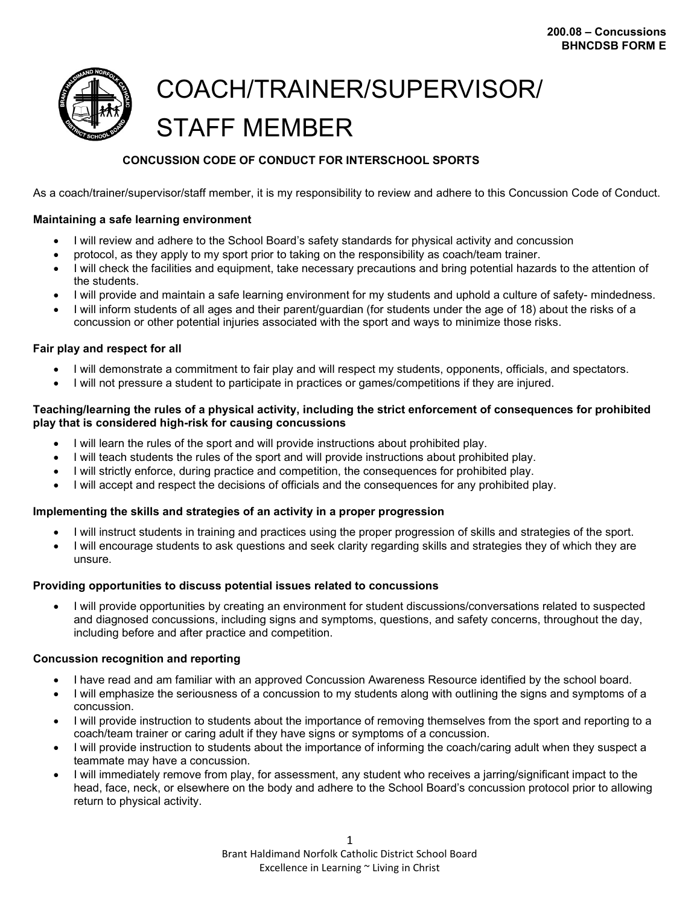

# COACH/TRAINER/SUPERVISOR/ STAFF MEMBER

## **CONCUSSION CODE OF CONDUCT FOR INTERSCHOOL SPORTS**

As a coach/trainer/supervisor/staff member, it is my responsibility to review and adhere to this Concussion Code of Conduct.

## **Maintaining a safe learning environment**

- I will review and adhere to the School Board's safety standards for physical activity and concussion
- protocol, as they apply to my sport prior to taking on the responsibility as coach/team trainer.
- I will check the facilities and equipment, take necessary precautions and bring potential hazards to the attention of the students.
- I will provide and maintain a safe learning environment for my students and uphold a culture of safety- mindedness.
- I will inform students of all ages and their parent/guardian (for students under the age of 18) about the risks of a concussion or other potential injuries associated with the sport and ways to minimize those risks.

## **Fair play and respect for all**

- I will demonstrate a commitment to fair play and will respect my students, opponents, officials, and spectators.
- I will not pressure a student to participate in practices or games/competitions if they are injured.

## **Teaching/learning the rules of a physical activity, including the strict enforcement of consequences for prohibited play that is considered high-risk for causing concussions**

- I will learn the rules of the sport and will provide instructions about prohibited play.
- I will teach students the rules of the sport and will provide instructions about prohibited play.
- I will strictly enforce, during practice and competition, the consequences for prohibited play.
- I will accept and respect the decisions of officials and the consequences for any prohibited play.

## **Implementing the skills and strategies of an activity in a proper progression**

- I will instruct students in training and practices using the proper progression of skills and strategies of the sport.
- I will encourage students to ask questions and seek clarity regarding skills and strategies they of which they are unsure.

## **Providing opportunities to discuss potential issues related to concussions**

• I will provide opportunities by creating an environment for student discussions/conversations related to suspected and diagnosed concussions, including signs and symptoms, questions, and safety concerns, throughout the day, including before and after practice and competition.

## **Concussion recognition and reporting**

- I have read and am familiar with an approved Concussion Awareness Resource identified by the school board.
- I will emphasize the seriousness of a concussion to my students along with outlining the signs and symptoms of a concussion.
- I will provide instruction to students about the importance of removing themselves from the sport and reporting to a coach/team trainer or caring adult if they have signs or symptoms of a concussion.
- I will provide instruction to students about the importance of informing the coach/caring adult when they suspect a teammate may have a concussion.
- I will immediately remove from play, for assessment, any student who receives a jarring/significant impact to the head, face, neck, or elsewhere on the body and adhere to the School Board's concussion protocol prior to allowing return to physical activity.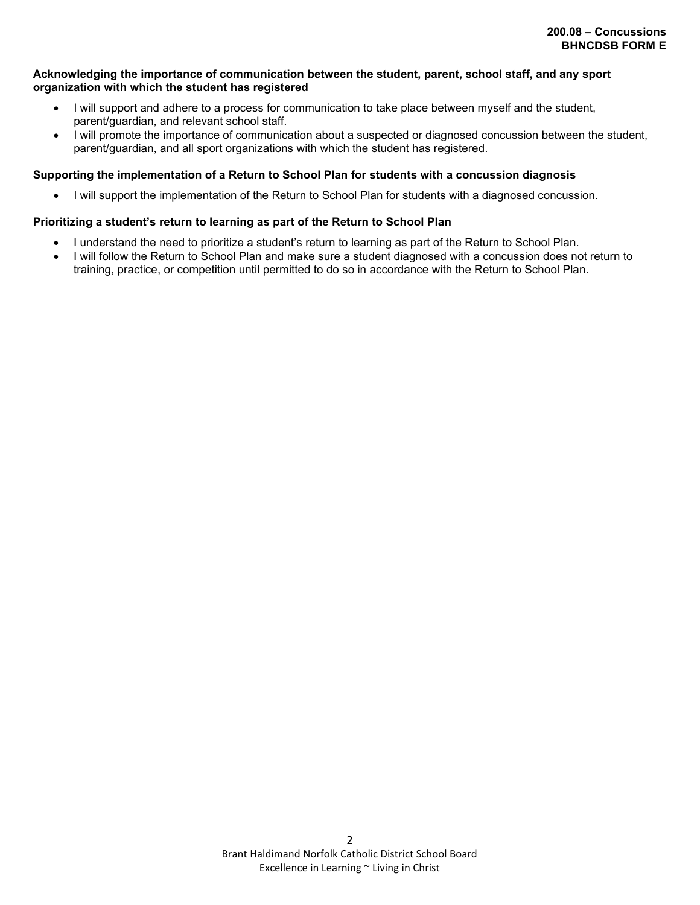#### **Acknowledging the importance of communication between the student, parent, school staff, and any sport organization with which the student has registered**

- I will support and adhere to a process for communication to take place between myself and the student, parent/guardian, and relevant school staff.
- I will promote the importance of communication about a suspected or diagnosed concussion between the student, parent/guardian, and all sport organizations with which the student has registered.

#### **Supporting the implementation of a Return to School Plan for students with a concussion diagnosis**

• I will support the implementation of the Return to School Plan for students with a diagnosed concussion.

#### **Prioritizing a student's return to learning as part of the Return to School Plan**

- I understand the need to prioritize a student's return to learning as part of the Return to School Plan.
- I will follow the Return to School Plan and make sure a student diagnosed with a concussion does not return to training, practice, or competition until permitted to do so in accordance with the Return to School Plan.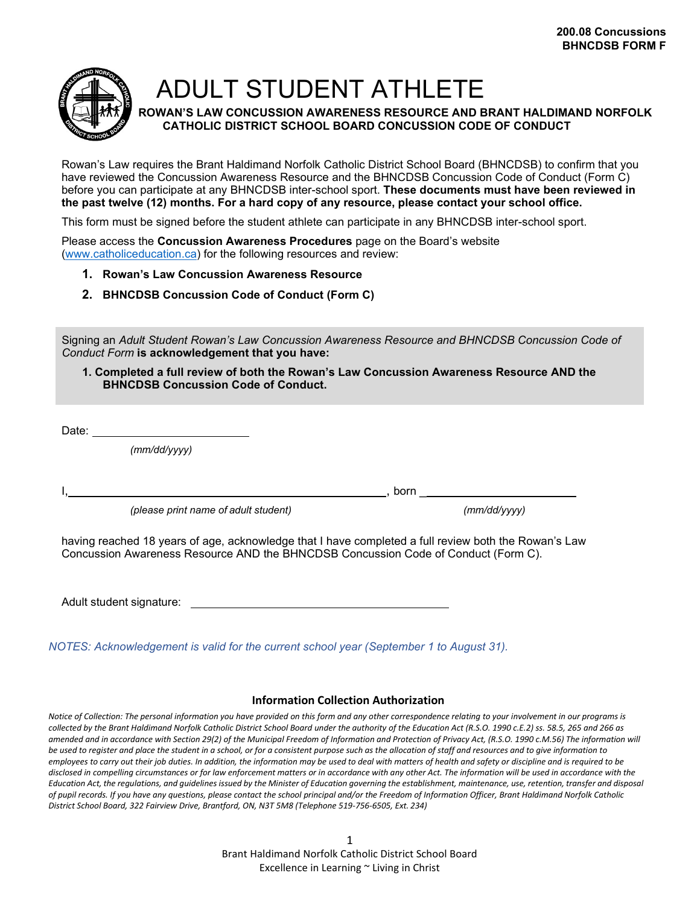

ADULT STUDENT ATHLETE

**ROWAN'S LAW CONCUSSION AWARENESS RESOURCE AND BRANT HALDIMAND NORFOLK CATHOLIC DISTRICT SCHOOL BOARD CONCUSSION CODE OF CONDUCT**

Rowan's Law requires the Brant Haldimand Norfolk Catholic District School Board (BHNCDSB) to confirm that you have reviewed the Concussion Awareness Resource and the BHNCDSB Concussion Code of Conduct (Form C) before you can participate at any BHNCDSB inter-school sport. **These documents must have been reviewed in the past twelve (12) months. For a hard copy of any resource, please contact your school office.**

This form must be signed before the student athlete can participate in any BHNCDSB inter-school sport.

Please access the **Concussion Awareness Procedures** page on the Board's website [\(www.catholiceducation.ca\)](http://www.catholiceducation.ca/) for the following resources and review:

- **1. Rowan's Law Concussion Awareness Resource**
- **2. BHNCDSB Concussion Code of Conduct (Form C)**

Signing an *Adult Student Rowan's Law Concussion Awareness Resource and BHNCDSB Concussion Code of Conduct Form* **is acknowledgement that you have:**

**1. Completed a full review of both the Rowan's Law Concussion Awareness Resource AND the BHNCDSB Concussion Code of Conduct.**

Date:  $\rule{1em}{0.15mm}$ 

*(mm/dd/yyyy)*

I, , born \_

*(please print name of adult student) (mm/dd/yyyy)*

having reached 18 years of age, acknowledge that I have completed a full review both the Rowan's Law Concussion Awareness Resource AND the BHNCDSB Concussion Code of Conduct (Form C).

Adult student signature:

*NOTES: Acknowledgement is valid for the current school year (September 1 to August 31).*

#### **Information Collection Authorization**

*Notice of Collection: The personal information you have provided on this form and any other correspondence relating to your involvement in our programs is collected by the Brant Haldimand Norfolk Catholic District School Board under the authority of the Education Act (R.S.O. 1990 c.E.2) ss. 58.5, 265 and 266 as amended and in accordance with Section 29(2) of the Municipal Freedom of Information and Protection of Privacy Act, (R.S.O. 1990 c.M.56) The information will be used to register and place the student in a school, or for a consistent purpose such as the allocation of staff and resources and to give information to employees to carry out their job duties. In addition, the information may be used to deal with matters of health and safety or discipline and is required to be*  disclosed in compelling circumstances or for law enforcement matters or in accordance with any other Act. The information will be used in accordance with the Education Act, the requlations, and quidelines issued by the Minister of Education governing the establishment, maintenance, use, retention, transfer and disposal *of pupil records. If you have any questions, please contact the school principal and/or the Freedom of Information Officer, Brant Haldimand Norfolk Catholic District School Board, 322 Fairview Drive, Brantford, ON, N3T 5M8 (Telephone 519-756-6505, Ext. 234)*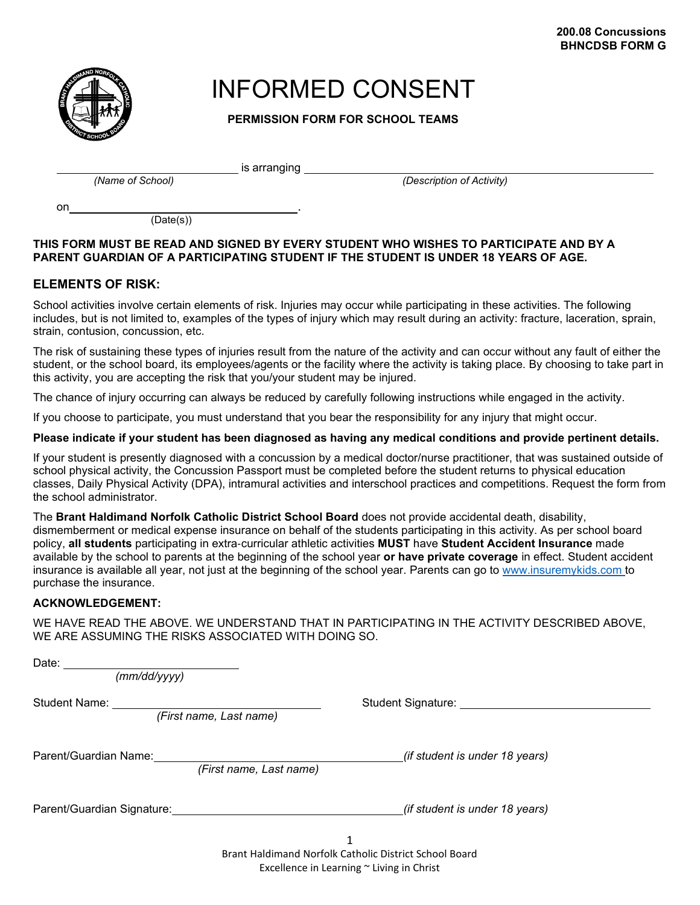

## INFORMED CONSENT

**PERMISSION FORM FOR SCHOOL TEAMS**

is arranging

*(Name of School) (Description of Activity)*

on .

(Date(s))

## **THIS FORM MUST BE READ AND SIGNED BY EVERY STUDENT WHO WISHES TO PARTICIPATE AND BY A PARENT GUARDIAN OF A PARTICIPATING STUDENT IF THE STUDENT IS UNDER 18 YEARS OF AGE.**

## **ELEMENTS OF RISK:**

School activities involve certain elements of risk. Injuries may occur while participating in these activities. The following includes, but is not limited to, examples of the types of injury which may result during an activity: fracture, laceration, sprain, strain, contusion, concussion, etc.

The risk of sustaining these types of injuries result from the nature of the activity and can occur without any fault of either the student, or the school board, its employees/agents or the facility where the activity is taking place. By choosing to take part in this activity, you are accepting the risk that you/your student may be injured.

The chance of injury occurring can always be reduced by carefully following instructions while engaged in the activity.

If you choose to participate, you must understand that you bear the responsibility for any injury that might occur.

**Please indicate if your student has been diagnosed as having any medical conditions and provide pertinent details.**

If your student is presently diagnosed with a concussion by a medical doctor/nurse practitioner, that was sustained outside of school physical activity, the Concussion Passport must be completed before the student returns to physical education classes, Daily Physical Activity (DPA), intramural activities and interschool practices and competitions. Request the form from the school administrator.

The **Brant Haldimand Norfolk Catholic District School Board** does not provide accidental death, disability, dismemberment or medical expense insurance on behalf of the students participating in this activity. As per school board policy, **all students** participating in extra‐curricular athletic activities **MUST** have **Student Accident Insurance** made available by the school to parents at the beginning of the school year **or have private coverage** in effect. Student accident insurance is available all year, not just at the beginning of the school year. Parents can go to [www.insuremykids.com t](http://www.insuremykids.com/)o purchase the insurance.

## **ACKNOWLEDGEMENT:**

WE HAVE READ THE ABOVE. WE UNDERSTAND THAT IN PARTICIPATING IN THE ACTIVITY DESCRIBED ABOVE, WE ARE ASSUMING THE RISKS ASSOCIATED WITH DOING SO.

| Date: $\overline{\phantom{a}}$<br>(mm/dd/yyyy)   |                                       |
|--------------------------------------------------|---------------------------------------|
| <b>Student Name:</b><br>(First name, Last name)  | Student Signature: Student Signature: |
| Parent/Guardian Name:<br>(First name, Last name) | (if student is under 18 years)        |
| Parent/Guardian Signature:                       | (if student is under 18 years)        |
|                                                  | 1                                     |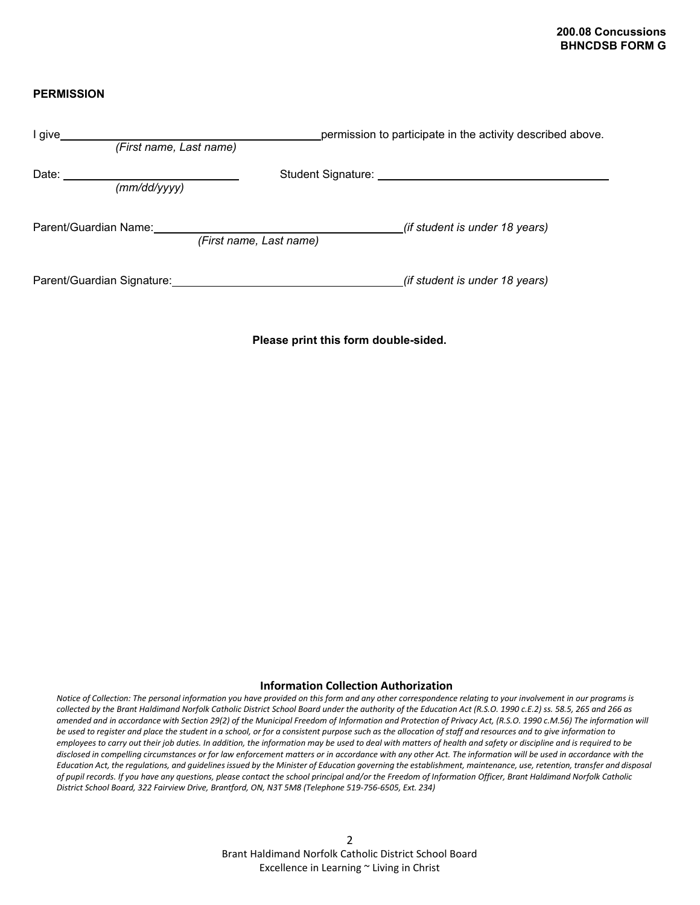## **PERMISSION**

| I give                                           | permission to participate in the activity described above.                                                                                                                                                                     |
|--------------------------------------------------|--------------------------------------------------------------------------------------------------------------------------------------------------------------------------------------------------------------------------------|
| (First name, Last name)                          |                                                                                                                                                                                                                                |
| Date:<br>(mm/dd/yyyy)                            | Student Signature: And Allen Contract Contract Contract Contract Contract Contract Contract Contract Contract Contract Contract Contract Contract Contract Contract Contract Contract Contract Contract Contract Contract Cont |
| Parent/Guardian Name:<br>(First name, Last name) | <i>(if student is under 18 years)</i>                                                                                                                                                                                          |
| Parent/Guardian Signature:                       | (if student is under 18 years)                                                                                                                                                                                                 |

**Please print this form double-sided.**

#### **Information Collection Authorization**

*Notice of Collection: The personal information you have provided on this form and any other correspondence relating to your involvement in our programs is collected by the Brant Haldimand Norfolk Catholic District School Board under the authority of the Education Act (R.S.O. 1990 c.E.2) ss. 58.5, 265 and 266 as amended and in accordance with Section 29(2) of the Municipal Freedom of Information and Protection of Privacy Act, (R.S.O. 1990 c.M.56) The information will be used to register and place the student in a school, or for a consistent purpose such as the allocation of staff and resources and to give information to employees to carry out their job duties. In addition, the information may be used to deal with matters of health and safety or discipline and is required to be disclosed in compelling circumstances or for law enforcement matters or in accordance with any other Act. The information will be used in accordance with the*  Education Act, the regulations, and guidelines issued by the Minister of Education governing the establishment, maintenance, use, retention, transfer and disposal *of pupil records. If you have any questions, please contact the school principal and/or the Freedom of Information Officer, Brant Haldimand Norfolk Catholic District School Board, 322 Fairview Drive, Brantford, ON, N3T 5M8 (Telephone 519-756-6505, Ext. 234)*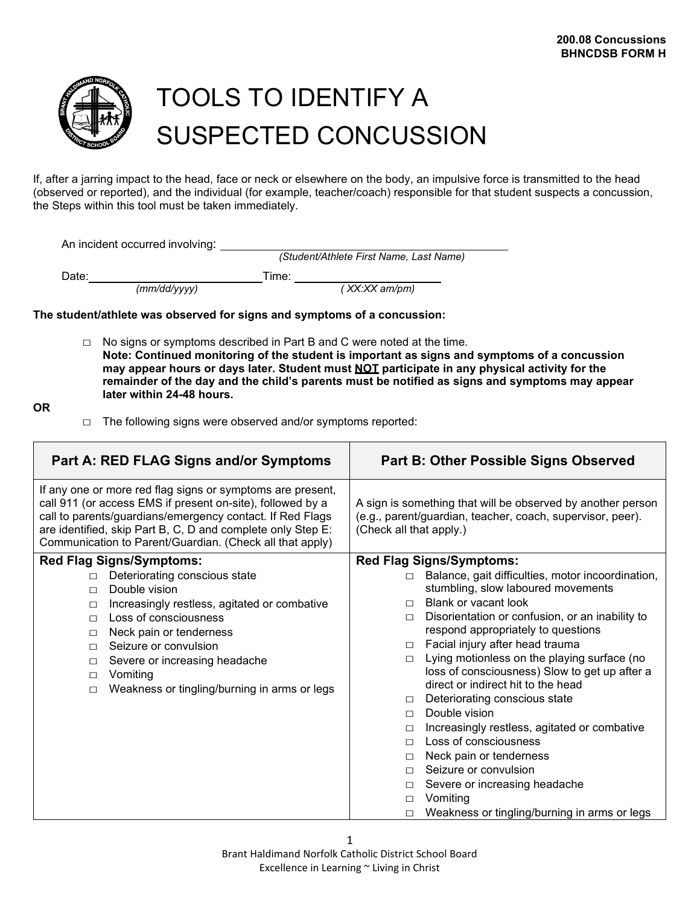

# TOOLS TO IDENTIFY A SUSPECTED CONCUSSION

If, after a jarring impact to the head, face or neck or elsewhere on the body, an impulsive force is transmitted to the head (observed or reported), and the individual (for example, teacher/coach) responsible for that student suspects a concussion, the Steps within this tool must be taken immediately.

An incident occurred involving: \_

*(Student/Athlete First Name, Last Name)*

Date:  $\frac{(mm/dd/yyyy)}{mmdd/yyyy}$ 

*(mm/dd/yyyy) ( XX:XX am/pm)*

## **The student/athlete was observed for signs and symptoms of a concussion:**

 $\Box$  No signs or symptoms described in Part B and C were noted at the time. **Note: Continued monitoring of the student is important as signs and symptoms of a concussion may appear hours or days later. Student must NOT participate in any physical activity for the remainder of the day and the child's parents must be notified as signs and symptoms may appear later within 24-48 hours.**

**OR**

 $\Box$  The following signs were observed and/or symptoms reported:

| Part A: RED FLAG Signs and/or Symptoms                                                                                                                                                                                                                                                                           | <b>Part B: Other Possible Signs Observed</b>                                                                                                         |  |
|------------------------------------------------------------------------------------------------------------------------------------------------------------------------------------------------------------------------------------------------------------------------------------------------------------------|------------------------------------------------------------------------------------------------------------------------------------------------------|--|
| If any one or more red flag signs or symptoms are present,<br>call 911 (or access EMS if present on-site), followed by a<br>call to parents/guardians/emergency contact. If Red Flags<br>are identified, skip Part B, C, D and complete only Step E:<br>Communication to Parent/Guardian. (Check all that apply) | A sign is something that will be observed by another person<br>(e.g., parent/guardian, teacher, coach, supervisor, peer).<br>(Check all that apply.) |  |
| <b>Red Flag Signs/Symptoms:</b>                                                                                                                                                                                                                                                                                  | <b>Red Flag Signs/Symptoms:</b>                                                                                                                      |  |
| Deteriorating conscious state<br>$\Box$<br>Double vision<br>$\Box$                                                                                                                                                                                                                                               | Balance, gait difficulties, motor incoordination,<br>$\Box$<br>stumbling, slow laboured movements                                                    |  |
| Increasingly restless, agitated or combative<br>$\Box$                                                                                                                                                                                                                                                           | <b>Blank or vacant look</b><br>$\Box$                                                                                                                |  |
| Loss of consciousness<br>$\Box$                                                                                                                                                                                                                                                                                  | Disorientation or confusion, or an inability to<br>$\Box$                                                                                            |  |
| Neck pain or tenderness<br>$\Box$                                                                                                                                                                                                                                                                                | respond appropriately to questions                                                                                                                   |  |
| Seizure or convulsion<br>$\Box$                                                                                                                                                                                                                                                                                  | Facial injury after head trauma<br>$\Box$                                                                                                            |  |
| Severe or increasing headache<br>$\Box$                                                                                                                                                                                                                                                                          | Lying motionless on the playing surface (no<br>$\Box$                                                                                                |  |
| Vomiting<br>$\Box$                                                                                                                                                                                                                                                                                               | loss of consciousness) Slow to get up after a                                                                                                        |  |
| Weakness or tingling/burning in arms or legs<br>$\Box$                                                                                                                                                                                                                                                           | direct or indirect hit to the head                                                                                                                   |  |
|                                                                                                                                                                                                                                                                                                                  | Deteriorating conscious state<br>П<br>Double vision                                                                                                  |  |
|                                                                                                                                                                                                                                                                                                                  | $\Box$                                                                                                                                               |  |
|                                                                                                                                                                                                                                                                                                                  | Increasingly restless, agitated or combative<br>$\Box$<br>Loss of consciousness<br>$\Box$                                                            |  |
|                                                                                                                                                                                                                                                                                                                  | Neck pain or tenderness<br>$\Box$                                                                                                                    |  |
|                                                                                                                                                                                                                                                                                                                  | Seizure or convulsion<br>$\Box$                                                                                                                      |  |
|                                                                                                                                                                                                                                                                                                                  | Severe or increasing headache<br>$\Box$                                                                                                              |  |
|                                                                                                                                                                                                                                                                                                                  | Vomiting<br>$\Box$                                                                                                                                   |  |
|                                                                                                                                                                                                                                                                                                                  | Weakness or tingling/burning in arms or legs<br>П                                                                                                    |  |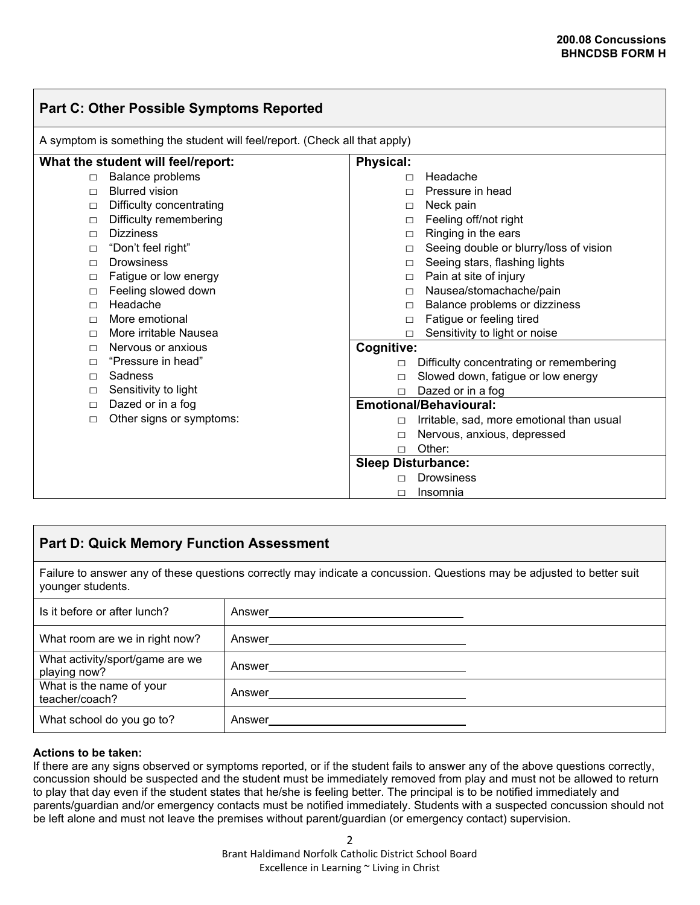| <b>Part C: Other Possible Symptoms Reported</b>                             |                                    |                             |                                           |
|-----------------------------------------------------------------------------|------------------------------------|-----------------------------|-------------------------------------------|
| A symptom is something the student will feel/report. (Check all that apply) |                                    |                             |                                           |
|                                                                             | What the student will feel/report: | <b>Physical:</b>            |                                           |
| $\Box$                                                                      | Balance problems                   | П                           | Headache                                  |
| П                                                                           | <b>Blurred vision</b>              | $\Box$                      | Pressure in head                          |
| □                                                                           | Difficulty concentrating           | П                           | Neck pain                                 |
| $\Box$                                                                      | Difficulty remembering             | $\Box$                      | Feeling off/not right                     |
| П                                                                           | <b>Dizziness</b>                   | □                           | Ringing in the ears                       |
| $\Box$                                                                      | "Don't feel right"                 | П                           | Seeing double or blurry/loss of vision    |
| $\Box$                                                                      | <b>Drowsiness</b>                  | $\Box$                      | Seeing stars, flashing lights             |
| $\Box$                                                                      | Fatigue or low energy              | $\Box$                      | Pain at site of injury                    |
| □                                                                           | Feeling slowed down                | $\Box$                      | Nausea/stomachache/pain                   |
| П                                                                           | Headache                           | П                           | Balance problems or dizziness             |
| П                                                                           | More emotional                     | $\Box$                      | Fatigue or feeling tired                  |
| П                                                                           | More irritable Nausea              | П                           | Sensitivity to light or noise             |
| П                                                                           | Nervous or anxious                 | <b>Cognitive:</b>           |                                           |
| П                                                                           | "Pressure in head"                 | $\Box$                      | Difficulty concentrating or remembering   |
| П                                                                           | Sadness                            |                             | Slowed down, fatigue or low energy        |
| □                                                                           | Sensitivity to light               | Dazed or in a fog<br>$\Box$ |                                           |
| $\Box$                                                                      | Dazed or in a fog                  |                             | <b>Emotional/Behavioural:</b>             |
| П                                                                           | Other signs or symptoms:           | П                           | Irritable, sad, more emotional than usual |
|                                                                             |                                    | П                           | Nervous, anxious, depressed               |
|                                                                             |                                    | $\Box$                      | Other:                                    |
|                                                                             |                                    | <b>Sleep Disturbance:</b>   |                                           |
|                                                                             |                                    |                             | <b>Drowsiness</b>                         |
|                                                                             |                                    | П                           | Insomnia                                  |

## **Part D: Quick Memory Function Assessment**

Failure to answer any of these questions correctly may indicate a concussion. Questions may be adjusted to better suit younger students.

| Is it before or after lunch?                    | Answer |  |
|-------------------------------------------------|--------|--|
| What room are we in right now?                  | Answer |  |
| What activity/sport/game are we<br>playing now? | Answer |  |
| What is the name of your<br>teacher/coach?      | Answer |  |
| What school do you go to?                       | Answer |  |

## **Actions to be taken:**

If there are any signs observed or symptoms reported, or if the student fails to answer any of the above questions correctly, concussion should be suspected and the student must be immediately removed from play and must not be allowed to return to play that day even if the student states that he/she is feeling better. The principal is to be notified immediately and parents/guardian and/or emergency contacts must be notified immediately. Students with a suspected concussion should not be left alone and must not leave the premises without parent/guardian (or emergency contact) supervision.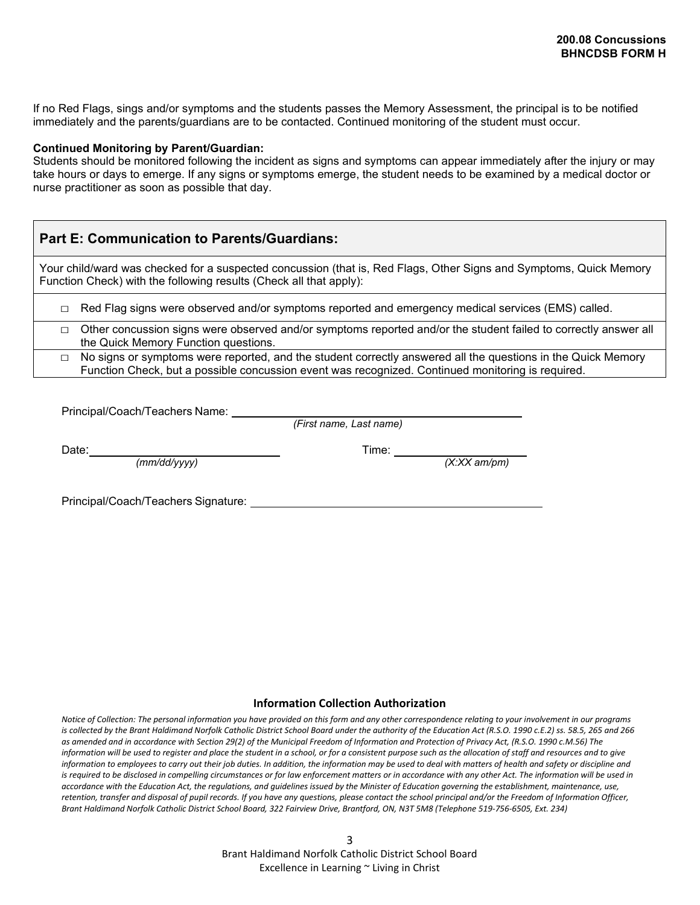If no Red Flags, sings and/or symptoms and the students passes the Memory Assessment, the principal is to be notified immediately and the parents/guardians are to be contacted. Continued monitoring of the student must occur.

#### **Continued Monitoring by Parent/Guardian:**

Students should be monitored following the incident as signs and symptoms can appear immediately after the injury or may take hours or days to emerge. If any signs or symptoms emerge, the student needs to be examined by a medical doctor or nurse practitioner as soon as possible that day.

| <b>Part E: Communication to Parents/Guardians:</b>                                                                                                                                                                          |
|-----------------------------------------------------------------------------------------------------------------------------------------------------------------------------------------------------------------------------|
| Your child/ward was checked for a suspected concussion (that is, Red Flags, Other Signs and Symptoms, Quick Memory<br>Function Check) with the following results (Check all that apply):                                    |
| Red Flag signs were observed and/or symptoms reported and emergency medical services (EMS) called.<br>П                                                                                                                     |
| Other concussion signs were observed and/or symptoms reported and/or the student failed to correctly answer all<br>$\Box$<br>the Quick Memory Function questions.                                                           |
| No signs or symptoms were reported, and the student correctly answered all the questions in the Quick Memory<br>$\Box$<br>Function Check, but a possible concussion event was recognized. Continued monitoring is required. |

Principal/Coach/Teachers Name: \_\_\_\_\_\_\_\_\_

*(First name, Last name)*

Date: $\frac{(mm/dd/yyyy)}{mmdd/yyyy}$ 

*(mm/dd/yyyy) (X:XX am/pm)*

Principal/Coach/Teachers Signature:

#### **Information Collection Authorization**

*Notice of Collection: The personal information you have provided on this form and any other correspondence relating to your involvement in our programs is collected by the Brant Haldimand Norfolk Catholic District School Board under the authority of the Education Act (R.S.O. 1990 c.E.2) ss. 58.5, 265 and 266 as amended and in accordance with Section 29(2) of the Municipal Freedom of Information and Protection of Privacy Act, (R.S.O. 1990 c.M.56) The information will be used to register and place the student in a school, or for a consistent purpose such as the allocation of staff and resources and to give information to employees to carry out their job duties. In addition, the information may be used to deal with matters of health and safety or discipline and*  is required to be disclosed in compelling circumstances or for law enforcement matters or in accordance with any other Act. The information will be used in *accordance with the Education Act, the regulations, and guidelines issued by the Minister of Education governing the establishment, maintenance, use, retention, transfer and disposal of pupil records. If you have any questions, please contact the school principal and/or the Freedom of Information Officer, Brant Haldimand Norfolk Catholic District School Board, 322 Fairview Drive, Brantford, ON, N3T 5M8 (Telephone 519-756-6505, Ext. 234)*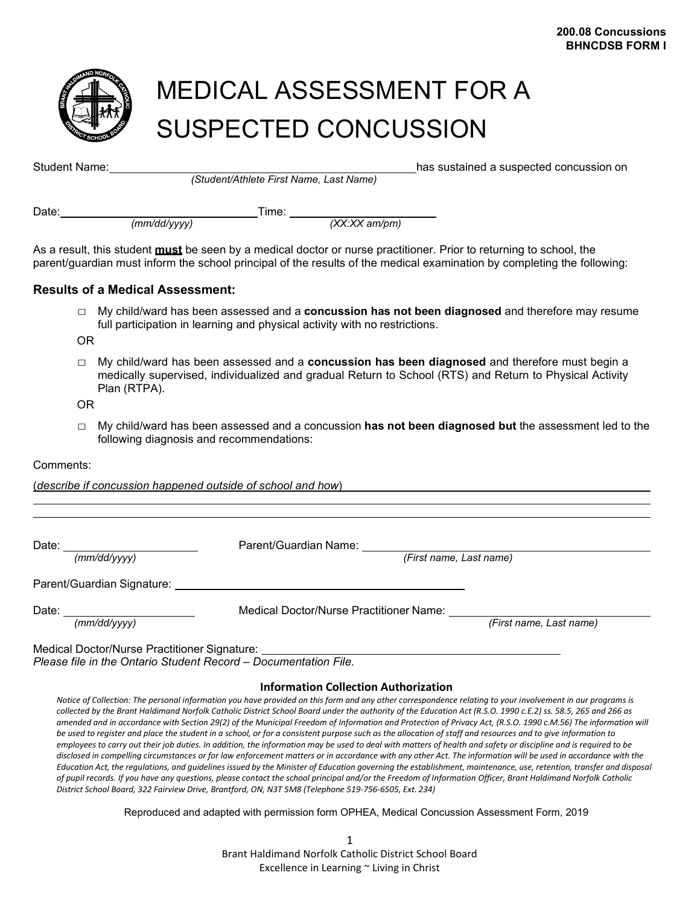

# MEDICAL ASSESSMENT FOR A SUSPECTED CONCUSSION

| <b>Student Name:</b> |                                         |                 | has sustained a suspected concussion on |
|----------------------|-----------------------------------------|-----------------|-----------------------------------------|
|                      | (Student/Athlete First Name, Last Name) |                 |                                         |
| Date:                | Time:                                   |                 |                                         |
|                      | (mm/dd/vvvv)                            | $(XX:XX$ am/pm) |                                         |

As a result, this student **must** be seen by a medical doctor or nurse practitioner. Prior to returning to school, the parent/guardian must inform the school principal of the results of the medical examination by completing the following:

## **Results of a Medical Assessment:**

□ My child/ward has been assessed and a **concussion has not been diagnosed** and therefore may resume full participation in learning and physical activity with no restrictions.

OR

□ My child/ward has been assessed and a **concussion has been diagnosed** and therefore must begin a medically supervised, individualized and gradual Return to School (RTS) and Return to Physical Activity Plan (RTPA).

OR

□ My child/ward has been assessed and a concussion **has not been diagnosed but** the assessment led to the following diagnosis and recommendations:

## Comments:

(*describe if concussion happened outside of school and how*)

| Date: ___________________       | Parent/Guardian Name:                                                                                                                                                                                                          |                         |
|---------------------------------|--------------------------------------------------------------------------------------------------------------------------------------------------------------------------------------------------------------------------------|-------------------------|
| (mm/dd/yyyy)                    | (First name, Last name)                                                                                                                                                                                                        |                         |
|                                 | Parent/Guardian Signature: University of the Contract of the Contract of the Contract of the Contract of the Contract of the Contract of the Contract of the Contract of the Contract of the Contract of the Contract of the C |                         |
| Date: _________________________ | Medical Doctor/Nurse Practitioner Name:                                                                                                                                                                                        |                         |
| (mm/dd/vvvv)                    |                                                                                                                                                                                                                                | (First name, Last name) |

## **Information Collection Authorization**

*Notice of Collection: The personal information you have provided on this form and any other correspondence relating to your involvement in our programs is collected by the Brant Haldimand Norfolk Catholic District School Board under the authority of the Education Act (R.S.O. 1990 c.E.2) ss. 58.5, 265 and 266 as amended and in accordance with Section 29(2) of the Municipal Freedom of Information and Protection of Privacy Act, (R.S.O. 1990 c.M.56) The information will be used to register and place the student in a school, or for a consistent purpose such as the allocation of staff and resources and to give information to employees to carry out their job duties. In addition, the information may be used to deal with matters of health and safety or discipline and is required to be disclosed in compelling circumstances or for law enforcement matters or in accordance with any other Act. The information will be used in accordance with the*  Education Act, the regulations, and quidelines issued by the Minister of Education governing the establishment, maintenance, use, retention, transfer and disposal *of pupil records. If you have any questions, please contact the school principal and/or the Freedom of Information Officer, Brant Haldimand Norfolk Catholic District School Board, 322 Fairview Drive, Brantford, ON, N3T 5M8 (Telephone 519-756-6505, Ext. 234)*

Reproduced and adapted with permission form OPHEA, Medical Concussion Assessment Form, 2019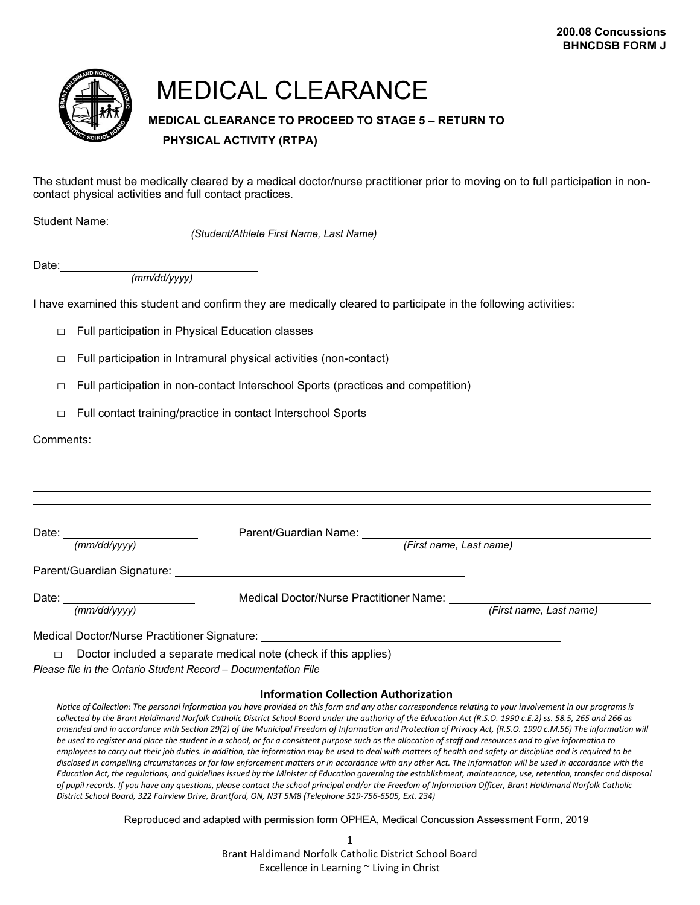

## MEDICAL CLEARANCE

## **MEDICAL CLEARANCE TO PROCEED TO STAGE 5 – RETURN TO PHYSICAL ACTIVITY (RTPA)**

The student must be medically cleared by a medical doctor/nurse practitioner prior to moving on to full participation in noncontact physical activities and full contact practices.

Student Name:

*(Student/Athlete First Name, Last Name)*

Date:

*(mm/dd/yyyy)*

I have examined this student and confirm they are medically cleared to participate in the following activities:

□ Full participation in Physical Education classes

 $\Box$  Full participation in Intramural physical activities (non-contact)

 $\Box$  Full participation in non-contact Interschool Sports (practices and competition)

□ Full contact training/practice in contact Interschool Sports

Comments:

| Date: the contract of the contract of the contract of the contract of the contract of the contract of the contract of the contract of the contract of the contract of the contract of the contract of the contract of the cont | Parent/Guardian Name: Names                                                                                                                                                                                                    |                         |
|--------------------------------------------------------------------------------------------------------------------------------------------------------------------------------------------------------------------------------|--------------------------------------------------------------------------------------------------------------------------------------------------------------------------------------------------------------------------------|-------------------------|
| (mm/dd/vvvv)                                                                                                                                                                                                                   | (First name, Last name)                                                                                                                                                                                                        |                         |
|                                                                                                                                                                                                                                |                                                                                                                                                                                                                                |                         |
|                                                                                                                                                                                                                                | Parent/Guardian Signature: with a state of the control of the control of the control of the control of the control of the control of the control of the control of the control of the control of the control of the control of |                         |
|                                                                                                                                                                                                                                |                                                                                                                                                                                                                                |                         |
| Date:                                                                                                                                                                                                                          | Medical Doctor/Nurse Practitioner Name:                                                                                                                                                                                        |                         |
| (mm/dd/vvvv)                                                                                                                                                                                                                   |                                                                                                                                                                                                                                | (First name, Last name) |
|                                                                                                                                                                                                                                |                                                                                                                                                                                                                                |                         |
|                                                                                                                                                                                                                                | Medical Doctor/Nurse Practitioner Signature: ___________________________________                                                                                                                                               |                         |
| $\Box$                                                                                                                                                                                                                         | Doctor included a separate medical note (check if this applies)                                                                                                                                                                |                         |
|                                                                                                                                                                                                                                |                                                                                                                                                                                                                                |                         |

*Please file in the Ontario Student Record – Documentation File*

#### **Information Collection Authorization**

*Notice of Collection: The personal information you have provided on this form and any other correspondence relating to your involvement in our programs is collected by the Brant Haldimand Norfolk Catholic District School Board under the authority of the Education Act (R.S.O. 1990 c.E.2) ss. 58.5, 265 and 266 as amended and in accordance with Section 29(2) of the Municipal Freedom of Information and Protection of Privacy Act, (R.S.O. 1990 c.M.56) The information will be used to register and place the student in a school, or for a consistent purpose such as the allocation of staff and resources and to give information to employees to carry out their job duties. In addition, the information may be used to deal with matters of health and safety or discipline and is required to be disclosed in compelling circumstances or for law enforcement matters or in accordance with any other Act. The information will be used in accordance with the*  Education Act, the regulations, and guidelines issued by the Minister of Education governing the establishment, maintenance, use, retention, transfer and disposal *of pupil records. If you have any questions, please contact the school principal and/or the Freedom of Information Officer, Brant Haldimand Norfolk Catholic District School Board, 322 Fairview Drive, Brantford, ON, N3T 5M8 (Telephone 519-756-6505, Ext. 234)*

Reproduced and adapted with permission form OPHEA, Medical Concussion Assessment Form, 2019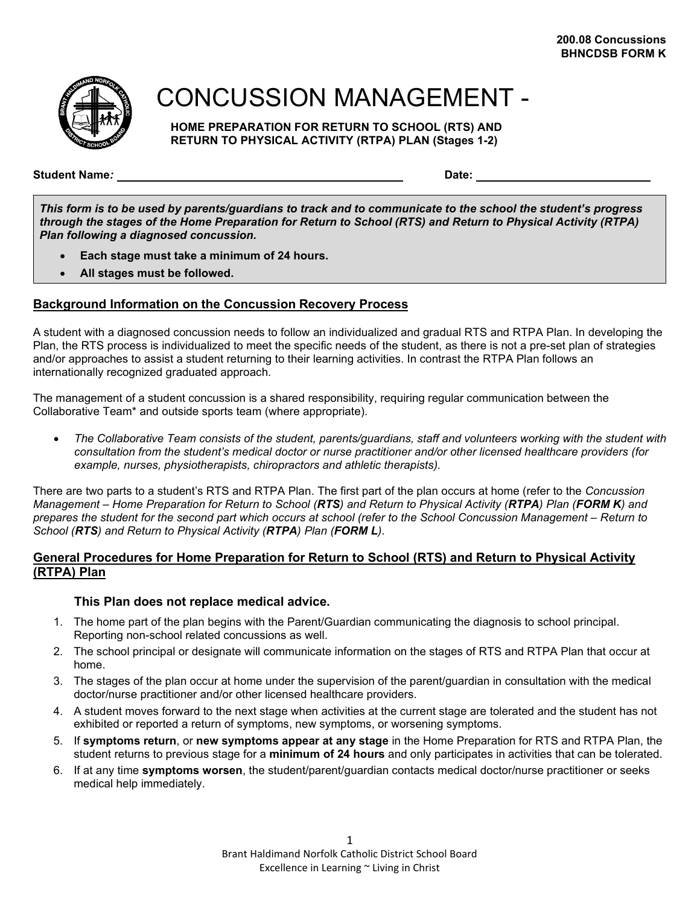

## CONCUSSION MANAGEMENT -

**HOME PREPARATION FOR RETURN TO SCHOOL (RTS) AND RETURN TO PHYSICAL ACTIVITY (RTPA) PLAN (Stages 1-2)**

**Student Name***:* **Date:**

*This form is to be used by parents/guardians to track and to communicate to the school the student's progress through the stages of the Home Preparation for Return to School (RTS) and Return to Physical Activity (RTPA) Plan following a diagnosed concussion.*

- **Each stage must take a minimum of 24 hours.**
- **All stages must be followed.**

## **Background Information on the Concussion Recovery Process**

A student with a diagnosed concussion needs to follow an individualized and gradual RTS and RTPA Plan. In developing the Plan, the RTS process is individualized to meet the specific needs of the student, as there is not a pre-set plan of strategies and/or approaches to assist a student returning to their learning activities. In contrast the RTPA Plan follows an internationally recognized graduated approach.

The management of a student concussion is a shared responsibility, requiring regular communication between the Collaborative Team\* and outside sports team (where appropriate).

• *The Collaborative Team consists of the student, parents/guardians, staff and volunteers working with the student with consultation from the student's medical doctor or nurse practitioner and/or other licensed healthcare providers (for example, nurses, physiotherapists, chiropractors and athletic therapists).*

There are two parts to a student's RTS and RTPA Plan. The first part of the plan occurs at home (refer to the *Concussion Management – Home Preparation for Return to School (RTS) and Return to Physical Activity (RTPA) Plan (FORM K) and prepares the student for the second part which occurs at school (refer to the School Concussion Management – Return to School (RTS) and Return to Physical Activity (RTPA) Plan (FORM L)*.

## **General Procedures for Home Preparation for Return to School (RTS) and Return to Physical Activity (RTPA) Plan**

## **This Plan does not replace medical advice.**

- 1. The home part of the plan begins with the Parent/Guardian communicating the diagnosis to school principal. Reporting non-school related concussions as well.
- 2. The school principal or designate will communicate information on the stages of RTS and RTPA Plan that occur at home.
- 3. The stages of the plan occur at home under the supervision of the parent/guardian in consultation with the medical doctor/nurse practitioner and/or other licensed healthcare providers.
- 4. A student moves forward to the next stage when activities at the current stage are tolerated and the student has not exhibited or reported a return of symptoms, new symptoms, or worsening symptoms.
- 5. If **symptoms return**, or **new symptoms appear at any stage** in the Home Preparation for RTS and RTPA Plan, the student returns to previous stage for a **minimum of 24 hours** and only participates in activities that can be tolerated.
- 6. If at any time **symptoms worsen**, the student/parent/guardian contacts medical doctor/nurse practitioner or seeks medical help immediately.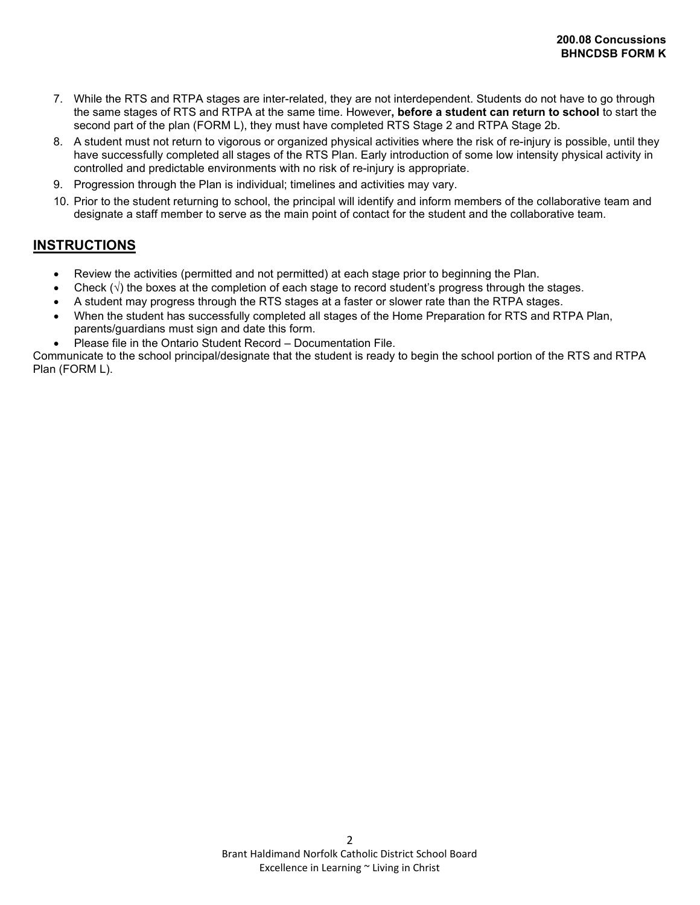- 7. While the RTS and RTPA stages are inter-related, they are not interdependent. Students do not have to go through the same stages of RTS and RTPA at the same time. However**, before a student can return to school** to start the second part of the plan (FORM L), they must have completed RTS Stage 2 and RTPA Stage 2b.
- 8. A student must not return to vigorous or organized physical activities where the risk of re-injury is possible, until they have successfully completed all stages of the RTS Plan. Early introduction of some low intensity physical activity in controlled and predictable environments with no risk of re-injury is appropriate.
- 9. Progression through the Plan is individual; timelines and activities may vary.
- 10. Prior to the student returning to school, the principal will identify and inform members of the collaborative team and designate a staff member to serve as the main point of contact for the student and the collaborative team.

## **INSTRUCTIONS**

- Review the activities (permitted and not permitted) at each stage prior to beginning the Plan.
- Check  $(\sqrt{)}$  the boxes at the completion of each stage to record student's progress through the stages.
- A student may progress through the RTS stages at a faster or slower rate than the RTPA stages.
- When the student has successfully completed all stages of the Home Preparation for RTS and RTPA Plan, parents/guardians must sign and date this form.
- Please file in the Ontario Student Record Documentation File.

Communicate to the school principal/designate that the student is ready to begin the school portion of the RTS and RTPA Plan (FORM L).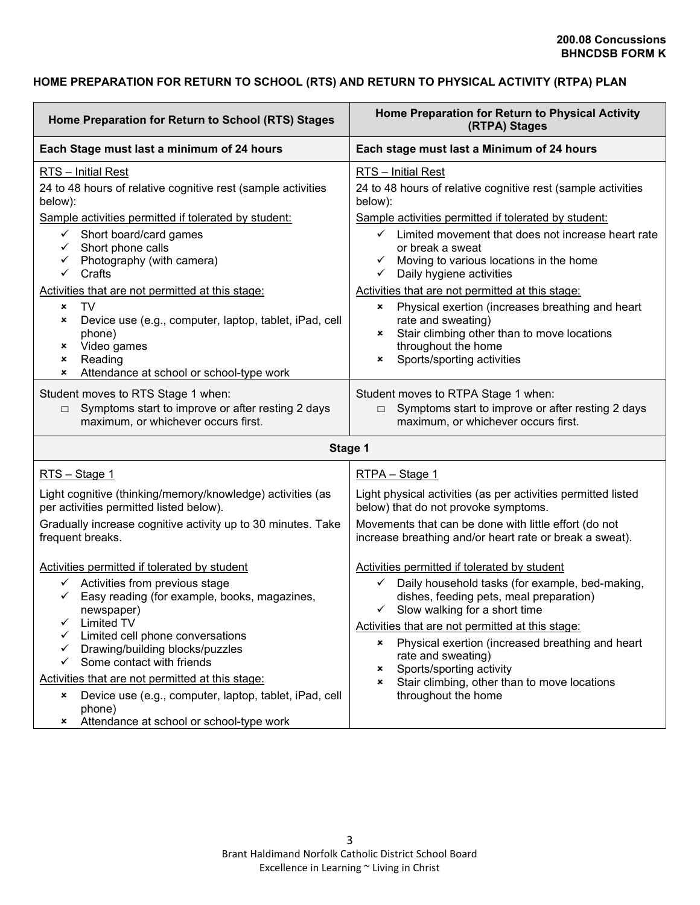## **HOME PREPARATION FOR RETURN TO SCHOOL (RTS) AND RETURN TO PHYSICAL ACTIVITY (RTPA) PLAN**

| Home Preparation for Return to School (RTS) Stages                                                                                                                                                                                                                                                                                                                                                                                                                                                                                              | Home Preparation for Return to Physical Activity<br>(RTPA) Stages                                                                                                                                                                                                                                                                                                                                                                                                                                                                                                                           |  |
|-------------------------------------------------------------------------------------------------------------------------------------------------------------------------------------------------------------------------------------------------------------------------------------------------------------------------------------------------------------------------------------------------------------------------------------------------------------------------------------------------------------------------------------------------|---------------------------------------------------------------------------------------------------------------------------------------------------------------------------------------------------------------------------------------------------------------------------------------------------------------------------------------------------------------------------------------------------------------------------------------------------------------------------------------------------------------------------------------------------------------------------------------------|--|
| Each Stage must last a minimum of 24 hours                                                                                                                                                                                                                                                                                                                                                                                                                                                                                                      | Each stage must last a Minimum of 24 hours                                                                                                                                                                                                                                                                                                                                                                                                                                                                                                                                                  |  |
| RTS - Initial Rest<br>24 to 48 hours of relative cognitive rest (sample activities<br>below):<br>Sample activities permitted if tolerated by student:<br>Short board/card games<br>$\checkmark$<br>$\checkmark$<br>Short phone calls<br>Photography (with camera)<br>$\checkmark$<br>$\checkmark$<br>Crafts<br>Activities that are not permitted at this stage:<br><b>TV</b><br>×<br>Device use (e.g., computer, laptop, tablet, iPad, cell<br>×<br>phone)<br>Video games<br>×<br>Reading<br>×<br>Attendance at school or school-type work<br>× | <b>RTS</b> - Initial Rest<br>24 to 48 hours of relative cognitive rest (sample activities<br>below):<br>Sample activities permitted if tolerated by student:<br>$\checkmark$ Limited movement that does not increase heart rate<br>or break a sweat<br>Moving to various locations in the home<br>Daily hygiene activities<br>$\checkmark$<br>Activities that are not permitted at this stage:<br>Physical exertion (increases breathing and heart<br>×<br>rate and sweating)<br>Stair climbing other than to move locations<br>×<br>throughout the home<br>Sports/sporting activities<br>× |  |
| Student moves to RTS Stage 1 when:<br>Symptoms start to improve or after resting 2 days<br>$\Box$<br>maximum, or whichever occurs first.                                                                                                                                                                                                                                                                                                                                                                                                        | Student moves to RTPA Stage 1 when:<br>Symptoms start to improve or after resting 2 days<br>$\Box$<br>maximum, or whichever occurs first.                                                                                                                                                                                                                                                                                                                                                                                                                                                   |  |
| Stage 1                                                                                                                                                                                                                                                                                                                                                                                                                                                                                                                                         |                                                                                                                                                                                                                                                                                                                                                                                                                                                                                                                                                                                             |  |
| RTS - Stage 1                                                                                                                                                                                                                                                                                                                                                                                                                                                                                                                                   | RTPA - Stage 1                                                                                                                                                                                                                                                                                                                                                                                                                                                                                                                                                                              |  |
| Light cognitive (thinking/memory/knowledge) activities (as<br>per activities permitted listed below).<br>Gradually increase cognitive activity up to 30 minutes. Take<br>frequent breaks.                                                                                                                                                                                                                                                                                                                                                       | Light physical activities (as per activities permitted listed<br>below) that do not provoke symptoms.<br>Movements that can be done with little effort (do not<br>increase breathing and/or heart rate or break a sweat).                                                                                                                                                                                                                                                                                                                                                                   |  |
| Activities permitted if tolerated by student<br>$\checkmark$ Activities from previous stage<br>Easy reading (for example, books, magazines,<br>$\checkmark$<br>newspaper)<br><b>Limited TV</b><br>Limited cell phone conversations<br>Drawing/building blocks/puzzles<br>✓<br>Some contact with friends<br>$\checkmark$<br>Activities that are not permitted at this stage:<br>Device use (e.g., computer, laptop, tablet, iPad, cell<br>×<br>phone)<br>Attendance at school or school-type work<br>×                                           | Activities permitted if tolerated by student<br>Daily household tasks (for example, bed-making,<br>$\checkmark$<br>dishes, feeding pets, meal preparation)<br>$\checkmark$ Slow walking for a short time<br>Activities that are not permitted at this stage:<br>Physical exertion (increased breathing and heart<br>$\pmb{\times}$<br>rate and sweating)<br>Sports/sporting activity<br>×<br>Stair climbing, other than to move locations<br>×<br>throughout the home                                                                                                                       |  |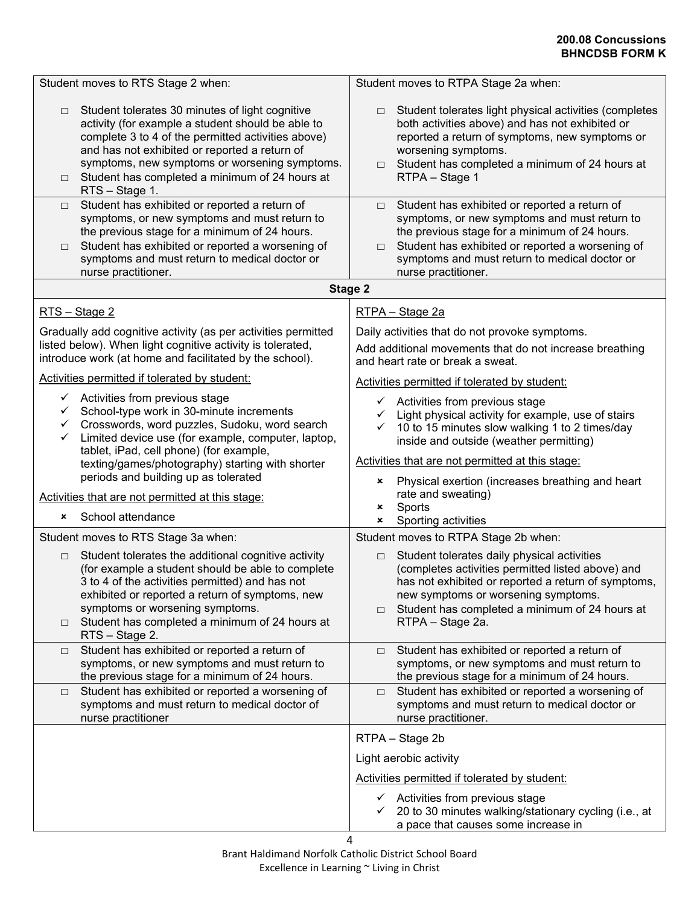| Student tolerates 30 minutes of light cognitive<br>$\Box$<br>activity (for example a student should be able to<br>complete 3 to 4 of the permitted activities above)<br>and has not exhibited or reported a return of<br>symptoms, new symptoms or worsening symptoms.<br>Student has completed a minimum of 24 hours at<br>$\Box$<br>RTS - Stage 1. | Student tolerates light physical activities (completes<br>$\Box$<br>both activities above) and has not exhibited or<br>reported a return of symptoms, new symptoms or<br>worsening symptoms.<br>Student has completed a minimum of 24 hours at<br>$\Box$<br>RTPA - Stage 1                     |
|------------------------------------------------------------------------------------------------------------------------------------------------------------------------------------------------------------------------------------------------------------------------------------------------------------------------------------------------------|------------------------------------------------------------------------------------------------------------------------------------------------------------------------------------------------------------------------------------------------------------------------------------------------|
| Student has exhibited or reported a return of<br>$\Box$<br>symptoms, or new symptoms and must return to<br>the previous stage for a minimum of 24 hours.<br>Student has exhibited or reported a worsening of<br>$\Box$<br>symptoms and must return to medical doctor or<br>nurse practitioner.                                                       | Student has exhibited or reported a return of<br>$\Box$<br>symptoms, or new symptoms and must return to<br>the previous stage for a minimum of 24 hours.<br>Student has exhibited or reported a worsening of<br>$\Box$<br>symptoms and must return to medical doctor or<br>nurse practitioner. |
| <b>Stage 2</b>                                                                                                                                                                                                                                                                                                                                       |                                                                                                                                                                                                                                                                                                |
| RTS - Stage 2                                                                                                                                                                                                                                                                                                                                        | RTPA - Stage 2a                                                                                                                                                                                                                                                                                |
| Gradually add cognitive activity (as per activities permitted<br>listed below). When light cognitive activity is tolerated,<br>introduce work (at home and facilitated by the school).                                                                                                                                                               | Daily activities that do not provoke symptoms.<br>Add additional movements that do not increase breathing<br>and heart rate or break a sweat.                                                                                                                                                  |
| Activities permitted if tolerated by student:                                                                                                                                                                                                                                                                                                        | Activities permitted if tolerated by student:                                                                                                                                                                                                                                                  |
| $\checkmark$ Activities from previous stage<br>School-type work in 30-minute increments<br>$\checkmark$<br>Crosswords, word puzzles, Sudoku, word search<br>$\checkmark$<br>Limited device use (for example, computer, laptop,<br>✓<br>tablet, iPad, cell phone) (for example,<br>texting/games/photography) starting with shorter                   | $\checkmark$ Activities from previous stage<br>Light physical activity for example, use of stairs<br>$\checkmark$<br>10 to 15 minutes slow walking 1 to 2 times/day<br>inside and outside (weather permitting)<br>Activities that are not permitted at this stage:                             |
| periods and building up as tolerated                                                                                                                                                                                                                                                                                                                 | Physical exertion (increases breathing and heart<br>×                                                                                                                                                                                                                                          |
| Activities that are not permitted at this stage:<br>School attendance<br>×                                                                                                                                                                                                                                                                           | rate and sweating)<br>Sports<br>×<br>Sporting activities<br>×                                                                                                                                                                                                                                  |
| Student moves to RTS Stage 3a when:                                                                                                                                                                                                                                                                                                                  | Student moves to RTPA Stage 2b when:                                                                                                                                                                                                                                                           |
| Student tolerates the additional cognitive activity<br>$\Box$<br>(for example a student should be able to complete<br>3 to 4 of the activities permitted) and has not<br>exhibited or reported a return of symptoms, new<br>symptoms or worsening symptoms.<br>Student has completed a minimum of 24 hours at<br>$\Box$<br>RTS - Stage 2.            | Student tolerates daily physical activities<br>$\Box$<br>(completes activities permitted listed above) and<br>has not exhibited or reported a return of symptoms,<br>new symptoms or worsening symptoms.<br>Student has completed a minimum of 24 hours at<br>$\Box$<br>RTPA - Stage 2a.       |
| Student has exhibited or reported a return of<br>$\Box$<br>symptoms, or new symptoms and must return to<br>the previous stage for a minimum of 24 hours.                                                                                                                                                                                             | Student has exhibited or reported a return of<br>$\Box$<br>symptoms, or new symptoms and must return to<br>the previous stage for a minimum of 24 hours.                                                                                                                                       |
| Student has exhibited or reported a worsening of<br>$\Box$<br>symptoms and must return to medical doctor of<br>nurse practitioner                                                                                                                                                                                                                    | Student has exhibited or reported a worsening of<br>$\Box$<br>symptoms and must return to medical doctor or<br>nurse practitioner.                                                                                                                                                             |
|                                                                                                                                                                                                                                                                                                                                                      | RTPA - Stage 2b                                                                                                                                                                                                                                                                                |
|                                                                                                                                                                                                                                                                                                                                                      | Light aerobic activity                                                                                                                                                                                                                                                                         |
|                                                                                                                                                                                                                                                                                                                                                      | Activities permitted if tolerated by student:                                                                                                                                                                                                                                                  |
| 4                                                                                                                                                                                                                                                                                                                                                    | Activities from previous stage<br>$\checkmark$<br>20 to 30 minutes walking/stationary cycling (i.e., at<br>a pace that causes some increase in                                                                                                                                                 |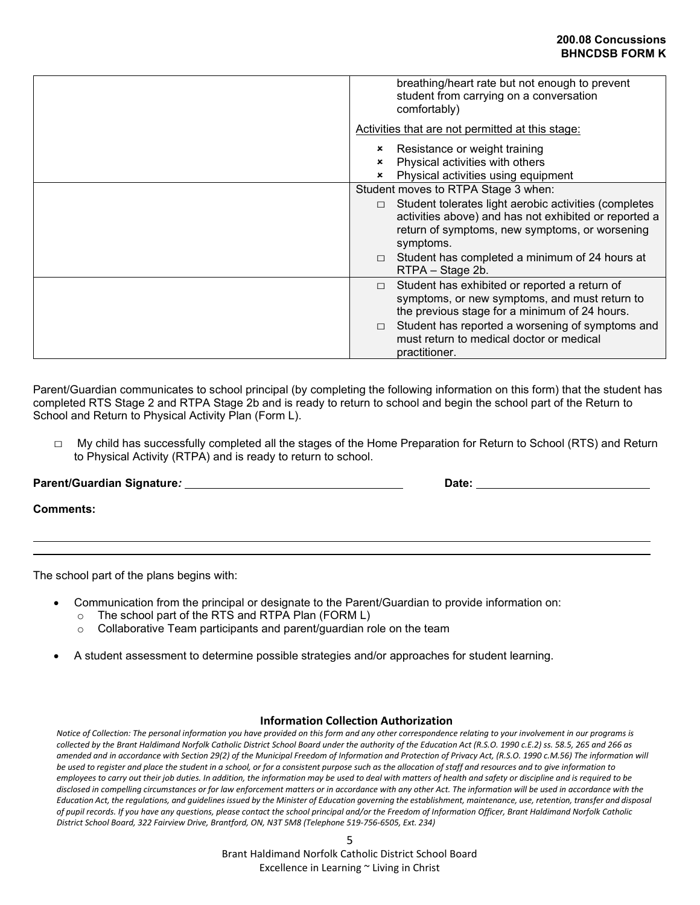| breathing/heart rate but not enough to prevent<br>student from carrying on a conversation<br>comfortably)                                                                                                                                                                  |
|----------------------------------------------------------------------------------------------------------------------------------------------------------------------------------------------------------------------------------------------------------------------------|
| Activities that are not permitted at this stage:                                                                                                                                                                                                                           |
| Resistance or weight training<br>Physical activities with others<br>×<br>Physical activities using equipment<br>$\pmb{\times}$                                                                                                                                             |
| Student moves to RTPA Stage 3 when:                                                                                                                                                                                                                                        |
| Student tolerates light aerobic activities (completes<br>activities above) and has not exhibited or reported a<br>return of symptoms, new symptoms, or worsening<br>symptoms.<br>Student has completed a minimum of 24 hours at<br>RTPA - Stage 2b.                        |
| Student has exhibited or reported a return of<br>$\Box$<br>symptoms, or new symptoms, and must return to<br>the previous stage for a minimum of 24 hours.<br>Student has reported a worsening of symptoms and<br>must return to medical doctor or medical<br>practitioner. |

Parent/Guardian communicates to school principal (by completing the following information on this form) that the student has completed RTS Stage 2 and RTPA Stage 2b and is ready to return to school and begin the school part of the Return to School and Return to Physical Activity Plan (Form L).

 $\Box$  My child has successfully completed all the stages of the Home Preparation for Return to School (RTS) and Return to Physical Activity (RTPA) and is ready to return to school.

Parent/Guardian Signature*:* <u>**Date: Date: Date: Date: Date: Date: Date: Date: Date: Date: Date: Date: Date: Date: Date: Date: Date: Date: Date: Date: Date: Date: Date: Date:** </u>

**Comments:**

The school part of the plans begins with:

- Communication from the principal or designate to the Parent/Guardian to provide information on:
	- o The school part of the RTS and RTPA Plan (FORM L)
	- o Collaborative Team participants and parent/guardian role on the team
- A student assessment to determine possible strategies and/or approaches for student learning.

#### **Information Collection Authorization**

*Notice of Collection: The personal information you have provided on this form and any other correspondence relating to your involvement in our programs is collected by the Brant Haldimand Norfolk Catholic District School Board under the authority of the Education Act (R.S.O. 1990 c.E.2) ss. 58.5, 265 and 266 as amended and in accordance with Section 29(2) of the Municipal Freedom of Information and Protection of Privacy Act, (R.S.O. 1990 c.M.56) The information will be used to register and place the student in a school, or for a consistent purpose such as the allocation of staff and resources and to give information to employees to carry out their job duties. In addition, the information may be used to deal with matters of health and safety or discipline and is required to be disclosed in compelling circumstances or for law enforcement matters or in accordance with any other Act. The information will be used in accordance with the*  Education Act, the regulations, and guidelines issued by the Minister of Education governing the establishment, maintenance, use, retention, transfer and disposal *of pupil records. If you have any questions, please contact the school principal and/or the Freedom of Information Officer, Brant Haldimand Norfolk Catholic District School Board, 322 Fairview Drive, Brantford, ON, N3T 5M8 (Telephone 519-756-6505, Ext. 234)*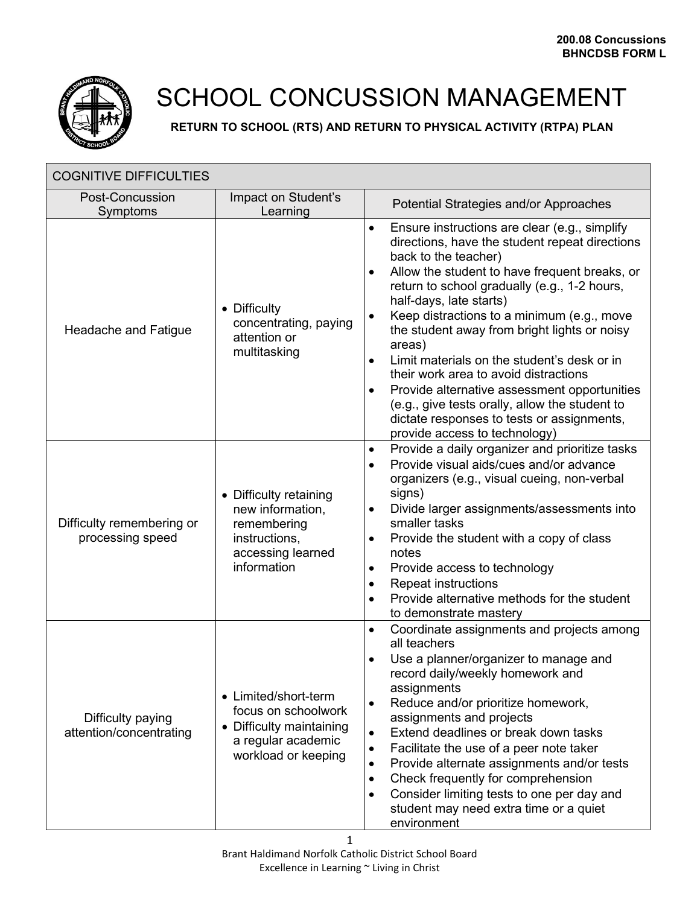

## SCHOOL CONCUSSION MANAGEMENT

**RETURN TO SCHOOL (RTS) AND RETURN TO PHYSICAL ACTIVITY (RTPA) PLAN**

| <b>COGNITIVE DIFFICULTIES</b>                 |                                                                                                                      |                                                                                                                                                                                                                                                                                                                                                                                                                                                                                                                                                                                                                                                                                               |
|-----------------------------------------------|----------------------------------------------------------------------------------------------------------------------|-----------------------------------------------------------------------------------------------------------------------------------------------------------------------------------------------------------------------------------------------------------------------------------------------------------------------------------------------------------------------------------------------------------------------------------------------------------------------------------------------------------------------------------------------------------------------------------------------------------------------------------------------------------------------------------------------|
| <b>Post-Concussion</b><br>Symptoms            | Impact on Student's<br>Learning                                                                                      | Potential Strategies and/or Approaches                                                                                                                                                                                                                                                                                                                                                                                                                                                                                                                                                                                                                                                        |
| Headache and Fatigue                          | • Difficulty<br>concentrating, paying<br>attention or<br>multitasking                                                | Ensure instructions are clear (e.g., simplify<br>$\bullet$<br>directions, have the student repeat directions<br>back to the teacher)<br>Allow the student to have frequent breaks, or<br>$\bullet$<br>return to school gradually (e.g., 1-2 hours,<br>half-days, late starts)<br>Keep distractions to a minimum (e.g., move<br>٠<br>the student away from bright lights or noisy<br>areas)<br>Limit materials on the student's desk or in<br>$\bullet$<br>their work area to avoid distractions<br>Provide alternative assessment opportunities<br>$\bullet$<br>(e.g., give tests orally, allow the student to<br>dictate responses to tests or assignments,<br>provide access to technology) |
| Difficulty remembering or<br>processing speed | • Difficulty retaining<br>new information,<br>remembering<br>instructions,<br>accessing learned<br>information       | Provide a daily organizer and prioritize tasks<br>$\bullet$<br>Provide visual aids/cues and/or advance<br>$\bullet$<br>organizers (e.g., visual cueing, non-verbal<br>signs)<br>Divide larger assignments/assessments into<br>٠<br>smaller tasks<br>Provide the student with a copy of class<br>٠<br>notes<br>Provide access to technology<br>$\bullet$<br><b>Repeat instructions</b><br>$\bullet$<br>Provide alternative methods for the student<br>$\bullet$<br>to demonstrate mastery                                                                                                                                                                                                      |
| Difficulty paying<br>attention/concentrating  | • Limited/short-term<br>focus on schoolwork<br>• Difficulty maintaining<br>a regular academic<br>workload or keeping | Coordinate assignments and projects among<br>$\bullet$<br>all teachers<br>Use a planner/organizer to manage and<br>record daily/weekly homework and<br>assignments<br>Reduce and/or prioritize homework,<br>$\bullet$<br>assignments and projects<br>Extend deadlines or break down tasks<br>$\bullet$<br>Facilitate the use of a peer note taker<br>Provide alternate assignments and/or tests<br>$\bullet$<br>Check frequently for comprehension<br>$\bullet$<br>Consider limiting tests to one per day and<br>$\bullet$<br>student may need extra time or a quiet<br>environment                                                                                                           |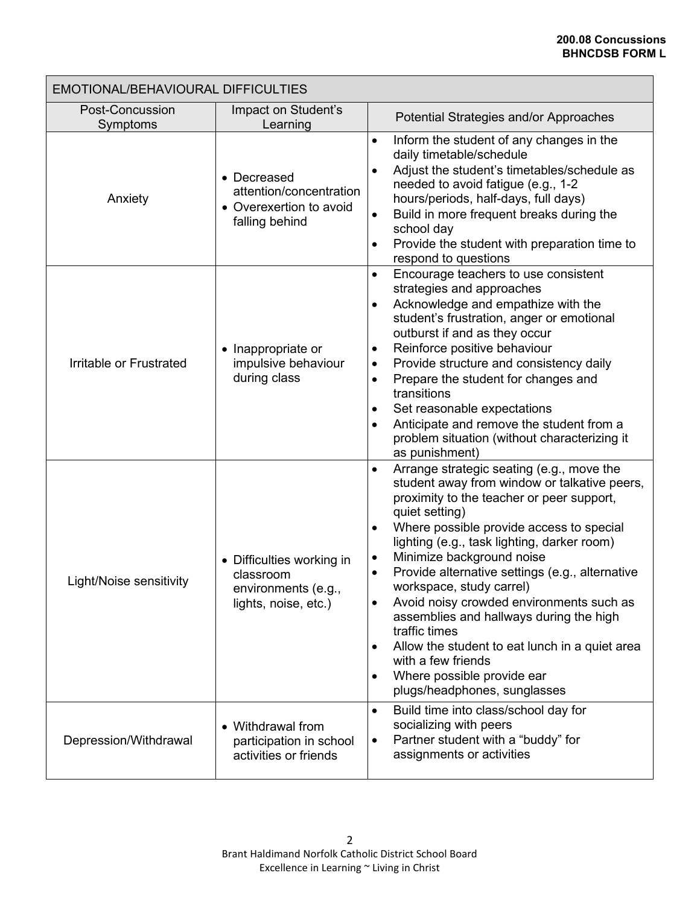| EMOTIONAL/BEHAVIOURAL DIFFICULTIES |                                                                                       |                                                                                                                                                                                                                                                                                                                                                                                                                                                                                                                                                                                                                                                                                                          |  |  |  |  |  |  |  |
|------------------------------------|---------------------------------------------------------------------------------------|----------------------------------------------------------------------------------------------------------------------------------------------------------------------------------------------------------------------------------------------------------------------------------------------------------------------------------------------------------------------------------------------------------------------------------------------------------------------------------------------------------------------------------------------------------------------------------------------------------------------------------------------------------------------------------------------------------|--|--|--|--|--|--|--|
| <b>Post-Concussion</b><br>Symptoms | Impact on Student's<br>Learning                                                       | Potential Strategies and/or Approaches                                                                                                                                                                                                                                                                                                                                                                                                                                                                                                                                                                                                                                                                   |  |  |  |  |  |  |  |
| Anxiety                            | • Decreased<br>attention/concentration<br>• Overexertion to avoid<br>falling behind   | Inform the student of any changes in the<br>$\bullet$<br>daily timetable/schedule<br>Adjust the student's timetables/schedule as<br>$\bullet$<br>needed to avoid fatigue (e.g., 1-2<br>hours/periods, half-days, full days)<br>Build in more frequent breaks during the<br>$\bullet$<br>school day<br>Provide the student with preparation time to<br>$\bullet$<br>respond to questions                                                                                                                                                                                                                                                                                                                  |  |  |  |  |  |  |  |
| Irritable or Frustrated            | • Inappropriate or<br>impulsive behaviour<br>during class                             | Encourage teachers to use consistent<br>$\bullet$<br>strategies and approaches<br>Acknowledge and empathize with the<br>$\bullet$<br>student's frustration, anger or emotional<br>outburst if and as they occur<br>Reinforce positive behaviour<br>$\bullet$<br>Provide structure and consistency daily<br>$\bullet$<br>Prepare the student for changes and<br>$\bullet$<br>transitions<br>Set reasonable expectations<br>$\bullet$<br>Anticipate and remove the student from a<br>$\bullet$<br>problem situation (without characterizing it<br>as punishment)                                                                                                                                           |  |  |  |  |  |  |  |
| Light/Noise sensitivity            | • Difficulties working in<br>classroom<br>environments (e.g.,<br>lights, noise, etc.) | Arrange strategic seating (e.g., move the<br>$\bullet$<br>student away from window or talkative peers,<br>proximity to the teacher or peer support,<br>quiet setting)<br>Where possible provide access to special<br>$\bullet$<br>lighting (e.g., task lighting, darker room)<br>Minimize background noise<br>$\bullet$<br>Provide alternative settings (e.g., alternative<br>$\bullet$<br>workspace, study carrel)<br>Avoid noisy crowded environments such as<br>$\bullet$<br>assemblies and hallways during the high<br>traffic times<br>Allow the student to eat lunch in a quiet area<br>$\bullet$<br>with a few friends<br>Where possible provide ear<br>$\bullet$<br>plugs/headphones, sunglasses |  |  |  |  |  |  |  |
| Depression/Withdrawal              | • Withdrawal from<br>participation in school<br>activities or friends                 | Build time into class/school day for<br>$\bullet$<br>socializing with peers<br>Partner student with a "buddy" for<br>$\bullet$<br>assignments or activities                                                                                                                                                                                                                                                                                                                                                                                                                                                                                                                                              |  |  |  |  |  |  |  |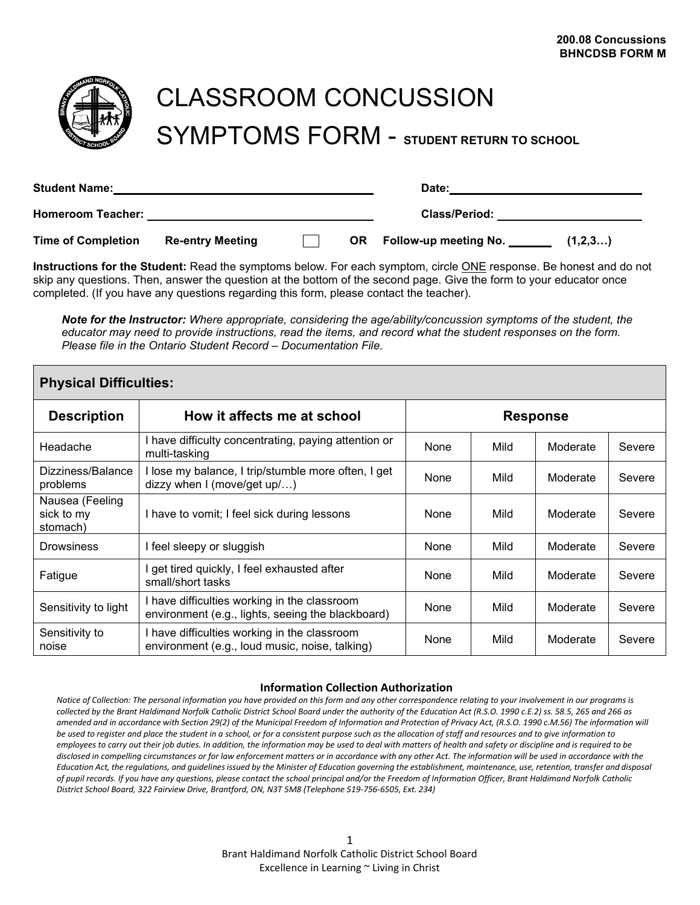

# CLASSROOM CONCUSSION SYMPTOMS FORM - **STUDENT RETURN TO SCHOOL**

| <b>Student Name:</b>      |                         | Date:                |  |                          |         |  |  |
|---------------------------|-------------------------|----------------------|--|--------------------------|---------|--|--|
| <b>Homeroom Teacher:</b>  |                         | <b>Class/Period:</b> |  |                          |         |  |  |
| <b>Time of Completion</b> | <b>Re-entry Meeting</b> |                      |  | OR Follow-up meeting No. | (1,2,3) |  |  |

**Instructions for the Student:** Read the symptoms below. For each symptom, circle ONE response. Be honest and do not skip any questions. Then, answer the question at the bottom of the second page. Give the form to your educator once completed. (If you have any questions regarding this form, please contact the teacher).

*Note for the Instructor: Where appropriate, considering the age/ability/concussion symptoms of the student, the educator may need to provide instructions, read the items, and record what the student responses on the form. Please file in the Ontario Student Record – Documentation File.* 

| <b>Physical Difficulties:</b>             |                                                                                                   |      |      |          |        |  |  |  |  |  |  |
|-------------------------------------------|---------------------------------------------------------------------------------------------------|------|------|----------|--------|--|--|--|--|--|--|
| <b>Description</b>                        | How it affects me at school<br><b>Response</b>                                                    |      |      |          |        |  |  |  |  |  |  |
| Headache                                  | I have difficulty concentrating, paying attention or<br>multi-tasking                             | None | Mild | Moderate | Severe |  |  |  |  |  |  |
| Dizziness/Balance<br>problems             | l lose my balance, I trip/stumble more often, I get<br>dizzy when I (move/get up/)                | None | Mild | Moderate | Severe |  |  |  |  |  |  |
| Nausea (Feeling<br>sick to my<br>stomach) | I have to vomit; I feel sick during lessons                                                       | None | Mild | Moderate | Severe |  |  |  |  |  |  |
| <b>Drowsiness</b>                         | I feel sleepy or sluggish                                                                         | None | Mild | Moderate | Severe |  |  |  |  |  |  |
| Fatigue                                   | get tired quickly, I feel exhausted after<br>small/short tasks                                    | None | Mild | Moderate | Severe |  |  |  |  |  |  |
| Sensitivity to light                      | I have difficulties working in the classroom<br>environment (e.g., lights, seeing the blackboard) | None | Mild | Moderate | Severe |  |  |  |  |  |  |
| Sensitivity to<br>noise                   | I have difficulties working in the classroom<br>environment (e.g., loud music, noise, talking)    | None | Mild | Moderate | Severe |  |  |  |  |  |  |

## **Information Collection Authorization**

*Notice of Collection: The personal information you have provided on this form and any other correspondence relating to your involvement in our programs is collected by the Brant Haldimand Norfolk Catholic District School Board under the authority of the Education Act (R.S.O. 1990 c.E.2) ss. 58.5, 265 and 266 as amended and in accordance with Section 29(2) of the Municipal Freedom of Information and Protection of Privacy Act, (R.S.O. 1990 c.M.56) The information will be used to register and place the student in a school, or for a consistent purpose such as the allocation of staff and resources and to give information to employees to carry out their job duties. In addition, the information may be used to deal with matters of health and safety or discipline and is required to be disclosed in compelling circumstances or for law enforcement matters or in accordance with any other Act. The information will be used in accordance with the*  Education Act, the regulations, and guidelines issued by the Minister of Education governing the establishment, maintenance, use, retention, transfer and disposal *of pupil records. If you have any questions, please contact the school principal and/or the Freedom of Information Officer, Brant Haldimand Norfolk Catholic District School Board, 322 Fairview Drive, Brantford, ON, N3T 5M8 (Telephone 519-756-6505, Ext. 234)*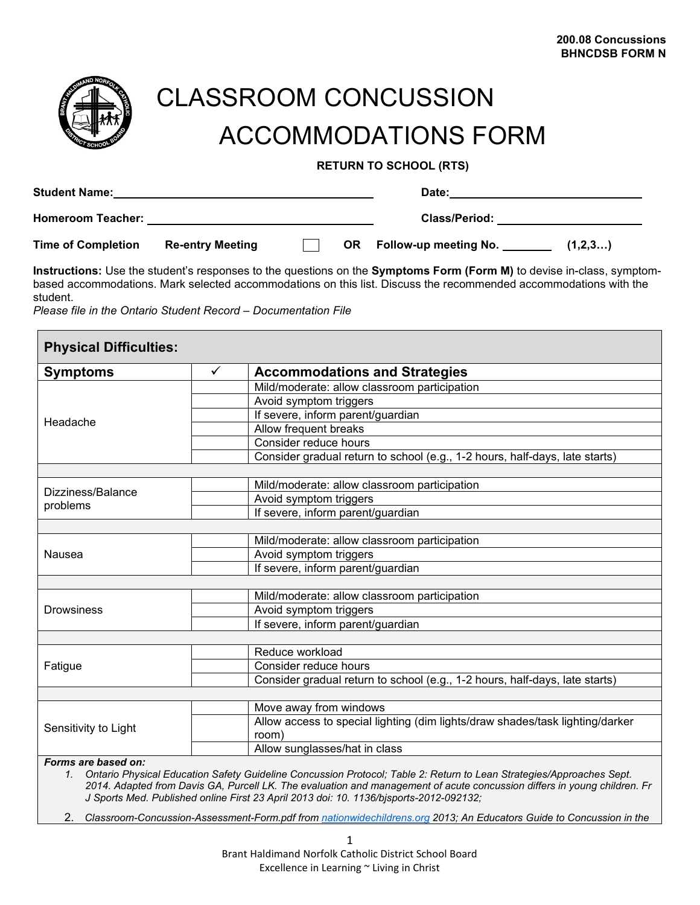

# CLASSROOM CONCUSSION ACCOMMODATIONS FORM

**RETURN TO SCHOOL (RTS)**

| <b>Student Name:</b>      |                         | Date:                |      |                                  |  |
|---------------------------|-------------------------|----------------------|------|----------------------------------|--|
| <b>Homeroom Teacher:</b>  |                         | <b>Class/Period:</b> |      |                                  |  |
| <b>Time of Completion</b> | <b>Re-entry Meeting</b> |                      | OR . | Follow-up meeting No.<br>(1,2,3) |  |

**Instructions:** Use the student's responses to the questions on the **Symptoms Form (Form M)** to devise in-class, symptombased accommodations. Mark selected accommodations on this list. Discuss the recommended accommodations with the student.

*Please file in the Ontario Student Record – Documentation File*

| <b>Physical Difficulties:</b><br><b>Symptoms</b> | $\checkmark$ | <b>Accommodations and Strategies</b>                                                                                                                                                                                                                                                                                                       |
|--------------------------------------------------|--------------|--------------------------------------------------------------------------------------------------------------------------------------------------------------------------------------------------------------------------------------------------------------------------------------------------------------------------------------------|
|                                                  |              | Mild/moderate: allow classroom participation                                                                                                                                                                                                                                                                                               |
|                                                  |              | Avoid symptom triggers                                                                                                                                                                                                                                                                                                                     |
|                                                  |              | If severe, inform parent/guardian                                                                                                                                                                                                                                                                                                          |
| Headache                                         |              | Allow frequent breaks                                                                                                                                                                                                                                                                                                                      |
|                                                  |              | Consider reduce hours                                                                                                                                                                                                                                                                                                                      |
|                                                  |              | Consider gradual return to school (e.g., 1-2 hours, half-days, late starts)                                                                                                                                                                                                                                                                |
|                                                  |              |                                                                                                                                                                                                                                                                                                                                            |
|                                                  |              | Mild/moderate: allow classroom participation                                                                                                                                                                                                                                                                                               |
| Dizziness/Balance                                |              | Avoid symptom triggers                                                                                                                                                                                                                                                                                                                     |
| problems                                         |              | If severe, inform parent/guardian                                                                                                                                                                                                                                                                                                          |
|                                                  |              |                                                                                                                                                                                                                                                                                                                                            |
|                                                  |              | Mild/moderate: allow classroom participation                                                                                                                                                                                                                                                                                               |
| Nausea                                           |              | Avoid symptom triggers                                                                                                                                                                                                                                                                                                                     |
|                                                  |              | If severe, inform parent/guardian                                                                                                                                                                                                                                                                                                          |
|                                                  |              |                                                                                                                                                                                                                                                                                                                                            |
|                                                  |              | Mild/moderate: allow classroom participation                                                                                                                                                                                                                                                                                               |
| <b>Drowsiness</b>                                |              | Avoid symptom triggers                                                                                                                                                                                                                                                                                                                     |
|                                                  |              | If severe, inform parent/guardian                                                                                                                                                                                                                                                                                                          |
|                                                  |              |                                                                                                                                                                                                                                                                                                                                            |
|                                                  |              | Reduce workload                                                                                                                                                                                                                                                                                                                            |
| Fatigue                                          |              | Consider reduce hours                                                                                                                                                                                                                                                                                                                      |
|                                                  |              | Consider gradual return to school (e.g., 1-2 hours, half-days, late starts)                                                                                                                                                                                                                                                                |
|                                                  |              |                                                                                                                                                                                                                                                                                                                                            |
|                                                  |              | Move away from windows                                                                                                                                                                                                                                                                                                                     |
| Sensitivity to Light                             |              | Allow access to special lighting (dim lights/draw shades/task lighting/darker                                                                                                                                                                                                                                                              |
|                                                  |              | room)                                                                                                                                                                                                                                                                                                                                      |
| Forms are based on:                              |              | Allow sunglasses/hat in class                                                                                                                                                                                                                                                                                                              |
| 1.                                               |              | Ontario Physical Education Safety Guideline Concussion Protocol; Table 2: Return to Lean Strategies/Approaches Sept.<br>2014. Adapted from Davis GA, Purcell LK. The evaluation and management of acute concussion differs in young children. Fr<br>J Sports Med. Published online First 23 April 2013 doi: 10. 1136/bjsports-2012-092132; |

2. *Classroom-Concussion-Assessment-Form.pdf from [nationwidechildrens.org](https://www.nationwidechildrens.org/) 2013; An Educators Guide to Concussion in the*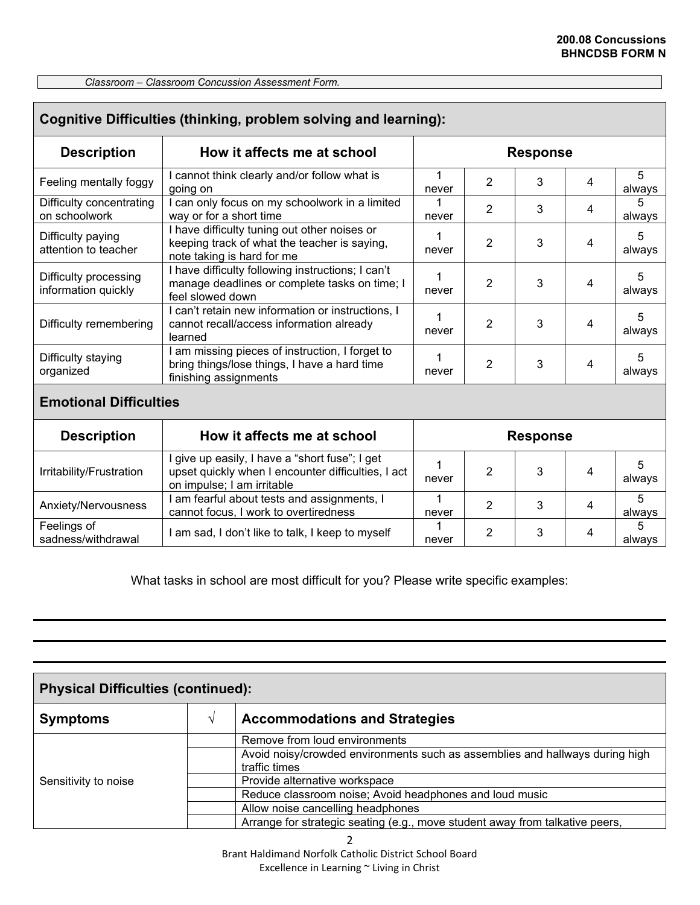*Classroom – Classroom Concussion Assessment Form.* 

| Cognitive Difficulties (thinking, problem solving and learning): |                                                                                                                                    |            |                 |                 |   |             |  |  |  |  |  |
|------------------------------------------------------------------|------------------------------------------------------------------------------------------------------------------------------------|------------|-----------------|-----------------|---|-------------|--|--|--|--|--|
| <b>Description</b>                                               | How it affects me at school                                                                                                        |            | <b>Response</b> |                 |   |             |  |  |  |  |  |
| Feeling mentally foggy                                           | I cannot think clearly and/or follow what is<br>going on                                                                           | 1<br>never | $\overline{2}$  | 3               | 4 | 5<br>always |  |  |  |  |  |
| Difficulty concentrating<br>on schoolwork                        | I can only focus on my schoolwork in a limited<br>way or for a short time                                                          | 1<br>never | 2               | 3               | 4 | 5<br>always |  |  |  |  |  |
| Difficulty paying<br>attention to teacher                        | I have difficulty tuning out other noises or<br>keeping track of what the teacher is saying,<br>note taking is hard for me         | 1<br>never | $\overline{2}$  | 3               | 4 | 5<br>always |  |  |  |  |  |
| Difficulty processing<br>information quickly                     | I have difficulty following instructions; I can't<br>manage deadlines or complete tasks on time; I<br>feel slowed down             | 1<br>never | 2               | 3               | 4 | 5<br>always |  |  |  |  |  |
| Difficulty remembering                                           | I can't retain new information or instructions, I<br>cannot recall/access information already<br>learned                           | 1<br>never | $\overline{2}$  | 3               | 4 | 5<br>always |  |  |  |  |  |
| Difficulty staying<br>organized                                  | I am missing pieces of instruction, I forget to<br>bring things/lose things, I have a hard time<br>finishing assignments           | 1<br>never | 2               | 3               | 4 | 5<br>always |  |  |  |  |  |
| <b>Emotional Difficulties</b>                                    |                                                                                                                                    |            |                 |                 |   |             |  |  |  |  |  |
| <b>Description</b>                                               | How it affects me at school                                                                                                        |            |                 | <b>Response</b> |   |             |  |  |  |  |  |
| Irritability/Frustration                                         | I give up easily, I have a "short fuse"; I get<br>upset quickly when I encounter difficulties, I act<br>on impulse; I am irritable | 1<br>never | 2               | 3               | 4 | 5<br>always |  |  |  |  |  |
| Anxiety/Nervousness                                              | I am fearful about tests and assignments, I<br>cannot focus, I work to overtiredness                                               | 1<br>never | $\overline{2}$  | 3               | 4 | 5<br>always |  |  |  |  |  |
| Feelings of<br>sadness/withdrawal                                | I am sad, I don't like to talk, I keep to myself                                                                                   | 1<br>never | 2               | 3               | 4 | 5<br>always |  |  |  |  |  |

What tasks in school are most difficult for you? Please write specific examples:

| <b>Physical Difficulties (continued):</b> |               |                                                                                               |  |  |  |  |  |  |
|-------------------------------------------|---------------|-----------------------------------------------------------------------------------------------|--|--|--|--|--|--|
| <b>Symptoms</b>                           | $\mathcal{N}$ | <b>Accommodations and Strategies</b>                                                          |  |  |  |  |  |  |
|                                           |               | Remove from loud environments                                                                 |  |  |  |  |  |  |
|                                           |               | Avoid noisy/crowded environments such as assemblies and hallways during high<br>traffic times |  |  |  |  |  |  |
| Sensitivity to noise                      |               | Provide alternative workspace                                                                 |  |  |  |  |  |  |
|                                           |               | Reduce classroom noise; Avoid headphones and loud music                                       |  |  |  |  |  |  |
|                                           |               | Allow noise cancelling headphones                                                             |  |  |  |  |  |  |
|                                           |               | Arrange for strategic seating (e.g., move student away from talkative peers,                  |  |  |  |  |  |  |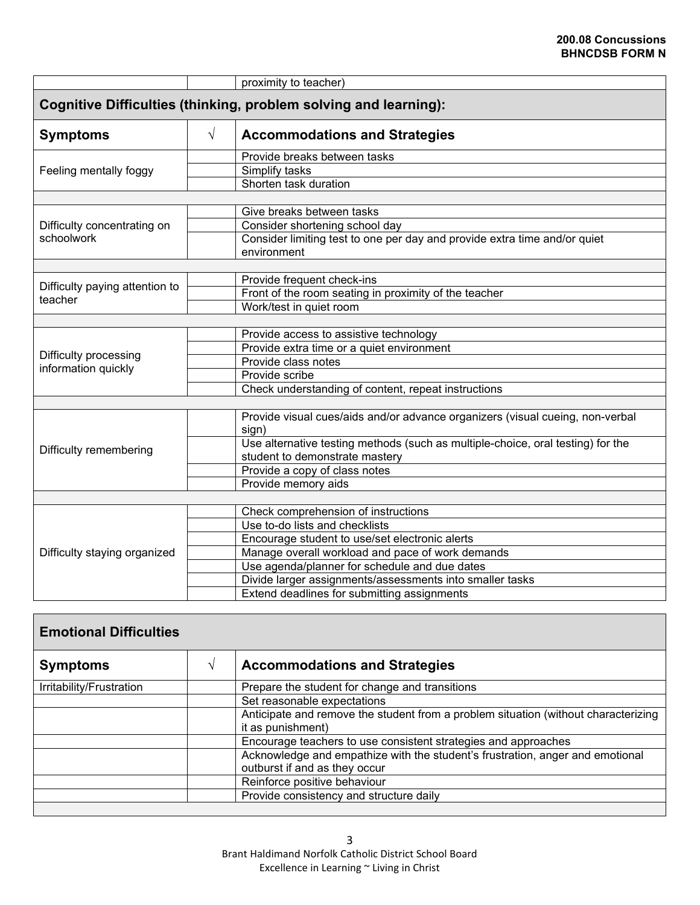|                                           |           | proximity to teacher)                                                                                             |
|-------------------------------------------|-----------|-------------------------------------------------------------------------------------------------------------------|
|                                           |           | <b>Cognitive Difficulties (thinking, problem solving and learning):</b>                                           |
| <b>Symptoms</b>                           | $\sqrt{}$ | <b>Accommodations and Strategies</b>                                                                              |
|                                           |           | Provide breaks between tasks                                                                                      |
| Feeling mentally foggy                    |           | Simplify tasks                                                                                                    |
|                                           |           | Shorten task duration                                                                                             |
|                                           |           |                                                                                                                   |
|                                           |           | Give breaks between tasks                                                                                         |
| Difficulty concentrating on               |           | Consider shortening school day                                                                                    |
| schoolwork                                |           | Consider limiting test to one per day and provide extra time and/or quiet<br>environment                          |
|                                           |           |                                                                                                                   |
|                                           |           | Provide frequent check-ins                                                                                        |
| Difficulty paying attention to<br>teacher |           | Front of the room seating in proximity of the teacher                                                             |
|                                           |           | Work/test in quiet room                                                                                           |
|                                           |           |                                                                                                                   |
|                                           |           | Provide access to assistive technology                                                                            |
| Difficulty processing                     |           | Provide extra time or a quiet environment                                                                         |
| information quickly                       |           | Provide class notes                                                                                               |
|                                           |           | Provide scribe                                                                                                    |
|                                           |           | Check understanding of content, repeat instructions                                                               |
|                                           |           |                                                                                                                   |
|                                           |           | Provide visual cues/aids and/or advance organizers (visual cueing, non-verbal<br>sign)                            |
| Difficulty remembering                    |           | Use alternative testing methods (such as multiple-choice, oral testing) for the<br>student to demonstrate mastery |
|                                           |           | Provide a copy of class notes                                                                                     |
|                                           |           | Provide memory aids                                                                                               |
|                                           |           |                                                                                                                   |
|                                           |           | Check comprehension of instructions                                                                               |
|                                           |           | Use to-do lists and checklists                                                                                    |
|                                           |           | Encourage student to use/set electronic alerts                                                                    |
| Difficulty staying organized              |           | Manage overall workload and pace of work demands                                                                  |
|                                           |           | Use agenda/planner for schedule and due dates                                                                     |
|                                           |           | Divide larger assignments/assessments into smaller tasks                                                          |
|                                           |           | Extend deadlines for submitting assignments                                                                       |

| <b>Emotional Difficulties</b> |                                                                                                                |
|-------------------------------|----------------------------------------------------------------------------------------------------------------|
| <b>Symptoms</b>               | <b>Accommodations and Strategies</b>                                                                           |
| Irritability/Frustration      | Prepare the student for change and transitions                                                                 |
|                               | Set reasonable expectations                                                                                    |
|                               | Anticipate and remove the student from a problem situation (without characterizing<br>it as punishment)        |
|                               | Encourage teachers to use consistent strategies and approaches                                                 |
|                               | Acknowledge and empathize with the student's frustration, anger and emotional<br>outburst if and as they occur |
|                               | Reinforce positive behaviour                                                                                   |
|                               | Provide consistency and structure daily                                                                        |
|                               |                                                                                                                |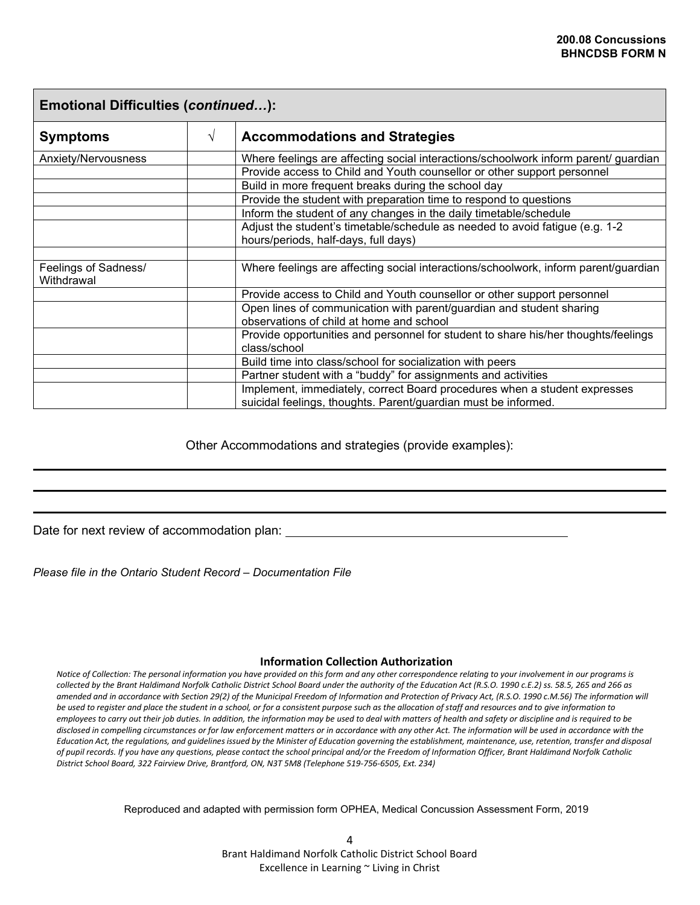| <b>Emotional Difficulties (continued):</b> |   |                                                                                                                                             |  |  |  |  |  |  |  |
|--------------------------------------------|---|---------------------------------------------------------------------------------------------------------------------------------------------|--|--|--|--|--|--|--|
| <b>Symptoms</b>                            | V | <b>Accommodations and Strategies</b>                                                                                                        |  |  |  |  |  |  |  |
| Anxiety/Nervousness                        |   | Where feelings are affecting social interactions/schoolwork inform parent/ guardian                                                         |  |  |  |  |  |  |  |
|                                            |   | Provide access to Child and Youth counsellor or other support personnel                                                                     |  |  |  |  |  |  |  |
|                                            |   | Build in more frequent breaks during the school day                                                                                         |  |  |  |  |  |  |  |
|                                            |   | Provide the student with preparation time to respond to questions                                                                           |  |  |  |  |  |  |  |
|                                            |   | Inform the student of any changes in the daily timetable/schedule                                                                           |  |  |  |  |  |  |  |
|                                            |   | Adjust the student's timetable/schedule as needed to avoid fatigue (e.g. 1-2                                                                |  |  |  |  |  |  |  |
|                                            |   | hours/periods, half-days, full days)                                                                                                        |  |  |  |  |  |  |  |
|                                            |   |                                                                                                                                             |  |  |  |  |  |  |  |
| Feelings of Sadness/<br>Withdrawal         |   | Where feelings are affecting social interactions/schoolwork, inform parent/guardian                                                         |  |  |  |  |  |  |  |
|                                            |   | Provide access to Child and Youth counsellor or other support personnel                                                                     |  |  |  |  |  |  |  |
|                                            |   | Open lines of communication with parent/guardian and student sharing                                                                        |  |  |  |  |  |  |  |
|                                            |   | observations of child at home and school                                                                                                    |  |  |  |  |  |  |  |
|                                            |   | Provide opportunities and personnel for student to share his/her thoughts/feelings                                                          |  |  |  |  |  |  |  |
|                                            |   | class/school                                                                                                                                |  |  |  |  |  |  |  |
|                                            |   | Build time into class/school for socialization with peers                                                                                   |  |  |  |  |  |  |  |
|                                            |   | Partner student with a "buddy" for assignments and activities                                                                               |  |  |  |  |  |  |  |
|                                            |   | Implement, immediately, correct Board procedures when a student expresses<br>suicidal feelings, thoughts. Parent/guardian must be informed. |  |  |  |  |  |  |  |

Other Accommodations and strategies (provide examples):

Date for next review of accommodation plan:

*Please file in the Ontario Student Record – Documentation File*

#### **Information Collection Authorization**

*Notice of Collection: The personal information you have provided on this form and any other correspondence relating to your involvement in our programs is collected by the Brant Haldimand Norfolk Catholic District School Board under the authority of the Education Act (R.S.O. 1990 c.E.2) ss. 58.5, 265 and 266 as amended and in accordance with Section 29(2) of the Municipal Freedom of Information and Protection of Privacy Act, (R.S.O. 1990 c.M.56) The information will be used to register and place the student in a school, or for a consistent purpose such as the allocation of staff and resources and to give information to employees to carry out their job duties. In addition, the information may be used to deal with matters of health and safety or discipline and is required to be disclosed in compelling circumstances or for law enforcement matters or in accordance with any other Act. The information will be used in accordance with the*  Education Act, the regulations, and guidelines issued by the Minister of Education governing the establishment, maintenance, use, retention, transfer and disposal *of pupil records. If you have any questions, please contact the school principal and/or the Freedom of Information Officer, Brant Haldimand Norfolk Catholic District School Board, 322 Fairview Drive, Brantford, ON, N3T 5M8 (Telephone 519-756-6505, Ext. 234)*

Reproduced and adapted with permission form OPHEA, Medical Concussion Assessment Form, 2019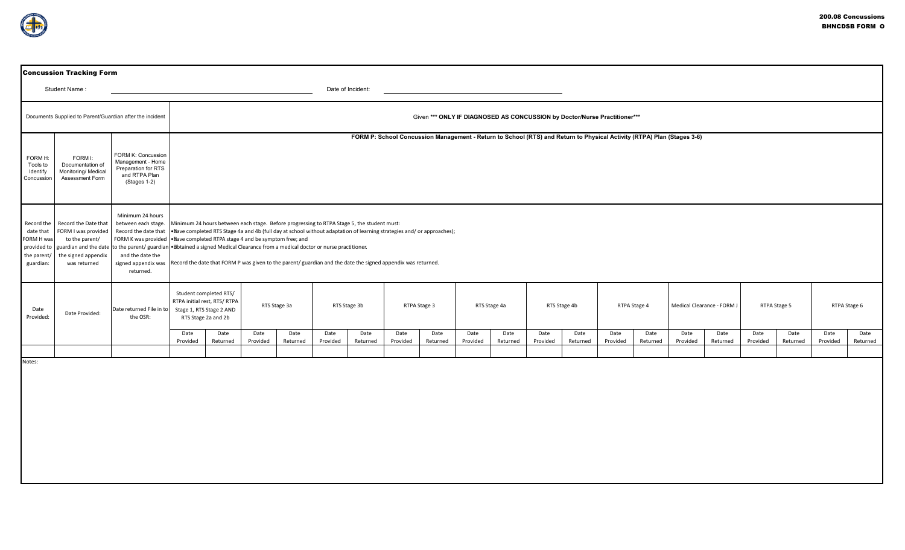|                                                                                  | <b>Concussion Tracking Form</b>                                                                      |                                                                                                                                                |                                                                                                           |                                                                                                                                                                                                                                                                                                                                                                                                                                                                                                                                    |                  |                  |                  |                  |                                                                           |                  |                  |                  |                  |                  |                  |                  |                  |                            |                  |                  |                  |                  |  |
|----------------------------------------------------------------------------------|------------------------------------------------------------------------------------------------------|------------------------------------------------------------------------------------------------------------------------------------------------|-----------------------------------------------------------------------------------------------------------|------------------------------------------------------------------------------------------------------------------------------------------------------------------------------------------------------------------------------------------------------------------------------------------------------------------------------------------------------------------------------------------------------------------------------------------------------------------------------------------------------------------------------------|------------------|------------------|------------------|------------------|---------------------------------------------------------------------------|------------------|------------------|------------------|------------------|------------------|------------------|------------------|------------------|----------------------------|------------------|------------------|------------------|------------------|--|
|                                                                                  | Student Name:                                                                                        |                                                                                                                                                | Date of Incident:                                                                                         |                                                                                                                                                                                                                                                                                                                                                                                                                                                                                                                                    |                  |                  |                  |                  |                                                                           |                  |                  |                  |                  |                  |                  |                  |                  |                            |                  |                  |                  |                  |  |
|                                                                                  | Documents Supplied to Parent/Guardian after the incident                                             |                                                                                                                                                |                                                                                                           |                                                                                                                                                                                                                                                                                                                                                                                                                                                                                                                                    |                  |                  |                  |                  | Given *** ONLY IF DIAGNOSED AS CONCUSSION by Doctor/Nurse Practitioner*** |                  |                  |                  |                  |                  |                  |                  |                  |                            |                  |                  |                  |                  |  |
| FORM H:<br>Tools to<br>Identify<br>Concussion                                    | FORM I:<br>Documentation of<br>Monitoring/ Medical<br>Assessment Form                                | FORM K: Concussion<br>Management - Home<br>Preparation for RTS<br>and RTPA Plan<br>(Stages 1-2)                                                |                                                                                                           | FORM P: School Concussion Management - Return to School (RTS) and Return to Physical Activity (RTPA) Plan (Stages 3-6)                                                                                                                                                                                                                                                                                                                                                                                                             |                  |                  |                  |                  |                                                                           |                  |                  |                  |                  |                  |                  |                  |                  |                            |                  |                  |                  |                  |  |
| Record the<br>date that<br>FORM H was<br>provided to<br>the parent/<br>guardian: | Record the Date that<br>FORM I was provided<br>to the parent/<br>the signed appendix<br>was returned | Minimum 24 hours<br>between each stage.<br>Record the date that<br>FORM K was provided<br>and the date the<br>signed appendix was<br>returned. |                                                                                                           | Minimum 24 hours between each stage. Before progressing to RTPA Stage 5, the student must:<br>•liave completed RTS Stage 4a and 4b (full day at school without adaptation of learning strategies and/or approaches);<br>. Nave completed RTPA stage 4 and be symptom free; and<br>guardian and the date to the parent/ guardian • obtained a signed Medical Clearance from a medical doctor or nurse practitioner.<br>Record the date that FORM P was given to the parent/ guardian and the date the signed appendix was returned. |                  |                  |                  |                  |                                                                           |                  |                  |                  |                  |                  |                  |                  |                  |                            |                  |                  |                  |                  |  |
| Date<br>Provided:                                                                | Date Provided:                                                                                       | Date returned File in to<br>the OSR:                                                                                                           | Student completed RTS/<br>RTPA initial rest, RTS/ RTPA<br>Stage 1, RTS Stage 2 AND<br>RTS Stage 2a and 2b |                                                                                                                                                                                                                                                                                                                                                                                                                                                                                                                                    | RTS Stage 3a     |                  | RTS Stage 3b     |                  | RTPA Stage 3                                                              |                  |                  | RTS Stage 4a     | RTS Stage 4b     |                  | RTPA Stage 4     |                  |                  | Medical Clearance - FORM J |                  | RTPA Stage 5     |                  | RTPA Stage 6     |  |
|                                                                                  |                                                                                                      |                                                                                                                                                | Date<br>Provided                                                                                          | Date<br>Returned                                                                                                                                                                                                                                                                                                                                                                                                                                                                                                                   | Date<br>Provided | Date<br>Returned | Date<br>Provided | Date<br>Returned | Date<br>Provided                                                          | Date<br>Returned | Date<br>Provided | Date<br>Returned | Date<br>Provided | Date<br>Returned | Date<br>Provided | Date<br>Returned | Date<br>Provided | Date<br>Returned           | Date<br>Provided | Date<br>Returned | Date<br>Provided | Date<br>Returned |  |
| Notes:                                                                           |                                                                                                      |                                                                                                                                                |                                                                                                           |                                                                                                                                                                                                                                                                                                                                                                                                                                                                                                                                    |                  |                  |                  |                  |                                                                           |                  |                  |                  |                  |                  |                  |                  |                  |                            |                  |                  |                  |                  |  |
|                                                                                  |                                                                                                      |                                                                                                                                                |                                                                                                           |                                                                                                                                                                                                                                                                                                                                                                                                                                                                                                                                    |                  |                  |                  |                  |                                                                           |                  |                  |                  |                  |                  |                  |                  |                  |                            |                  |                  |                  |                  |  |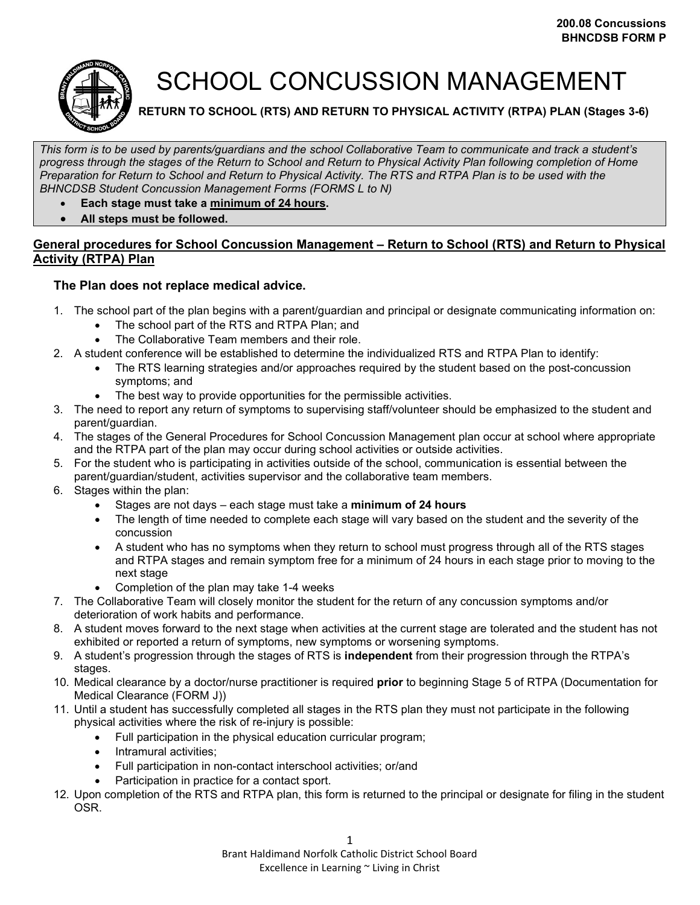

## SCHOOL CONCUSSION MANAGEMENT

**RETURN TO SCHOOL (RTS) AND RETURN TO PHYSICAL ACTIVITY (RTPA) PLAN (Stages 3-6)**

*This form is to be used by parents/guardians and the school Collaborative Team to communicate and track a student's progress through the stages of the Return to School and Return to Physical Activity Plan following completion of Home Preparation for Return to School and Return to Physical Activity. The RTS and RTPA Plan is to be used with the BHNCDSB Student Concussion Management Forms (FORMS L to N)*

- **Each stage must take a minimum of 24 hours.**
- **All steps must be followed.**

## **General procedures for School Concussion Management – Return to School (RTS) and Return to Physical Activity (RTPA) Plan**

## **The Plan does not replace medical advice.**

- 1. The school part of the plan begins with a parent/guardian and principal or designate communicating information on:
	- The school part of the RTS and RTPA Plan; and
		- The Collaborative Team members and their role.
- 2. A student conference will be established to determine the individualized RTS and RTPA Plan to identify:
	- The RTS learning strategies and/or approaches required by the student based on the post-concussion symptoms; and
	- The best way to provide opportunities for the permissible activities.
- 3. The need to report any return of symptoms to supervising staff/volunteer should be emphasized to the student and parent/guardian.
- 4. The stages of the General Procedures for School Concussion Management plan occur at school where appropriate and the RTPA part of the plan may occur during school activities or outside activities.
- 5. For the student who is participating in activities outside of the school, communication is essential between the parent/guardian/student, activities supervisor and the collaborative team members.
- 6. Stages within the plan:
	- Stages are not days each stage must take a **minimum of 24 hours**
	- The length of time needed to complete each stage will vary based on the student and the severity of the concussion
	- A student who has no symptoms when they return to school must progress through all of the RTS stages and RTPA stages and remain symptom free for a minimum of 24 hours in each stage prior to moving to the next stage
	- Completion of the plan may take 1-4 weeks
- 7. The Collaborative Team will closely monitor the student for the return of any concussion symptoms and/or deterioration of work habits and performance.
- 8. A student moves forward to the next stage when activities at the current stage are tolerated and the student has not exhibited or reported a return of symptoms, new symptoms or worsening symptoms.
- 9. A student's progression through the stages of RTS is **independent** from their progression through the RTPA's stages.
- 10. Medical clearance by a doctor/nurse practitioner is required **prior** to beginning Stage 5 of RTPA (Documentation for Medical Clearance (FORM J))
- 11. Until a student has successfully completed all stages in the RTS plan they must not participate in the following physical activities where the risk of re-injury is possible:
	- Full participation in the physical education curricular program;
	- Intramural activities;
	- Full participation in non-contact interschool activities; or/and
	- Participation in practice for a contact sport.
- 12. Upon completion of the RTS and RTPA plan, this form is returned to the principal or designate for filing in the student OSR.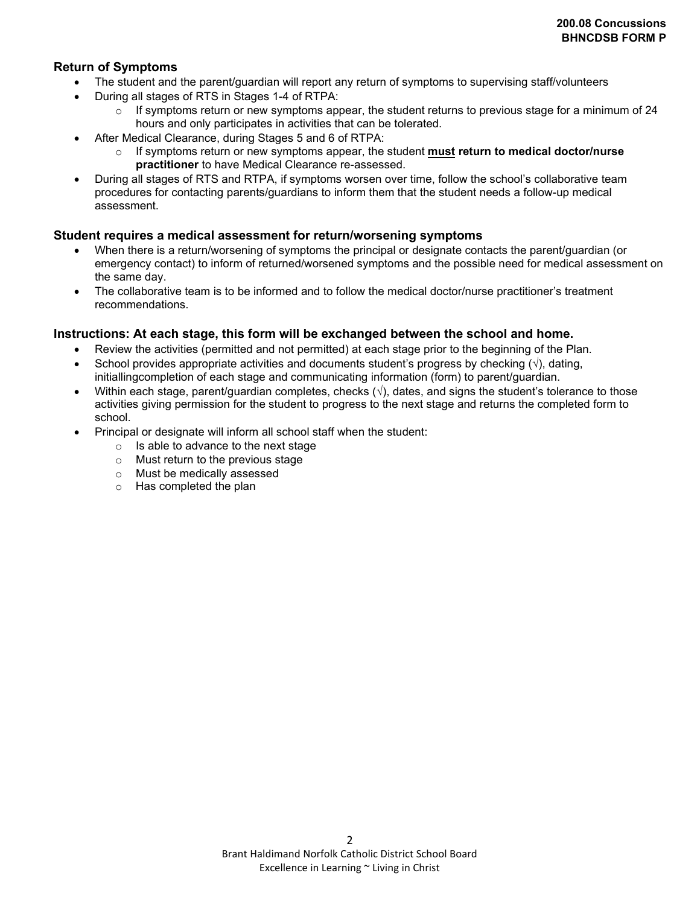## **Return of Symptoms**

- The student and the parent/guardian will report any return of symptoms to supervising staff/volunteers
- During all stages of RTS in Stages 1-4 of RTPA:
	- $\circ$  If symptoms return or new symptoms appear, the student returns to previous stage for a minimum of 24 hours and only participates in activities that can be tolerated.
- After Medical Clearance, during Stages 5 and 6 of RTPA:
	- o If symptoms return or new symptoms appear, the student **must return to medical doctor/nurse practitioner** to have Medical Clearance re-assessed.
- During all stages of RTS and RTPA, if symptoms worsen over time, follow the school's collaborative team procedures for contacting parents/guardians to inform them that the student needs a follow-up medical assessment.

## **Student requires a medical assessment for return/worsening symptoms**

- When there is a return/worsening of symptoms the principal or designate contacts the parent/guardian (or emergency contact) to inform of returned/worsened symptoms and the possible need for medical assessment on the same day.
- The collaborative team is to be informed and to follow the medical doctor/nurse practitioner's treatment recommendations.

## **Instructions: At each stage, this form will be exchanged between the school and home.**

- Review the activities (permitted and not permitted) at each stage prior to the beginning of the Plan.
- School provides appropriate activities and documents student's progress by checking  $(\sqrt{)}$ , dating, initiallingcompletion of each stage and communicating information (form) to parent/guardian.
- Within each stage, parent/guardian completes, checks  $(\sqrt{)}$ , dates, and signs the student's tolerance to those activities giving permission for the student to progress to the next stage and returns the completed form to school.
- Principal or designate will inform all school staff when the student:
	- $\circ$  Is able to advance to the next stage
	- o Must return to the previous stage
	- o Must be medically assessed
	- o Has completed the plan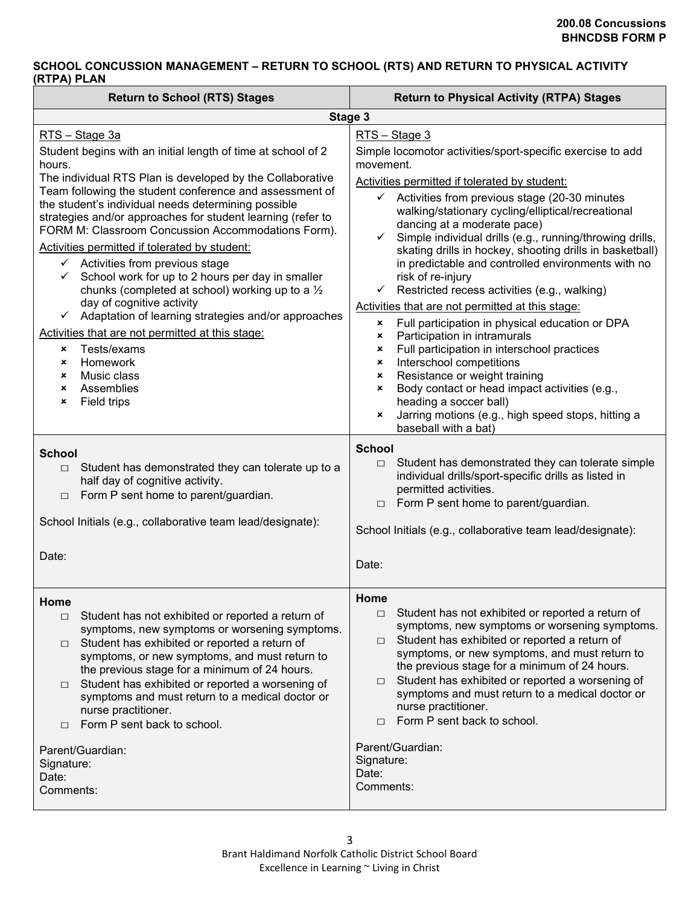## **SCHOOL CONCUSSION MANAGEMENT – RETURN TO SCHOOL (RTS) AND RETURN TO PHYSICAL ACTIVITY (RTPA) PLAN**

| <b>Return to School (RTS) Stages</b><br><b>Return to Physical Activity (RTPA) Stages</b>                                                                                                                                                                                                                                                                                                                                                                                                                                                                                                                                                                                                                                                                                                                                                          |                                                                                                                                                                                                                                                                                                                                                                                                                                                                                                                                                                                                                                                                                                                                                                                                                                                                                                                                                                                                                                                                               |  |
|---------------------------------------------------------------------------------------------------------------------------------------------------------------------------------------------------------------------------------------------------------------------------------------------------------------------------------------------------------------------------------------------------------------------------------------------------------------------------------------------------------------------------------------------------------------------------------------------------------------------------------------------------------------------------------------------------------------------------------------------------------------------------------------------------------------------------------------------------|-------------------------------------------------------------------------------------------------------------------------------------------------------------------------------------------------------------------------------------------------------------------------------------------------------------------------------------------------------------------------------------------------------------------------------------------------------------------------------------------------------------------------------------------------------------------------------------------------------------------------------------------------------------------------------------------------------------------------------------------------------------------------------------------------------------------------------------------------------------------------------------------------------------------------------------------------------------------------------------------------------------------------------------------------------------------------------|--|
| Stage 3                                                                                                                                                                                                                                                                                                                                                                                                                                                                                                                                                                                                                                                                                                                                                                                                                                           |                                                                                                                                                                                                                                                                                                                                                                                                                                                                                                                                                                                                                                                                                                                                                                                                                                                                                                                                                                                                                                                                               |  |
| RTS - Stage 3a                                                                                                                                                                                                                                                                                                                                                                                                                                                                                                                                                                                                                                                                                                                                                                                                                                    | RTS - Stage 3                                                                                                                                                                                                                                                                                                                                                                                                                                                                                                                                                                                                                                                                                                                                                                                                                                                                                                                                                                                                                                                                 |  |
| Student begins with an initial length of time at school of 2<br>hours.<br>The individual RTS Plan is developed by the Collaborative<br>Team following the student conference and assessment of<br>the student's individual needs determining possible<br>strategies and/or approaches for student learning (refer to<br>FORM M: Classroom Concussion Accommodations Form).<br>Activities permitted if tolerated by student:<br>$\checkmark$ Activities from previous stage<br>School work for up to 2 hours per day in smaller<br>chunks (completed at school) working up to a $\frac{1}{2}$<br>day of cognitive activity<br>$\checkmark$ Adaptation of learning strategies and/or approaches<br>Activities that are not permitted at this stage:<br>Tests/exams<br>×<br>Homework<br>×<br>Music class<br>×<br>Assemblies<br>×<br>Field trips<br>× | Simple locomotor activities/sport-specific exercise to add<br>movement.<br>Activities permitted if tolerated by student:<br>Activities from previous stage (20-30 minutes<br>$\checkmark$<br>walking/stationary cycling/elliptical/recreational<br>dancing at a moderate pace)<br>Simple individual drills (e.g., running/throwing drills,<br>$\checkmark$<br>skating drills in hockey, shooting drills in basketball)<br>in predictable and controlled environments with no<br>risk of re-injury<br>Restricted recess activities (e.g., walking)<br>$\checkmark$<br>Activities that are not permitted at this stage:<br>Full participation in physical education or DPA<br>×<br>Participation in intramurals<br>×<br>Full participation in interschool practices<br>×<br>Interschool competitions<br>$\boldsymbol{\mathsf{x}}$<br>Resistance or weight training<br>$\boldsymbol{\mathsf{x}}$<br>Body contact or head impact activities (e.g.,<br>×<br>heading a soccer ball)<br>Jarring motions (e.g., high speed stops, hitting a<br>$\pmb{\times}$<br>baseball with a bat) |  |
| <b>School</b><br>Student has demonstrated they can tolerate up to a<br>$\Box$<br>half day of cognitive activity.<br>Form P sent home to parent/guardian.<br>$\Box$<br>School Initials (e.g., collaborative team lead/designate):<br>Date:                                                                                                                                                                                                                                                                                                                                                                                                                                                                                                                                                                                                         | <b>School</b><br>Student has demonstrated they can tolerate simple<br>$\Box$<br>individual drills/sport-specific drills as listed in<br>permitted activities.<br>Form P sent home to parent/guardian.<br>$\Box$<br>School Initials (e.g., collaborative team lead/designate):<br>Date:                                                                                                                                                                                                                                                                                                                                                                                                                                                                                                                                                                                                                                                                                                                                                                                        |  |
| Home<br>Student has not exhibited or reported a return of<br>$\Box$<br>symptoms, new symptoms or worsening symptoms.<br>Student has exhibited or reported a return of<br>$\Box$<br>symptoms, or new symptoms, and must return to<br>the previous stage for a minimum of 24 hours.<br>Student has exhibited or reported a worsening of<br>$\Box$<br>symptoms and must return to a medical doctor or<br>nurse practitioner.<br>Form P sent back to school.<br>$\Box$<br>Parent/Guardian:<br>Signature:<br>Date:<br>Comments:                                                                                                                                                                                                                                                                                                                        | Home<br>Student has not exhibited or reported a return of<br>$\Box$<br>symptoms, new symptoms or worsening symptoms.<br>Student has exhibited or reported a return of<br>$\Box$<br>symptoms, or new symptoms, and must return to<br>the previous stage for a minimum of 24 hours.<br>Student has exhibited or reported a worsening of<br>$\Box$<br>symptoms and must return to a medical doctor or<br>nurse practitioner.<br>Form P sent back to school.<br>$\Box$<br>Parent/Guardian:<br>Signature:<br>Date:<br>Comments:                                                                                                                                                                                                                                                                                                                                                                                                                                                                                                                                                    |  |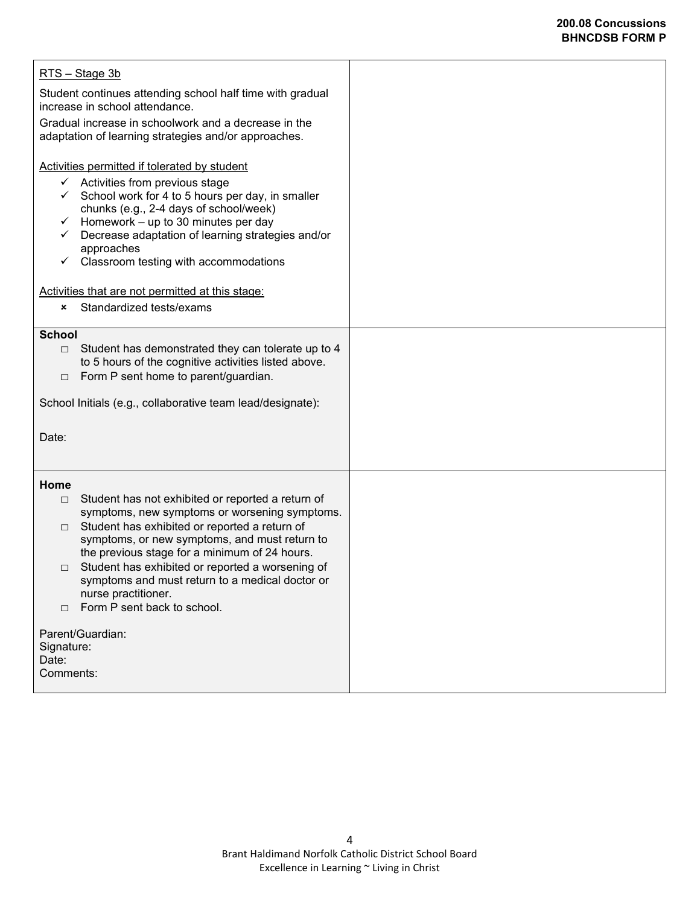## **200.08 Concussions BHNCDSB FORM P**

| RTS - Stage 3b                                                                                                                                                                                                                                                                                                                                                                                                                                                |  |
|---------------------------------------------------------------------------------------------------------------------------------------------------------------------------------------------------------------------------------------------------------------------------------------------------------------------------------------------------------------------------------------------------------------------------------------------------------------|--|
| Student continues attending school half time with gradual<br>increase in school attendance.                                                                                                                                                                                                                                                                                                                                                                   |  |
| Gradual increase in schoolwork and a decrease in the<br>adaptation of learning strategies and/or approaches.                                                                                                                                                                                                                                                                                                                                                  |  |
| Activities permitted if tolerated by student<br>$\checkmark$ Activities from previous stage<br>School work for 4 to 5 hours per day, in smaller<br>chunks (e.g., 2-4 days of school/week)<br>Homework - up to 30 minutes per day<br>$\checkmark$<br>Decrease adaptation of learning strategies and/or<br>✓<br>approaches<br>Classroom testing with accommodations<br>✓                                                                                        |  |
| Activities that are not permitted at this stage:<br>Standardized tests/exams<br>×                                                                                                                                                                                                                                                                                                                                                                             |  |
| <b>School</b><br>Student has demonstrated they can tolerate up to 4<br>$\Box$<br>to 5 hours of the cognitive activities listed above.<br>Form P sent home to parent/guardian.<br>$\Box$                                                                                                                                                                                                                                                                       |  |
| School Initials (e.g., collaborative team lead/designate):                                                                                                                                                                                                                                                                                                                                                                                                    |  |
| Date:                                                                                                                                                                                                                                                                                                                                                                                                                                                         |  |
| Home<br>Student has not exhibited or reported a return of<br>$\Box$<br>symptoms, new symptoms or worsening symptoms.<br>Student has exhibited or reported a return of<br>$\Box$<br>symptoms, or new symptoms, and must return to<br>the previous stage for a minimum of 24 hours.<br>Student has exhibited or reported a worsening of<br>$\Box$<br>symptoms and must return to a medical doctor or<br>nurse practitioner.<br>Form P sent back to school.<br>П |  |
| Parent/Guardian:<br>Signature:<br>Date:<br>Comments:                                                                                                                                                                                                                                                                                                                                                                                                          |  |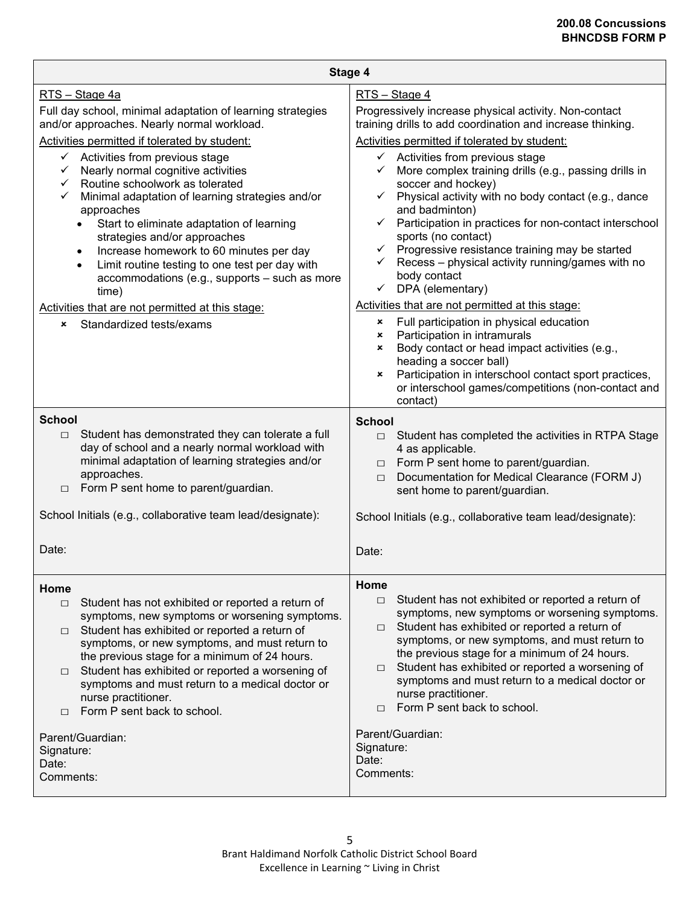| Stage 4                                                                                                                                                                                                                                                                                                                                                                                                                                                                                                                    |  |  |  |
|----------------------------------------------------------------------------------------------------------------------------------------------------------------------------------------------------------------------------------------------------------------------------------------------------------------------------------------------------------------------------------------------------------------------------------------------------------------------------------------------------------------------------|--|--|--|
| RTS - Stage 4                                                                                                                                                                                                                                                                                                                                                                                                                                                                                                              |  |  |  |
| Progressively increase physical activity. Non-contact<br>training drills to add coordination and increase thinking.                                                                                                                                                                                                                                                                                                                                                                                                        |  |  |  |
| Activities permitted if tolerated by student:                                                                                                                                                                                                                                                                                                                                                                                                                                                                              |  |  |  |
| $\checkmark$ Activities from previous stage<br>More complex training drills (e.g., passing drills in<br>soccer and hockey)<br>$\checkmark$ Physical activity with no body contact (e.g., dance<br>and badminton)<br>$\checkmark$ Participation in practices for non-contact interschool<br>sports (no contact)<br>Progressive resistance training may be started<br>$\checkmark$<br>Recess - physical activity running/games with no<br>$\checkmark$<br>body contact<br>DPA (elementary)<br>$\checkmark$                   |  |  |  |
| Activities that are not permitted at this stage:                                                                                                                                                                                                                                                                                                                                                                                                                                                                           |  |  |  |
| Full participation in physical education<br>×<br>Participation in intramurals<br>$\mathsf{x}$<br>Body contact or head impact activities (e.g.,<br>$\boldsymbol{\mathsf{x}}$<br>heading a soccer ball)<br>Participation in interschool contact sport practices,<br>×<br>or interschool games/competitions (non-contact and<br>contact)                                                                                                                                                                                      |  |  |  |
| <b>School</b>                                                                                                                                                                                                                                                                                                                                                                                                                                                                                                              |  |  |  |
| $\Box$ Student has completed the activities in RTPA Stage<br>4 as applicable.<br>Form P sent home to parent/guardian.<br>$\Box$<br>Documentation for Medical Clearance (FORM J)<br>$\Box$<br>sent home to parent/guardian.                                                                                                                                                                                                                                                                                                 |  |  |  |
| School Initials (e.g., collaborative team lead/designate):                                                                                                                                                                                                                                                                                                                                                                                                                                                                 |  |  |  |
| Date:                                                                                                                                                                                                                                                                                                                                                                                                                                                                                                                      |  |  |  |
| Home<br>Student has not exhibited or reported a return of<br>$\Box$<br>symptoms, new symptoms or worsening symptoms.<br>Student has exhibited or reported a return of<br>$\Box$<br>symptoms, or new symptoms, and must return to<br>the previous stage for a minimum of 24 hours.<br>Student has exhibited or reported a worsening of<br>$\Box$<br>symptoms and must return to a medical doctor or<br>nurse practitioner.<br>Form P sent back to school.<br>$\Box$<br>Parent/Guardian:<br>Signature:<br>Date:<br>Comments: |  |  |  |
|                                                                                                                                                                                                                                                                                                                                                                                                                                                                                                                            |  |  |  |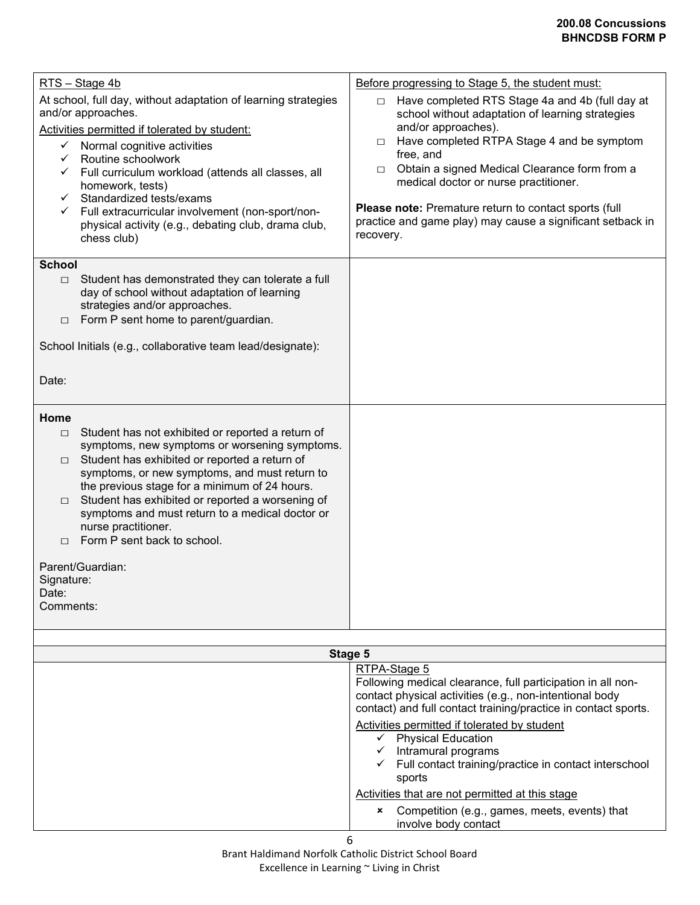| RTS - Stage 4b<br>At school, full day, without adaptation of learning strategies<br>and/or approaches.<br>Activities permitted if tolerated by student:<br>$\checkmark$ Normal cognitive activities<br>Routine schoolwork<br>$\checkmark$ Full curriculum workload (attends all classes, all<br>homework, tests)<br>Standardized tests/exams<br>✓<br>← Full extracurricular involvement (non-sport/non-<br>physical activity (e.g., debating club, drama club,<br>chess club)<br><b>School</b><br>Student has demonstrated they can tolerate a full<br>$\Box$ | Before progressing to Stage 5, the student must:<br>Have completed RTS Stage 4a and 4b (full day at<br>$\Box$<br>school without adaptation of learning strategies<br>and/or approaches).<br>Have completed RTPA Stage 4 and be symptom<br>$\Box$<br>free, and<br>Obtain a signed Medical Clearance form from a<br>$\Box$<br>medical doctor or nurse practitioner.<br>Please note: Premature return to contact sports (full<br>practice and game play) may cause a significant setback in<br>recovery. |
|---------------------------------------------------------------------------------------------------------------------------------------------------------------------------------------------------------------------------------------------------------------------------------------------------------------------------------------------------------------------------------------------------------------------------------------------------------------------------------------------------------------------------------------------------------------|-------------------------------------------------------------------------------------------------------------------------------------------------------------------------------------------------------------------------------------------------------------------------------------------------------------------------------------------------------------------------------------------------------------------------------------------------------------------------------------------------------|
| day of school without adaptation of learning<br>strategies and/or approaches.<br>Form P sent home to parent/guardian.<br>$\Box$                                                                                                                                                                                                                                                                                                                                                                                                                               |                                                                                                                                                                                                                                                                                                                                                                                                                                                                                                       |
| School Initials (e.g., collaborative team lead/designate):                                                                                                                                                                                                                                                                                                                                                                                                                                                                                                    |                                                                                                                                                                                                                                                                                                                                                                                                                                                                                                       |
| Date:                                                                                                                                                                                                                                                                                                                                                                                                                                                                                                                                                         |                                                                                                                                                                                                                                                                                                                                                                                                                                                                                                       |
| Home<br>Student has not exhibited or reported a return of<br>$\Box$<br>symptoms, new symptoms or worsening symptoms.<br>Student has exhibited or reported a return of<br>$\Box$<br>symptoms, or new symptoms, and must return to<br>the previous stage for a minimum of 24 hours.<br>Student has exhibited or reported a worsening of<br>$\Box$<br>symptoms and must return to a medical doctor or<br>nurse practitioner.<br>Form P sent back to school.<br>П<br>Parent/Guardian:<br>Signature:<br>Date:<br>Comments:                                         |                                                                                                                                                                                                                                                                                                                                                                                                                                                                                                       |
| Stage 5                                                                                                                                                                                                                                                                                                                                                                                                                                                                                                                                                       |                                                                                                                                                                                                                                                                                                                                                                                                                                                                                                       |
|                                                                                                                                                                                                                                                                                                                                                                                                                                                                                                                                                               | RTPA-Stage 5<br>Following medical clearance, full participation in all non-<br>contact physical activities (e.g., non-intentional body<br>contact) and full contact training/practice in contact sports.<br>Activities permitted if tolerated by student<br>$\checkmark$ Physical Education<br>$\checkmark$ Intramural programs<br>$\checkmark$ Full contact training/practice in contact interschool<br>sports<br>Activities that are not permitted at this stage                                    |

 Competition (e.g., games, meets, events) that involve body contact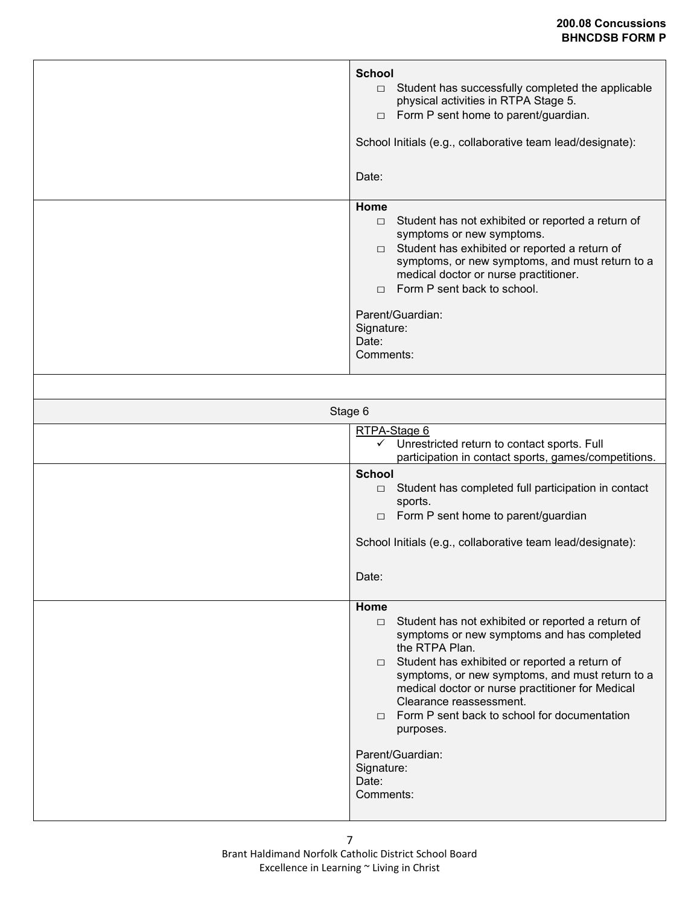|         | <b>School</b><br>Student has successfully completed the applicable<br>$\Box$<br>physical activities in RTPA Stage 5.<br>$\Box$ Form P sent home to parent/guardian.<br>School Initials (e.g., collaborative team lead/designate):<br>Date:                                                                                                                                                                                                                   |  |  |
|---------|--------------------------------------------------------------------------------------------------------------------------------------------------------------------------------------------------------------------------------------------------------------------------------------------------------------------------------------------------------------------------------------------------------------------------------------------------------------|--|--|
|         | Home<br>Student has not exhibited or reported a return of<br>$\Box$<br>symptoms or new symptoms.<br>$\Box$ Student has exhibited or reported a return of<br>symptoms, or new symptoms, and must return to a<br>medical doctor or nurse practitioner.<br>$\Box$ Form P sent back to school.<br>Parent/Guardian:<br>Signature:<br>Date:<br>Comments:                                                                                                           |  |  |
| Stage 6 |                                                                                                                                                                                                                                                                                                                                                                                                                                                              |  |  |
|         | RTPA-Stage 6<br>Unrestricted return to contact sports. Full<br>✓<br>participation in contact sports, games/competitions.                                                                                                                                                                                                                                                                                                                                     |  |  |
|         | <b>School</b><br>$\Box$ Student has completed full participation in contact<br>sports.<br>$\Box$ Form P sent home to parent/guardian<br>School Initials (e.g., collaborative team lead/designate):<br>Date:                                                                                                                                                                                                                                                  |  |  |
|         | Home<br>Student has not exhibited or reported a return of<br>$\Box$<br>symptoms or new symptoms and has completed<br>the RTPA Plan.<br>$\Box$ Student has exhibited or reported a return of<br>symptoms, or new symptoms, and must return to a<br>medical doctor or nurse practitioner for Medical<br>Clearance reassessment.<br>Form P sent back to school for documentation<br>$\Box$<br>purposes.<br>Parent/Guardian:<br>Signature:<br>Date:<br>Comments: |  |  |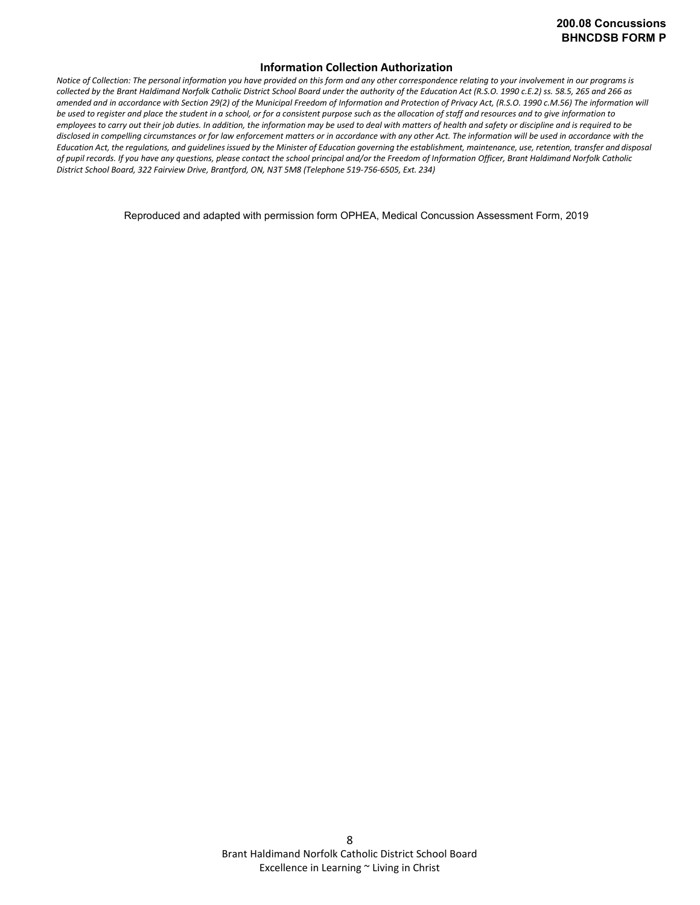#### **Information Collection Authorization**

*Notice of Collection: The personal information you have provided on this form and any other correspondence relating to your involvement in our programs is collected by the Brant Haldimand Norfolk Catholic District School Board under the authority of the Education Act (R.S.O. 1990 c.E.2) ss. 58.5, 265 and 266 as amended and in accordance with Section 29(2) of the Municipal Freedom of Information and Protection of Privacy Act, (R.S.O. 1990 c.M.56) The information will be used to register and place the student in a school, or for a consistent purpose such as the allocation of staff and resources and to give information to employees to carry out their job duties. In addition, the information may be used to deal with matters of health and safety or discipline and is required to be disclosed in compelling circumstances or for law enforcement matters or in accordance with any other Act. The information will be used in accordance with the*  Education Act, the regulations, and guidelines issued by the Minister of Education governing the establishment, maintenance, use, retention, transfer and disposal *of pupil records. If you have any questions, please contact the school principal and/or the Freedom of Information Officer, Brant Haldimand Norfolk Catholic District School Board, 322 Fairview Drive, Brantford, ON, N3T 5M8 (Telephone 519-756-6505, Ext. 234)*

Reproduced and adapted with permission form OPHEA, Medical Concussion Assessment Form, 2019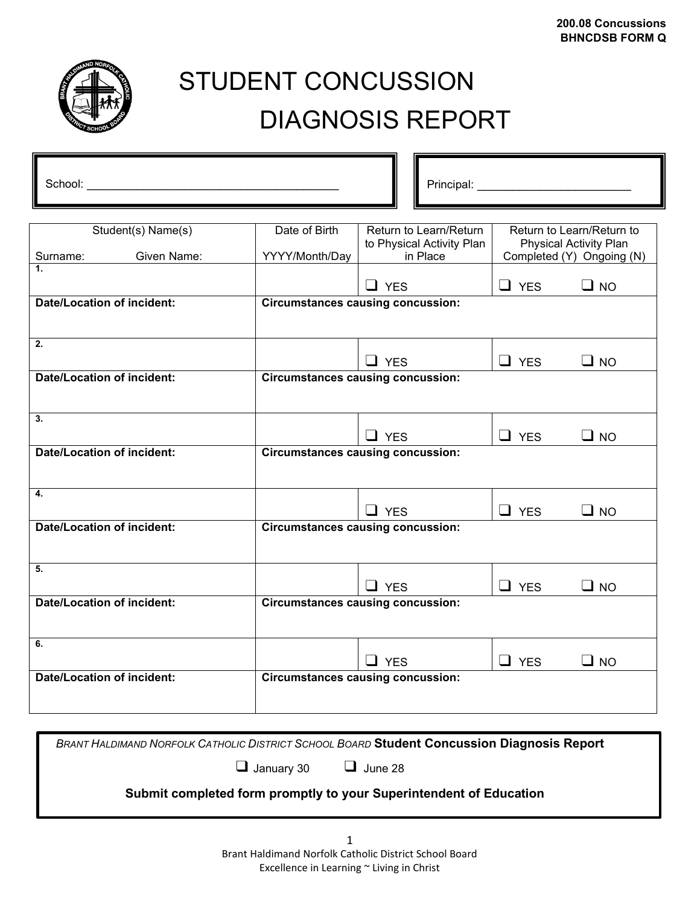

# STUDENT CONCUSSION DIAGNOSIS REPORT

| Student(s) Name(s)                | Date of Birth                                                                                                         | Return to Learn/Return                   |            | Return to Learn/Return to |
|-----------------------------------|-----------------------------------------------------------------------------------------------------------------------|------------------------------------------|------------|---------------------------|
| Given Name:<br>Surname:           | to Physical Activity Plan<br><b>Physical Activity Plan</b><br>in Place<br>Completed (Y) Ongoing (N)<br>YYYY/Month/Day |                                          |            |                           |
| 1 <sup>1</sup>                    |                                                                                                                       |                                          |            |                           |
|                                   |                                                                                                                       | $\Box$ YES                               | $\Box$ YES | $\Box$ NO                 |
| <b>Date/Location of incident:</b> |                                                                                                                       | <b>Circumstances causing concussion:</b> |            |                           |
|                                   |                                                                                                                       |                                          |            |                           |
| 2.                                |                                                                                                                       |                                          |            |                           |
|                                   |                                                                                                                       | $\Box$ YES                               | $\Box$ YES | $\Box$ NO                 |
| <b>Date/Location of incident:</b> | <b>Circumstances causing concussion:</b>                                                                              |                                          |            |                           |
|                                   |                                                                                                                       |                                          |            |                           |
| 3.                                |                                                                                                                       |                                          |            |                           |
|                                   |                                                                                                                       | $\Box$ YES                               | $\Box$ YES | $\Box$ NO                 |
| <b>Date/Location of incident:</b> | <b>Circumstances causing concussion:</b>                                                                              |                                          |            |                           |
|                                   |                                                                                                                       |                                          |            |                           |
| 4.                                |                                                                                                                       |                                          |            |                           |
|                                   |                                                                                                                       | $\Box$ YES                               | $\Box$ YES |                           |
| <b>Date/Location of incident:</b> | $\Box$ NO<br><b>Circumstances causing concussion:</b>                                                                 |                                          |            |                           |
|                                   |                                                                                                                       |                                          |            |                           |
|                                   |                                                                                                                       |                                          |            |                           |
| 5.                                |                                                                                                                       |                                          |            |                           |
|                                   |                                                                                                                       | $\Box$ YES                               | $\Box$ YES | $\Box$ NO                 |
| <b>Date/Location of incident:</b> | <b>Circumstances causing concussion:</b>                                                                              |                                          |            |                           |
|                                   |                                                                                                                       |                                          |            |                           |
| 6.                                |                                                                                                                       |                                          |            |                           |
|                                   |                                                                                                                       | $\Box$ YES                               | $\Box$ YES | $\Box$ NO                 |
| <b>Date/Location of incident:</b> |                                                                                                                       | <b>Circumstances causing concussion:</b> |            |                           |
|                                   |                                                                                                                       |                                          |            |                           |
|                                   |                                                                                                                       |                                          |            |                           |

|                                  | <b>BRANT HALDIMAND NORFOLK CATHOLIC DISTRICT SCHOOL BOARD Student Concussion Diagnosis Report</b> |
|----------------------------------|---------------------------------------------------------------------------------------------------|
| $\Box$ January 30 $\Box$ June 28 |                                                                                                   |
|                                  | Submit completed form promptly to your Superintendent of Education                                |
|                                  |                                                                                                   |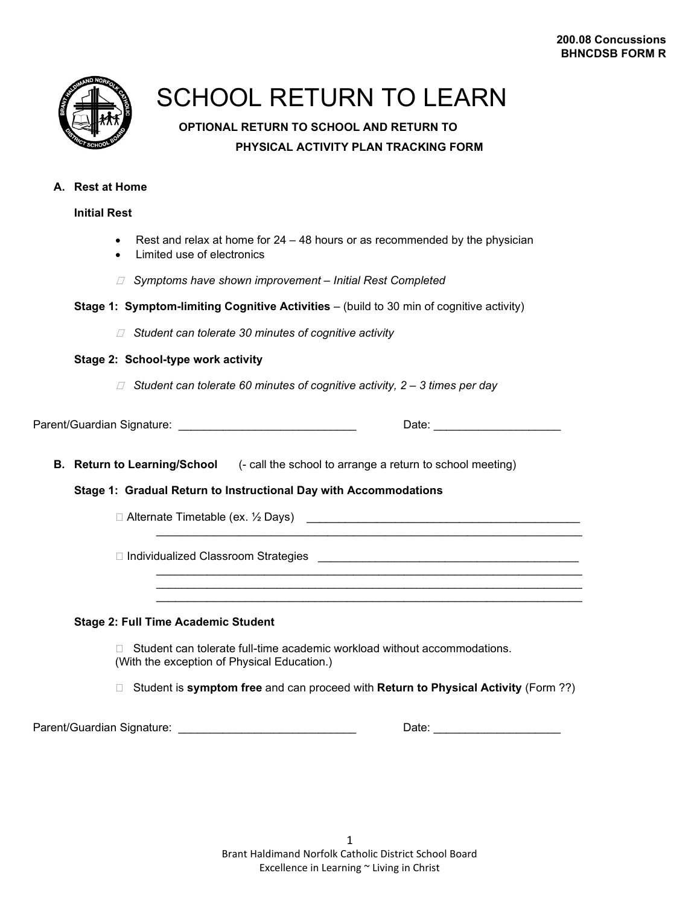

## SCHOOL RETURN TO LEARN

## **OPTIONAL RETURN TO SCHOOL AND RETURN TO PHYSICAL ACTIVITY PLAN TRACKING FORM**

## **A. Rest at Home**

## **Initial Rest**

- Rest and relax at home for 24 48 hours or as recommended by the physician
- Limited use of electronics
- ꙱ *Symptoms have shown improvement – Initial Rest Completed*

|  | Stage 1: Symptom-limiting Cognitive Activities - (build to 30 min of cognitive activity) |  |  |
|--|------------------------------------------------------------------------------------------|--|--|
|  |                                                                                          |  |  |

꙱ *Student can tolerate 30 minutes of cognitive activity*

## **Stage 2: School-type work activity**

꙱ *Student can tolerate 60 minutes of cognitive activity, 2 – 3 times per day*

Parent/Guardian Signature: \_\_\_\_\_\_\_\_\_\_\_\_\_\_\_\_\_\_\_\_\_\_\_\_\_\_\_\_ Date: \_\_\_\_\_\_\_\_\_\_\_\_\_\_\_\_\_\_\_\_

**B. Return to Learning/School** (- call the school to arrange a return to school meeting)

## **Stage 1: Gradual Return to Instructional Day with Accommodations**

 $\Box$  Alternate Timetable (ex. ½ Days)  $\Box$ 

꙱ Individualized Classroom Strategies \_\_\_\_\_\_\_\_\_\_\_\_\_\_\_\_\_\_\_\_\_\_\_\_\_\_\_\_\_\_\_\_\_\_\_\_\_\_\_\_\_

## **Stage 2: Full Time Academic Student**

□ Student can tolerate full-time academic workload without accommodations. (With the exception of Physical Education.)

꙱ Student is **symptom free** and can proceed with **Return to Physical Activity** (Form ??)

\_\_\_\_\_\_\_\_\_\_\_\_\_\_\_\_\_\_\_\_\_\_\_\_\_\_\_\_\_\_\_\_\_\_\_\_\_\_\_\_\_\_\_\_\_\_\_\_\_\_\_\_\_\_\_\_\_\_\_\_\_\_\_\_\_\_\_

\_\_\_\_\_\_\_\_\_\_\_\_\_\_\_\_\_\_\_\_\_\_\_\_\_\_\_\_\_\_\_\_\_\_\_\_\_\_\_\_\_\_\_\_\_\_\_\_\_\_\_\_\_\_\_\_\_\_\_\_\_\_\_\_\_\_\_ \_\_\_\_\_\_\_\_\_\_\_\_\_\_\_\_\_\_\_\_\_\_\_\_\_\_\_\_\_\_\_\_\_\_\_\_\_\_\_\_\_\_\_\_\_\_\_\_\_\_\_\_\_\_\_\_\_\_\_\_\_\_\_\_\_\_\_ \_\_\_\_\_\_\_\_\_\_\_\_\_\_\_\_\_\_\_\_\_\_\_\_\_\_\_\_\_\_\_\_\_\_\_\_\_\_\_\_\_\_\_\_\_\_\_\_\_\_\_\_\_\_\_\_\_\_\_\_\_\_\_\_\_\_\_

Parent/Guardian Signature: \_\_\_\_\_\_\_\_\_\_\_\_\_\_\_\_\_\_\_\_\_\_\_\_\_\_\_\_ Date: \_\_\_\_\_\_\_\_\_\_\_\_\_\_\_\_\_\_\_\_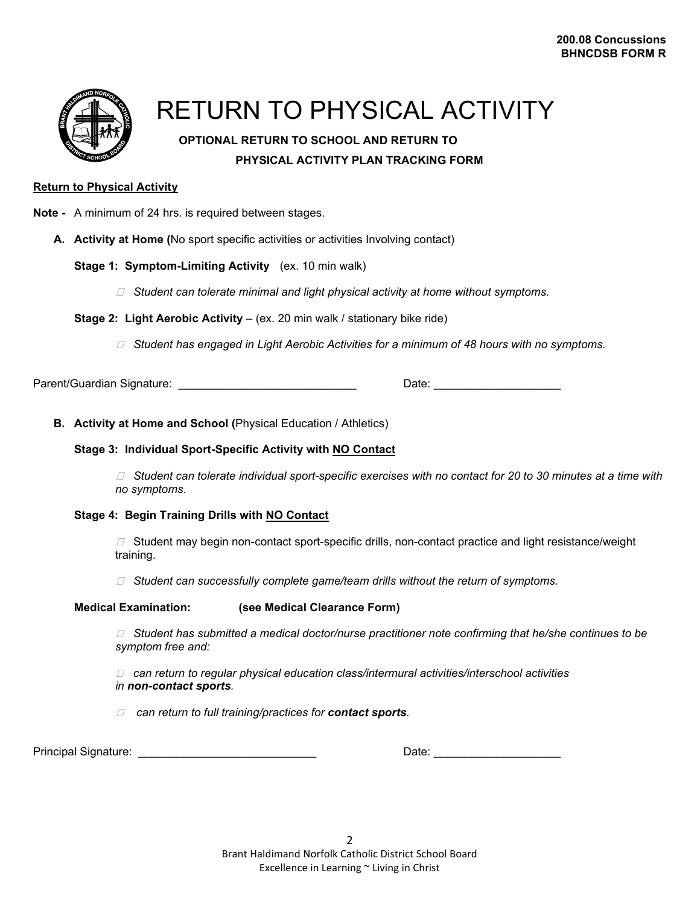

## RETURN TO PHYSICAL ACTIVITY

## **OPTIONAL RETURN TO SCHOOL AND RETURN TO PHYSICAL ACTIVITY PLAN TRACKING FORM**

## **Return to Physical Activity**

- **Note -** A minimum of 24 hrs. is required between stages.
	- **A. Activity at Home (**No sport specific activities or activities Involving contact)

#### **Stage 1: Symptom-Limiting Activity** (ex. 10 min walk)

- ꙱ *Student can tolerate minimal and light physical activity at home without symptoms.*
- **Stage 2: Light Aerobic Activity** (ex. 20 min walk / stationary bike ride)
	- ꙱ *Student has engaged in Light Aerobic Activities for a minimum of 48 hours with no symptoms.*

Parent/Guardian Signature: \_\_\_\_\_\_\_\_\_\_\_\_\_\_\_\_\_\_\_\_\_\_\_\_\_\_\_\_ Date: \_\_\_\_\_\_\_\_\_\_\_\_\_\_\_\_\_\_\_\_

#### **B. Activity at Home and School (**Physical Education / Athletics)

#### **Stage 3: Individual Sport-Specific Activity with NO Contact**

꙱ *Student can tolerate individual sport-specific exercises with no contact for 20 to 30 minutes at a time with no symptoms.*

## **Stage 4: Begin Training Drills with NO Contact**

꙱Student may begin non-contact sport-specific drills, non-contact practice and light resistance/weight training.

꙱ *Student can successfully complete game/team drills without the return of symptoms.* 

#### **Medical Examination: (see Medical Clearance Form)**

꙱ *Student has submitted a medical doctor/nurse practitioner note confirming that he/she continues to be symptom free and:*

꙱ *can return to regular physical education class/intermural activities/interschool activities in non-contact sports.*

꙱ *can return to full training/practices for contact sports.*

Principal Signature: \_\_\_\_\_\_\_\_\_\_\_\_\_\_\_\_\_\_\_\_\_\_\_\_\_\_\_\_ Date: \_\_\_\_\_\_\_\_\_\_\_\_\_\_\_\_\_\_\_\_

| n.<br>Т١ |  |
|----------|--|
|          |  |